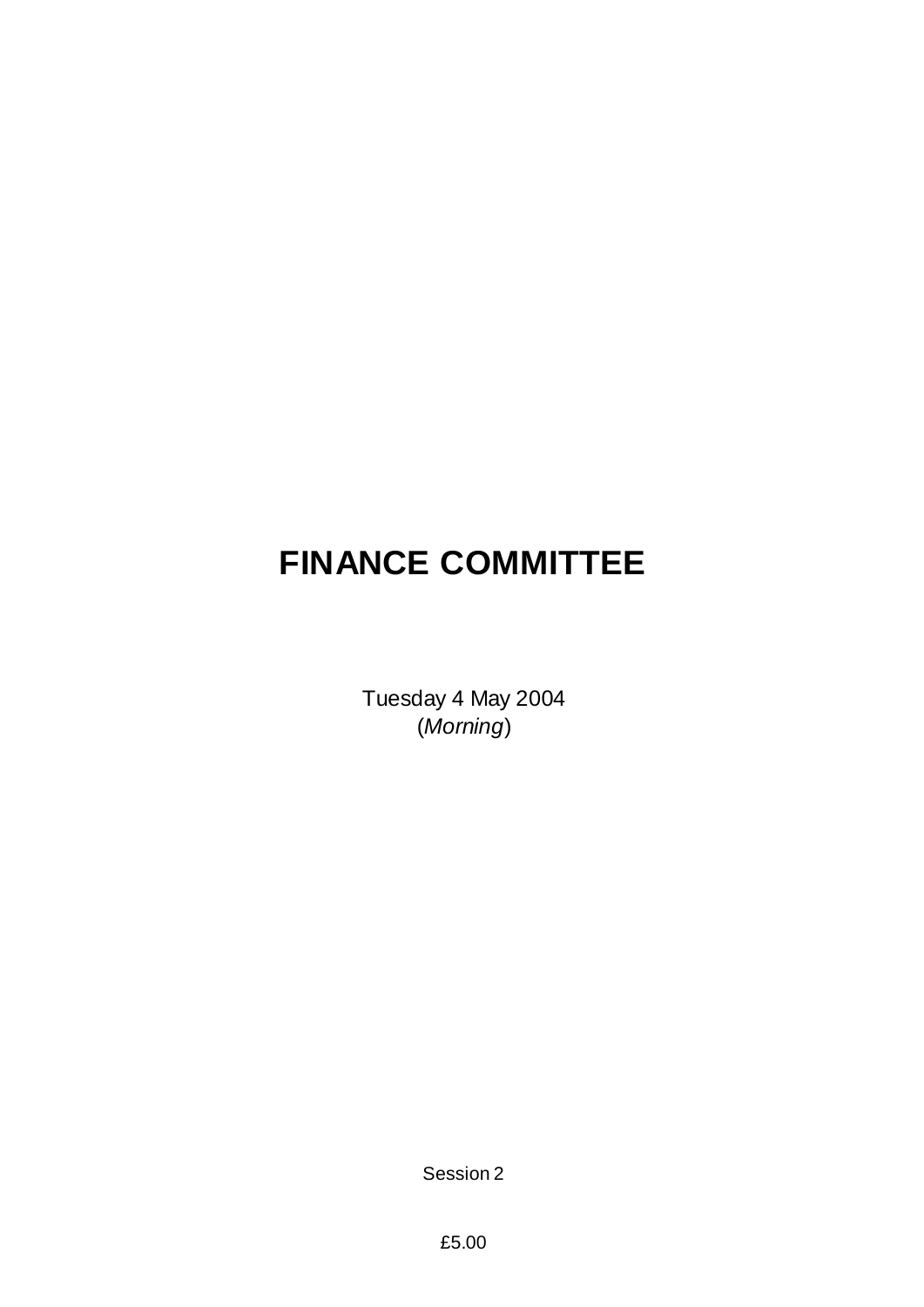# **FINANCE COMMITTEE**

Tuesday 4 May 2004 (*Morning*)

Session 2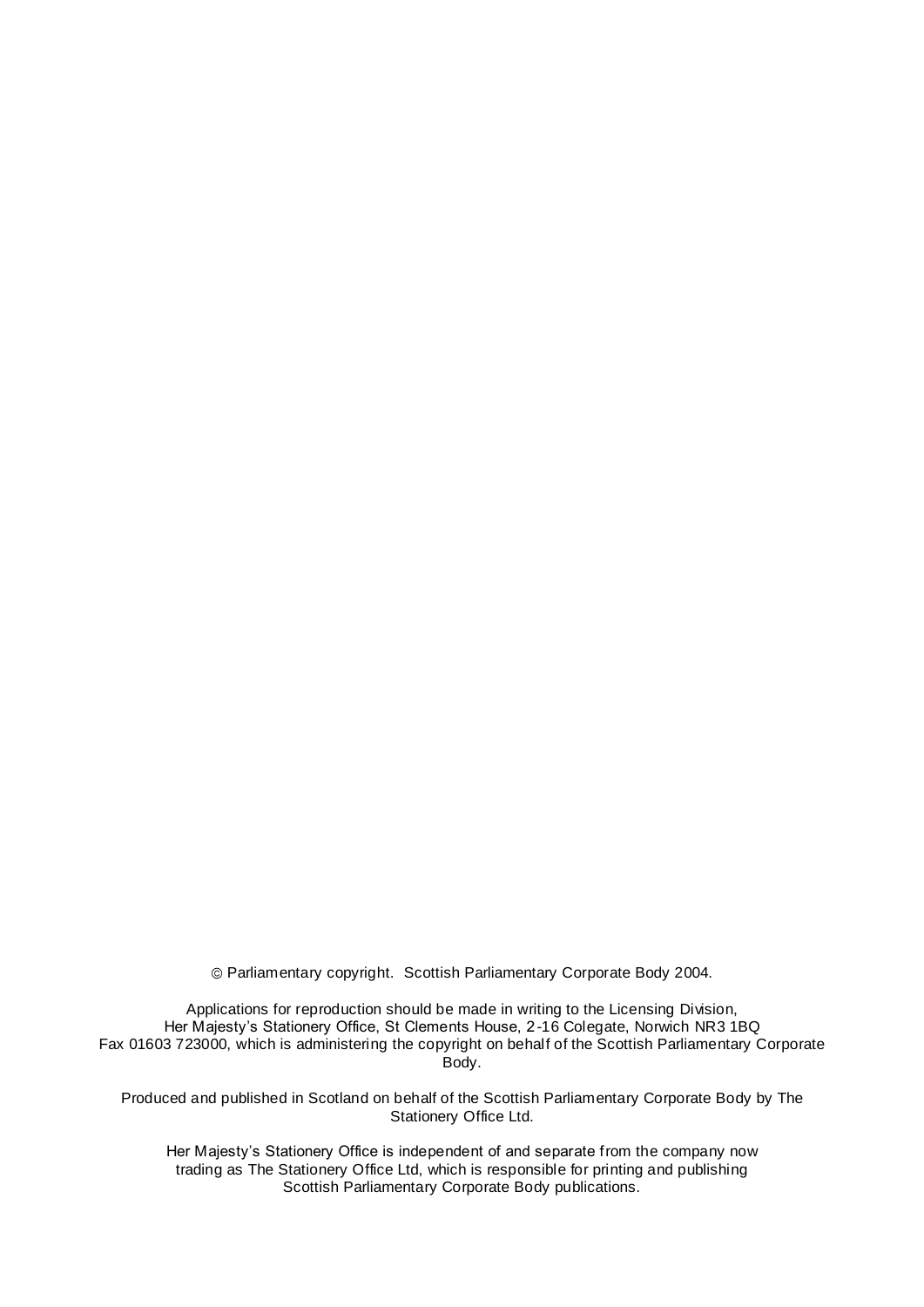Parliamentary copyright. Scottish Parliamentary Corporate Body 2004.

Applications for reproduction should be made in writing to the Licensing Division, Her Majesty's Stationery Office, St Clements House, 2-16 Colegate, Norwich NR3 1BQ Fax 01603 723000, which is administering the copyright on behalf of the Scottish Parliamentary Corporate Body.

Produced and published in Scotland on behalf of the Scottish Parliamentary Corporate Body by The Stationery Office Ltd.

Her Majesty's Stationery Office is independent of and separate from the company now trading as The Stationery Office Ltd, which is responsible for printing and publishing Scottish Parliamentary Corporate Body publications.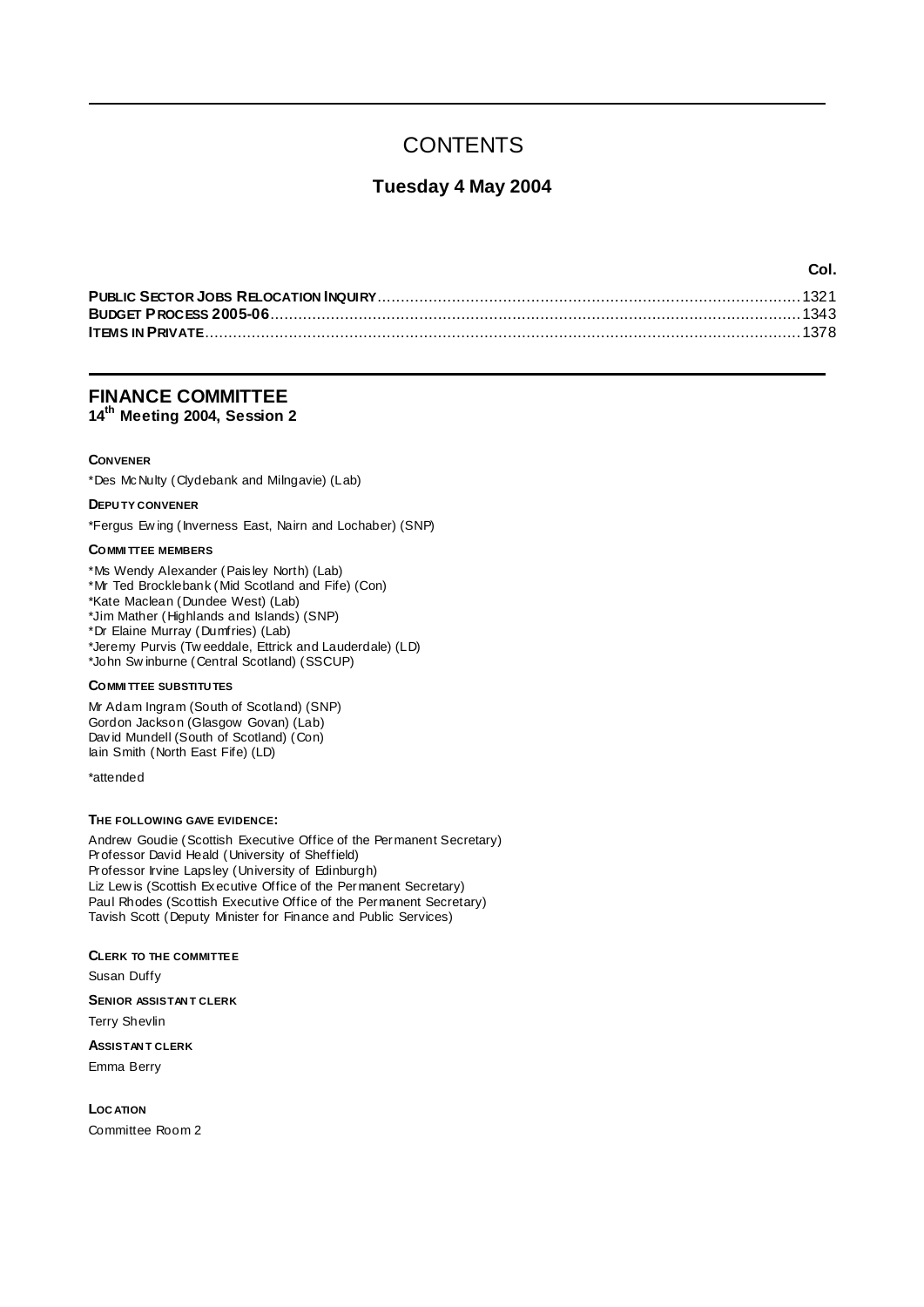# **CONTENTS**

### **Tuesday 4 May 2004**

**Col.**

### **FINANCE COMMITTEE**

**14th Meeting 2004, Session 2**

### **CONVENER**

\*Des McNulty (Clydebank and Milngavie) (Lab)

### **DEPU TY CONVENER**

\*Fergus Ew ing (Inverness East, Nairn and Lochaber) (SNP)

### **COMMI TTEE MEMBERS**

\*Ms Wendy Alexander (Paisley North) (Lab) \*Mr Ted Brocklebank (Mid Scotland and Fife) (Con) \*Kate Maclean (Dundee West) (Lab) \*Jim Mather (Highlands and Islands) (SNP) \*Dr Elaine Murray (Dumfries) (Lab) \*Jeremy Purvis (Tw eeddale, Ettrick and Lauderdale) (LD) \*John Sw inburne (Central Scotland) (SSCUP)

#### **COMMI TTEE SUBSTITU TES**

Mr Adam Ingram (South of Scotland) (SNP) Gordon Jackson (Glasgow Govan) (Lab) David Mundell (South of Scotland) (Con) Iain Smith (North East Fife) (LD)

\*attended

### **THE FOLLOWING GAVE EVIDENCE:**

Andrew Goudie (Scottish Executive Office of the Permanent Secretary) Professor David Heald (University of Sheffield) Professor Irvine Lapsley (University of Edinburgh) Liz Lew is (Scottish Executive Office of the Permanent Secretary) Paul Rhodes (Scottish Executive Office of the Permanent Secretary) Tavish Scott (Deputy Minister for Finance and Public Services)

**CLERK TO THE COMMITTEE** Susan Duffy **SENIOR ASSISTAN T CLERK** Terry Shevlin **ASSISTAN T CLERK** Emma Berry

**LOC ATION** Committee Room 2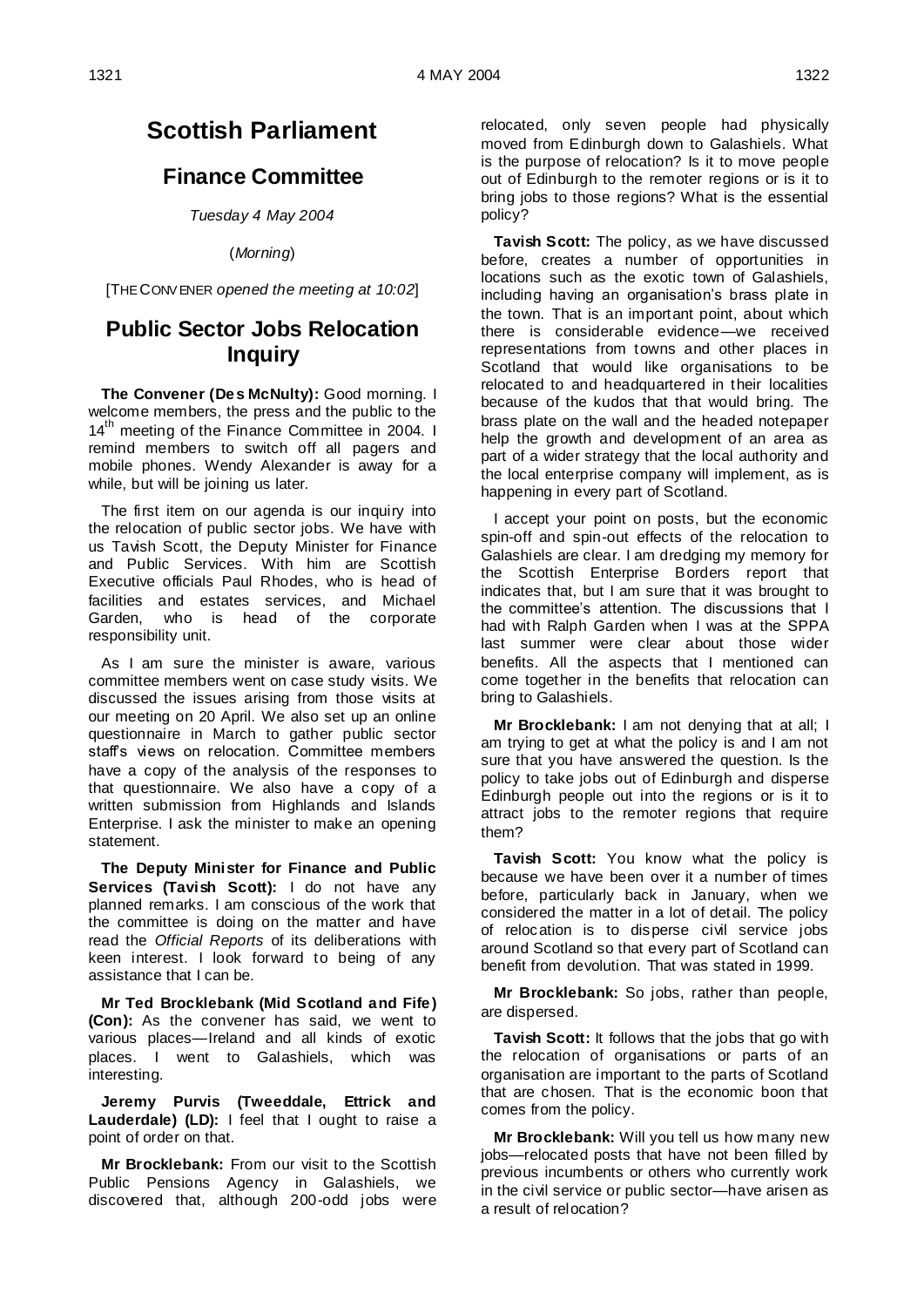# **Scottish Parliament**

### **Finance Committee**

*Tuesday 4 May 2004*

(*Morning*)

[THE CONV ENER *opened the meeting at 10:02*]

# **Public Sector Jobs Relocation Inquiry**

**The Convener (Des McNulty):** Good morning. I welcome members, the press and the public to the 14<sup>th</sup> meeting of the Finance Committee in 2004. I remind members to switch off all pagers and mobile phones. Wendy Alexander is away for a while, but will be joining us later.

The first item on our agenda is our inquiry into the relocation of public sector jobs. We have with us Tavish Scott, the Deputy Minister for Finance and Public Services. With him are Scottish Executive officials Paul Rhodes, who is head of facilities and estates services, and Michael Garden, who is head of the corporate responsibility unit.

As I am sure the minister is aware, various committee members went on case study visits. We discussed the issues arising from those visits at our meeting on 20 April. We also set up an online questionnaire in March to gather public sector staff's views on relocation. Committee members have a copy of the analysis of the responses to that questionnaire. We also have a copy of a written submission from Highlands and Islands Enterprise. I ask the minister to make an opening statement.

**The Deputy Minister for Finance and Public Services (Tavish Scott):** I do not have any planned remarks. I am conscious of the work that the committee is doing on the matter and have read the *Official Reports* of its deliberations with keen interest. I look forward to being of any assistance that I can be.

**Mr Ted Brocklebank (Mid Scotland and Fife) (Con):** As the convener has said, we went to various places—Ireland and all kinds of exotic places. I went to Galashiels, which was interesting.

**Jeremy Purvis (Tweeddale, Ettrick and Lauderdale) (LD):** I feel that I ought to raise a point of order on that.

**Mr Brocklebank:** From our visit to the Scottish Public Pensions Agency in Galashiels, we discovered that, although 200-odd jobs were relocated, only seven people had physically moved from Edinburgh down to Galashiels. What is the purpose of relocation? Is it to move people out of Edinburgh to the remoter regions or is it to bring jobs to those regions? What is the essential policy?

**Tavish Scott:** The policy, as we have discussed before, creates a number of opportunities in locations such as the exotic town of Galashiels, including having an organisation's brass plate in the town. That is an important point, about which there is considerable evidence—we received representations from towns and other places in Scotland that would like organisations to be relocated to and headquartered in their localities because of the kudos that that would bring. The brass plate on the wall and the headed notepaper help the growth and development of an area as part of a wider strategy that the local authority and the local enterprise company will implement, as is happening in every part of Scotland.

I accept your point on posts, but the economic spin-off and spin-out effects of the relocation to Galashiels are clear. I am dredging my memory for the Scottish Enterprise Borders report that indicates that, but I am sure that it was brought to the committee's attention. The discussions that I had with Ralph Garden when I was at the SPPA last summer were clear about those wider benefits. All the aspects that I mentioned can come together in the benefits that relocation can bring to Galashiels.

**Mr Brocklebank:** I am not denying that at all; I am trying to get at what the policy is and I am not sure that you have answered the question. Is the policy to take jobs out of Edinburgh and disperse Edinburgh people out into the regions or is it to attract jobs to the remoter regions that require them?

**Tavish Scott:** You know what the policy is because we have been over it a number of times before, particularly back in January, when we considered the matter in a lot of detail. The policy of relocation is to disperse civil service jobs around Scotland so that every part of Scotland can benefit from devolution. That was stated in 1999.

**Mr Brocklebank:** So jobs, rather than people, are dispersed.

**Tavish Scott:** It follows that the jobs that go with the relocation of organisations or parts of an organisation are important to the parts of Scotland that are chosen. That is the economic boon that comes from the policy.

**Mr Brocklebank:** Will you tell us how many new jobs—relocated posts that have not been filled by previous incumbents or others who currently work in the civil service or public sector—have arisen as a result of relocation?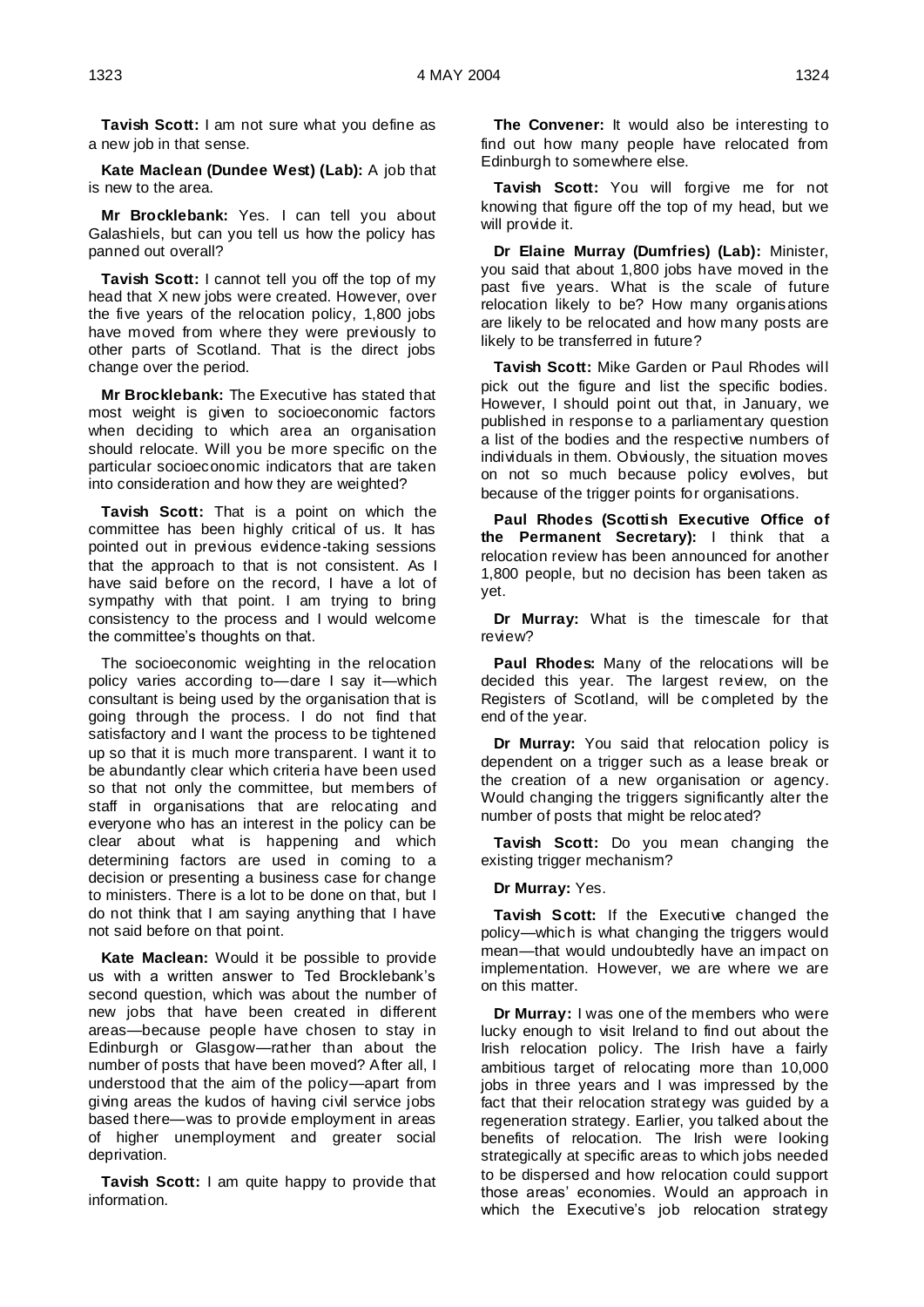**Tavish Scott:** I am not sure what you define as a new job in that sense.

**Kate Maclean (Dundee West) (Lab):** A job that is new to the area.

**Mr Brocklebank:** Yes. I can tell you about Galashiels, but can you tell us how the policy has panned out overall?

**Tavish Scott:** I cannot tell you off the top of my head that X new jobs were created. However, over the five years of the relocation policy, 1,800 jobs have moved from where they were previously to other parts of Scotland. That is the direct jobs change over the period.

**Mr Brocklebank:** The Executive has stated that most weight is given to socioeconomic factors when deciding to which area an organisation should relocate. Will you be more specific on the particular socioeconomic indicators that are taken into consideration and how they are weighted?

**Tavish Scott:** That is a point on which the committee has been highly critical of us. It has pointed out in previous evidence-taking sessions that the approach to that is not consistent. As I have said before on the record, I have a lot of sympathy with that point. I am trying to bring consistency to the process and I would welcome the committee's thoughts on that.

The socioeconomic weighting in the relocation policy varies according to—dare I say it—which consultant is being used by the organisation that is going through the process. I do not find that satisfactory and I want the process to be tightened up so that it is much more transparent. I want it to be abundantly clear which criteria have been used so that not only the committee, but members of staff in organisations that are relocating and everyone who has an interest in the policy can be clear about what is happening and which determining factors are used in coming to a decision or presenting a business case for change to ministers. There is a lot to be done on that, but I do not think that I am saying anything that I have not said before on that point.

**Kate Maclean:** Would it be possible to provide us with a written answer to Ted Brocklebank's second question, which was about the number of new jobs that have been created in different areas—because people have chosen to stay in Edinburgh or Glasgow—rather than about the number of posts that have been moved? After all, I understood that the aim of the policy—apart from giving areas the kudos of having civil service jobs based there—was to provide employment in areas of higher unemployment and greater social deprivation.

**Tavish Scott:** I am quite happy to provide that information.

**The Convener:** It would also be interesting to find out how many people have relocated from Edinburgh to somewhere else.

**Tavish Scott:** You will forgive me for not knowing that figure off the top of my head, but we will provide it.

**Dr Elaine Murray (Dumfries) (Lab):** Minister, you said that about 1,800 jobs have moved in the past five years. What is the scale of future relocation likely to be? How many organisations are likely to be relocated and how many posts are likely to be transferred in future?

**Tavish Scott:** Mike Garden or Paul Rhodes will pick out the figure and list the specific bodies. However, I should point out that, in January, we published in response to a parliamentary question a list of the bodies and the respective numbers of individuals in them. Obviously, the situation moves on not so much because policy evolves, but because of the trigger points for organisations.

**Paul Rhodes (Scottish Executive Office of the Permanent Secretary):** I think that a relocation review has been announced for another 1,800 people, but no decision has been taken as yet.

**Dr Murray:** What is the timescale for that review?

**Paul Rhodes:** Many of the relocations will be decided this year. The largest review, on the Registers of Scotland, will be completed by the end of the year.

**Dr Murray:** You said that relocation policy is dependent on a trigger such as a lease break or the creation of a new organisation or agency. Would changing the triggers significantly alter the number of posts that might be relocated?

**Tavish Scott:** Do you mean changing the existing trigger mechanism?

**Dr Murray:** Yes.

**Tavish Scott:** If the Executive changed the policy—which is what changing the triggers would mean—that would undoubtedly have an impact on implementation. However, we are where we are on this matter.

**Dr Murray:** I was one of the members who were lucky enough to visit Ireland to find out about the Irish relocation policy. The Irish have a fairly ambitious target of relocating more than 10,000 jobs in three years and I was impressed by the fact that their relocation strategy was guided by a regeneration strategy. Earlier, you talked about the benefits of relocation. The Irish were looking strategically at specific areas to which jobs needed to be dispersed and how relocation could support those areas' economies. Would an approach in which the Executive's job relocation strategy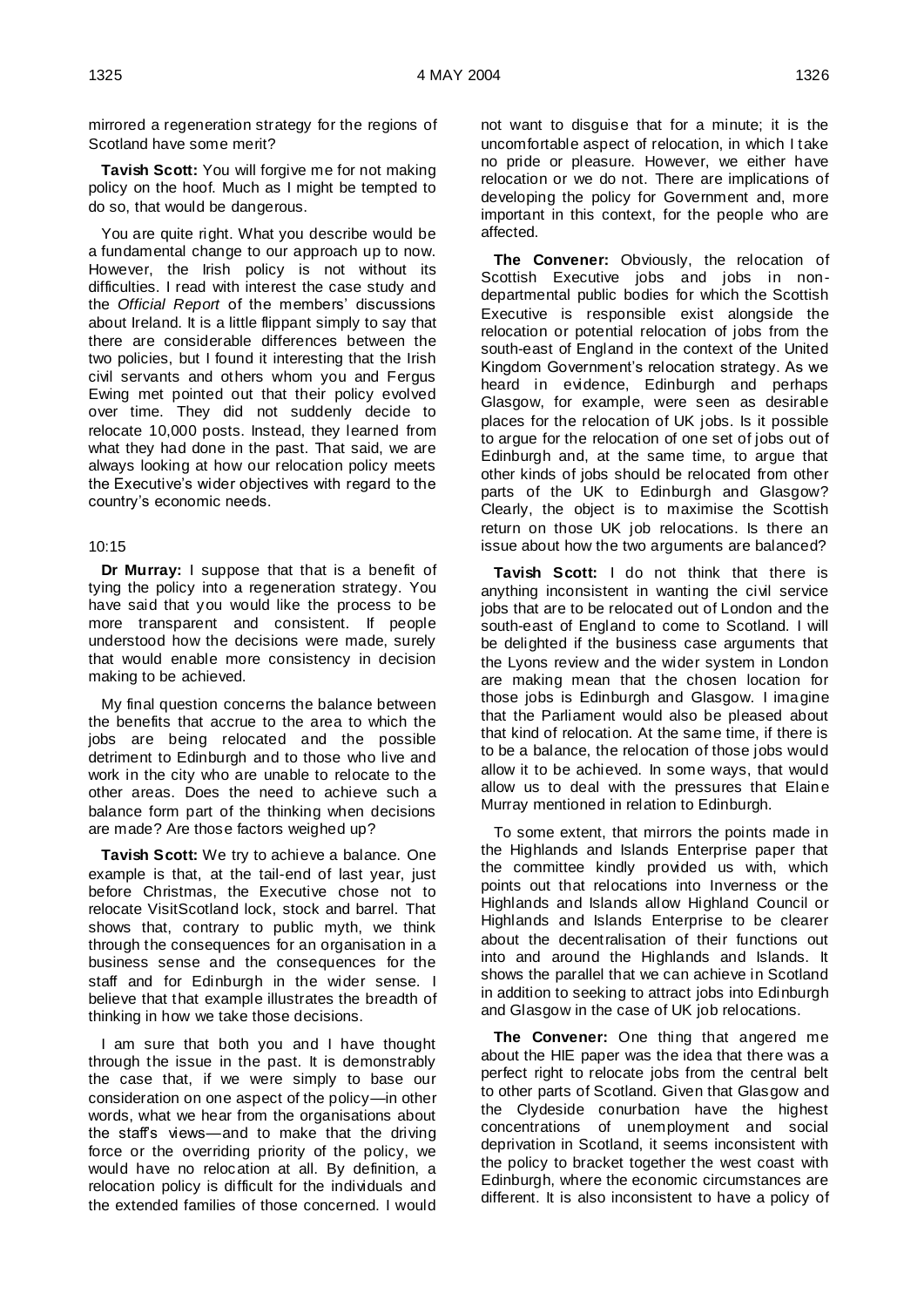mirrored a regeneration strategy for the regions of Scotland have some merit?

**Tavish Scott:** You will forgive me for not making policy on the hoof. Much as I might be tempted to do so, that would be dangerous.

You are quite right. What you describe would be a fundamental change to our approach up to now. However, the Irish policy is not without its difficulties. I read with interest the case study and the *Official Report* of the members' discussions about Ireland. It is a little flippant simply to say that there are considerable differences between the two policies, but I found it interesting that the Irish civil servants and others whom you and Fergus Ewing met pointed out that their policy evolved over time. They did not suddenly decide to relocate 10,000 posts. Instead, they learned from what they had done in the past. That said, we are always looking at how our relocation policy meets the Executive's wider objectives with regard to the country's economic needs.

### 10:15

**Dr Murray:** I suppose that that is a benefit of tying the policy into a regeneration strategy. You have said that you would like the process to be more transparent and consistent. If people understood how the decisions were made, surely that would enable more consistency in decision making to be achieved.

My final question concerns the balance between the benefits that accrue to the area to which the jobs are being relocated and the possible detriment to Edinburgh and to those who live and work in the city who are unable to relocate to the other areas. Does the need to achieve such a balance form part of the thinking when decisions are made? Are those factors weighed up?

**Tavish Scott:** We try to achieve a balance. One example is that, at the tail-end of last year, just before Christmas, the Executive chose not to relocate VisitScotland lock, stock and barrel. That shows that, contrary to public myth, we think through the consequences for an organisation in a business sense and the consequences for the staff and for Edinburgh in the wider sense. I believe that that example illustrates the breadth of thinking in how we take those decisions.

I am sure that both you and I have thought through the issue in the past. It is demonstrably the case that, if we were simply to base our consideration on one aspect of the policy—in other words, what we hear from the organisations about the staff's views—and to make that the driving force or the overriding priority of the policy, we would have no relocation at all. By definition, a relocation policy is difficult for the individuals and the extended families of those concerned. I would

not want to disguise that for a minute; it is the uncomfortable aspect of relocation, in which I take no pride or pleasure. However, we either have relocation or we do not. There are implications of developing the policy for Government and, more important in this context, for the people who are affected.

**The Convener:** Obviously, the relocation of Scottish Executive jobs and jobs in nondepartmental public bodies for which the Scottish Executive is responsible exist alongside the relocation or potential relocation of jobs from the south-east of England in the context of the United Kingdom Government's relocation strategy. As we heard in evidence, Edinburgh and perhaps Glasgow, for example, were seen as desirable places for the relocation of UK jobs. Is it possible to argue for the relocation of one set of jobs out of Edinburgh and, at the same time, to argue that other kinds of jobs should be relocated from other parts of the UK to Edinburgh and Glasgow? Clearly, the object is to maximise the Scottish return on those UK job relocations. Is there an issue about how the two arguments are balanced?

**Tavish Scott:** I do not think that there is anything inconsistent in wanting the civil service jobs that are to be relocated out of London and the south-east of England to come to Scotland. I will be delighted if the business case arguments that the Lyons review and the wider system in London are making mean that the chosen location for those jobs is Edinburgh and Glasgow. I imagine that the Parliament would also be pleased about that kind of relocation. At the same time, if there is to be a balance, the relocation of those jobs would allow it to be achieved. In some ways, that would allow us to deal with the pressures that Elaine Murray mentioned in relation to Edinburgh.

To some extent, that mirrors the points made in the Highlands and Islands Enterprise paper that the committee kindly provided us with, which points out that relocations into Inverness or the Highlands and Islands allow Highland Council or Highlands and Islands Enterprise to be clearer about the decentralisation of their functions out into and around the Highlands and Islands. It shows the parallel that we can achieve in Scotland in addition to seeking to attract jobs into Edinburgh and Glasgow in the case of UK job relocations.

**The Convener:** One thing that angered me about the HIE paper was the idea that there was a perfect right to relocate jobs from the central belt to other parts of Scotland. Given that Glasgow and the Clydeside conurbation have the highest concentrations of unemployment and social deprivation in Scotland, it seems inconsistent with the policy to bracket together the west coast with Edinburgh, where the economic circumstances are different. It is also inconsistent to have a policy of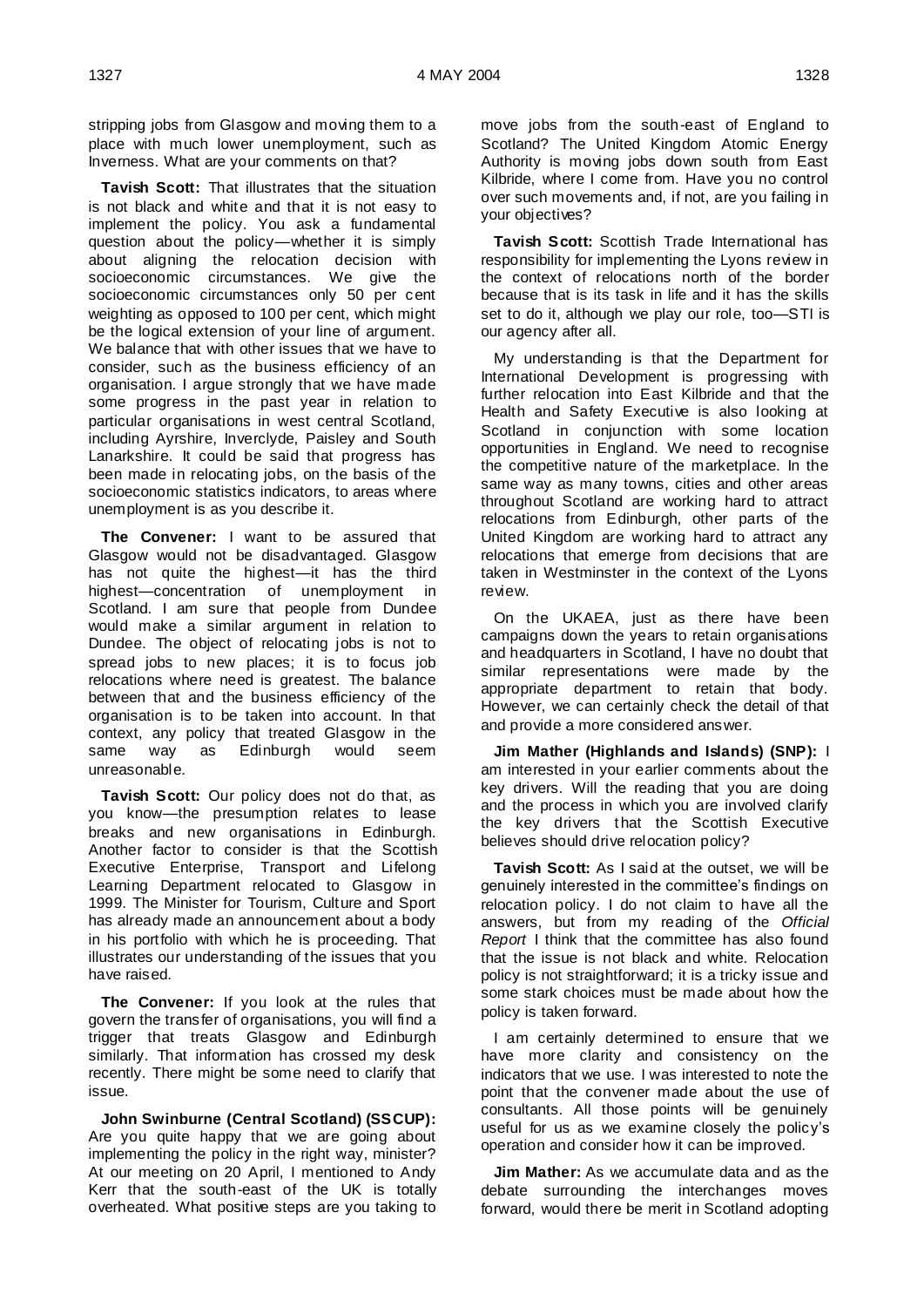stripping jobs from Glasgow and moving them to a place with much lower unemployment, such as Inverness. What are your comments on that?

**Tavish Scott:** That illustrates that the situation is not black and white and that it is not easy to implement the policy. You ask a fundamental question about the policy—whether it is simply about aligning the relocation decision with socioeconomic circumstances. We give the socioeconomic circumstances only 50 per cent weighting as opposed to 100 per cent, which might be the logical extension of your line of argument. We balance that with other issues that we have to consider, such as the business efficiency of an organisation. I argue strongly that we have made some progress in the past year in relation to particular organisations in west central Scotland, including Ayrshire, Inverclyde, Paisley and South Lanarkshire. It could be said that progress has been made in relocating jobs, on the basis of the socioeconomic statistics indicators, to areas where unemployment is as you describe it.

**The Convener:** I want to be assured that Glasgow would not be disadvantaged. Glasgow has not quite the highest—it has the third highest—concentration of unemployment in Scotland. I am sure that people from Dundee would make a similar argument in relation to Dundee. The object of relocating jobs is not to spread jobs to new places; it is to focus job relocations where need is greatest. The balance between that and the business efficiency of the organisation is to be taken into account. In that context, any policy that treated Glasgow in the same way as Edinburgh would seem unreasonable.

**Tavish Scott:** Our policy does not do that, as you know—the presumption relates to lease breaks and new organisations in Edinburgh. Another factor to consider is that the Scottish Executive Enterprise, Transport and Lifelong Learning Department relocated to Glasgow in 1999. The Minister for Tourism, Culture and Sport has already made an announcement about a body in his portfolio with which he is proceeding. That illustrates our understanding of the issues that you have raised.

**The Convener:** If you look at the rules that govern the transfer of organisations, you will find a trigger that treats Glasgow and Edinburgh similarly. That information has crossed my desk recently. There might be some need to clarify that issue.

**John Swinburne (Central Scotland) (SSCUP):**  Are you quite happy that we are going about implementing the policy in the right way, minister? At our meeting on 20 April, I mentioned to Andy Kerr that the south-east of the UK is totally overheated. What positive steps are you taking to

move jobs from the south-east of England to Scotland? The United Kingdom Atomic Energy Authority is moving jobs down south from East Kilbride, where I come from. Have you no control over such movements and, if not, are you failing in your objectives?

**Tavish Scott:** Scottish Trade International has responsibility for implementing the Lyons review in the context of relocations north of the border because that is its task in life and it has the skills set to do it, although we play our role, too—STI is our agency after all.

My understanding is that the Department for International Development is progressing with further relocation into East Kilbride and that the Health and Safety Executive is also looking at Scotland in conjunction with some location opportunities in England. We need to recognise the competitive nature of the marketplace. In the same way as many towns, cities and other areas throughout Scotland are working hard to attract relocations from Edinburgh, other parts of the United Kingdom are working hard to attract any relocations that emerge from decisions that are taken in Westminster in the context of the Lyons review.

On the UKAEA, just as there have been campaigns down the years to retain organisations and headquarters in Scotland, I have no doubt that similar representations were made by the appropriate department to retain that body. However, we can certainly check the detail of that and provide a more considered answer.

**Jim Mather (Highlands and Islands) (SNP):** I am interested in your earlier comments about the key drivers. Will the reading that you are doing and the process in which you are involved clarify the key drivers that the Scottish Executive believes should drive relocation policy?

**Tavish Scott:** As I said at the outset, we will be genuinely interested in the committee's findings on relocation policy. I do not claim to have all the answers, but from my reading of the *Official Report* I think that the committee has also found that the issue is not black and white. Relocation policy is not straightforward; it is a tricky issue and some stark choices must be made about how the policy is taken forward.

I am certainly determined to ensure that we have more clarity and consistency on the indicators that we use. I was interested to note the point that the convener made about the use of consultants. All those points will be genuinely useful for us as we examine closely the policy's operation and consider how it can be improved.

**Jim Mather:** As we accumulate data and as the debate surrounding the interchanges moves forward, would there be merit in Scotland adopting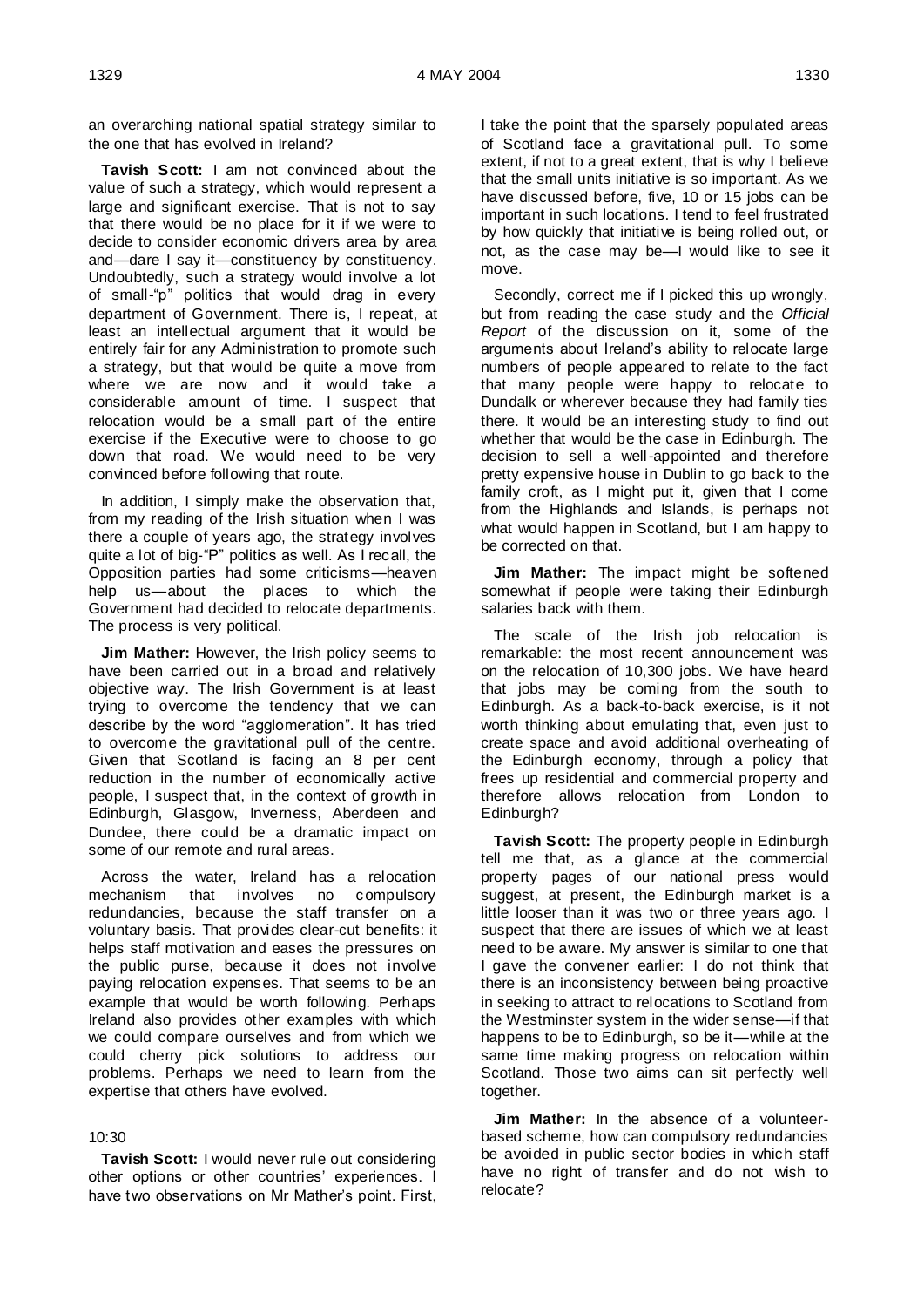an overarching national spatial strategy similar to the one that has evolved in Ireland?

**Tavish Scott:** I am not convinced about the value of such a strategy, which would represent a large and significant exercise. That is not to say that there would be no place for it if we were to decide to consider economic drivers area by area and—dare I say it—constituency by constituency. Undoubtedly, such a strategy would involve a lot of small-"p" politics that would drag in every department of Government. There is, I repeat, at least an intellectual argument that it would be entirely fair for any Administration to promote such a strategy, but that would be quite a move from where we are now and it would take a considerable amount of time. I suspect that relocation would be a small part of the entire exercise if the Executive were to choose to go down that road. We would need to be very convinced before following that route.

In addition, I simply make the observation that, from my reading of the Irish situation when I was there a couple of years ago, the strategy involves quite a lot of big-"P" politics as well. As I recall, the Opposition parties had some criticisms—heaven help us—about the places to which the Government had decided to relocate departments. The process is very political.

**Jim Mather:** However, the Irish policy seems to have been carried out in a broad and relatively objective way. The Irish Government is at least trying to overcome the tendency that we can describe by the word "agglomeration". It has tried to overcome the gravitational pull of the centre. Given that Scotland is facing an 8 per cent reduction in the number of economically active people, I suspect that, in the context of growth in Edinburgh, Glasgow, Inverness, Aberdeen and Dundee, there could be a dramatic impact on some of our remote and rural areas.

Across the water, Ireland has a relocation mechanism that involves no compulsory redundancies, because the staff transfer on a voluntary basis. That provides clear-cut benefits: it helps staff motivation and eases the pressures on the public purse, because it does not involve paying relocation expenses. That seems to be an example that would be worth following. Perhaps Ireland also provides other examples with which we could compare ourselves and from which we could cherry pick solutions to address our problems. Perhaps we need to learn from the expertise that others have evolved.

### 10:30

**Tavish Scott:** I would never rule out considering other options or other countries' experiences. I have two observations on Mr Mather's point. First,

I take the point that the sparsely populated areas of Scotland face a gravitational pull. To some extent, if not to a great extent, that is why I believe that the small units initiative is so important. As we have discussed before, five, 10 or 15 jobs can be important in such locations. I tend to feel frustrated by how quickly that initiative is being rolled out, or not, as the case may be—I would like to see it move.

Secondly, correct me if I picked this up wrongly, but from reading the case study and the *Official Report* of the discussion on it, some of the arguments about Ireland's ability to relocate large numbers of people appeared to relate to the fact that many people were happy to relocate to Dundalk or wherever because they had family ties there. It would be an interesting study to find out whether that would be the case in Edinburgh. The decision to sell a well-appointed and therefore pretty expensive house in Dublin to go back to the family croft, as I might put it, given that I come from the Highlands and Islands, is perhaps not what would happen in Scotland, but I am happy to be corrected on that.

**Jim Mather:** The impact might be softened somewhat if people were taking their Edinburgh salaries back with them.

The scale of the Irish job relocation is remarkable: the most recent announcement was on the relocation of 10,300 jobs. We have heard that jobs may be coming from the south to Edinburgh. As a back-to-back exercise, is it not worth thinking about emulating that, even just to create space and avoid additional overheating of the Edinburgh economy, through a policy that frees up residential and commercial property and therefore allows relocation from London to Edinburgh?

**Tavish Scott:** The property people in Edinburgh tell me that, as a glance at the commercial property pages of our national press would suggest, at present, the Edinburgh market is a little looser than it was two or three years ago. I suspect that there are issues of which we at least need to be aware. My answer is similar to one that I gave the convener earlier: I do not think that there is an inconsistency between being proactive in seeking to attract to relocations to Scotland from the Westminster system in the wider sense—if that happens to be to Edinburgh, so be it—while at the same time making progress on relocation within Scotland. Those two aims can sit perfectly well together.

**Jim Mather:** In the absence of a volunteerbased scheme, how can compulsory redundancies be avoided in public sector bodies in which staff have no right of transfer and do not wish to relocate?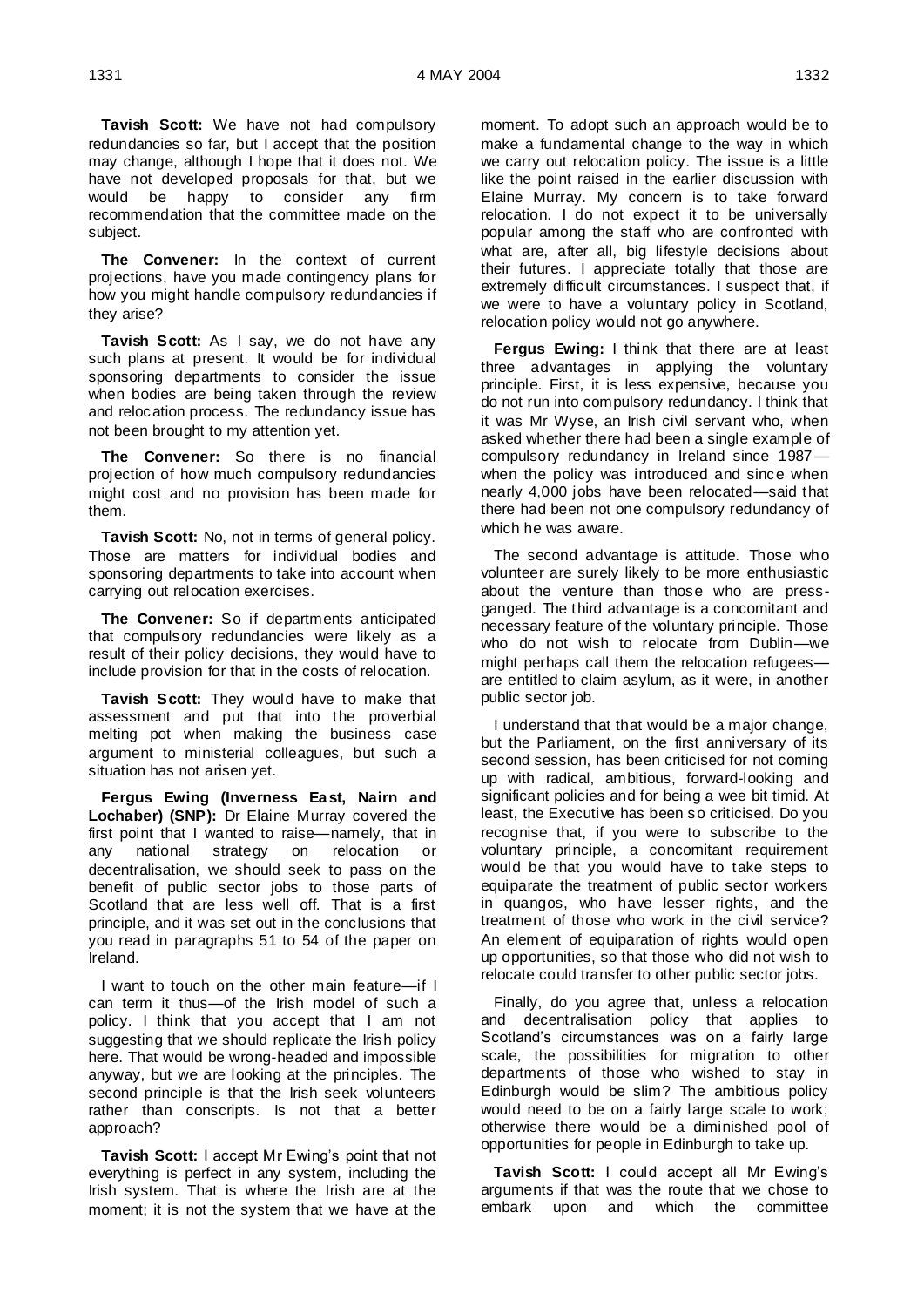**Tavish Scott:** We have not had compulsory redundancies so far, but I accept that the position may change, although I hope that it does not. We have not developed proposals for that, but we would be happy to consider any firm recommendation that the committee made on the subject.

**The Convener:** In the context of current projections, have you made contingency plans for how you might handle compulsory redundancies if they arise?

**Tavish Scott:** As I say, we do not have any such plans at present. It would be for individual sponsoring departments to consider the issue when bodies are being taken through the review and relocation process. The redundancy issue has not been brought to my attention yet.

**The Convener:** So there is no financial projection of how much compulsory redundancies might cost and no provision has been made for them.

**Tavish Scott:** No, not in terms of general policy. Those are matters for individual bodies and sponsoring departments to take into account when carrying out relocation exercises.

**The Convener:** So if departments anticipated that compulsory redundancies were likely as a result of their policy decisions, they would have to include provision for that in the costs of relocation.

**Tavish Scott:** They would have to make that assessment and put that into the proverbial melting pot when making the business case argument to ministerial colleagues, but such a situation has not arisen yet.

**Fergus Ewing (Inverness East, Nairn and Lochaber) (SNP):** Dr Elaine Murray covered the first point that I wanted to raise—namely, that in any national strategy on relocation or decentralisation, we should seek to pass on the benefit of public sector jobs to those parts of Scotland that are less well off. That is a first principle, and it was set out in the conclusions that you read in paragraphs 51 to 54 of the paper on Ireland.

I want to touch on the other main feature—if I can term it thus—of the Irish model of such a policy. I think that you accept that I am not suggesting that we should replicate the Irish policy here. That would be wrong-headed and impossible anyway, but we are looking at the principles. The second principle is that the Irish seek volunteers rather than conscripts. Is not that a better approach?

**Tavish Scott:** I accept Mr Ewing's point that not everything is perfect in any system, including the Irish system. That is where the Irish are at the moment; it is not the system that we have at the

moment. To adopt such an approach would be to make a fundamental change to the way in which we carry out relocation policy. The issue is a little like the point raised in the earlier discussion with Elaine Murray. My concern is to take forward relocation. I do not expect it to be universally popular among the staff who are confronted with what are, after all, big lifestyle decisions about their futures. I appreciate totally that those are extremely difficult circumstances. I suspect that, if we were to have a voluntary policy in Scotland, relocation policy would not go anywhere.

**Fergus Ewing:** I think that there are at least three advantages in applying the voluntary principle. First, it is less expensive, because you do not run into compulsory redundancy. I think that it was Mr Wyse, an Irish civil servant who, when asked whether there had been a single example of compulsory redundancy in Ireland since 1987 when the policy was introduced and since when nearly 4,000 jobs have been relocated—said that there had been not one compulsory redundancy of which he was aware.

The second advantage is attitude. Those who volunteer are surely likely to be more enthusiastic about the venture than those who are pressganged. The third advantage is a concomitant and necessary feature of the voluntary principle. Those who do not wish to relocate from Dublin—we might perhaps call them the relocation refugees are entitled to claim asylum, as it were, in another public sector job.

I understand that that would be a major change, but the Parliament, on the first anniversary of its second session, has been criticised for not coming up with radical, ambitious, forward-looking and significant policies and for being a wee bit timid. At least, the Executive has been so criticised. Do you recognise that, if you were to subscribe to the voluntary principle, a concomitant requirement would be that you would have to take steps to equiparate the treatment of public sector workers in quangos, who have lesser rights, and the treatment of those who work in the civil service? An element of equiparation of rights would open up opportunities, so that those who did not wish to relocate could transfer to other public sector jobs.

Finally, do you agree that, unless a relocation and decentralisation policy that applies to Scotland's circumstances was on a fairly large scale, the possibilities for migration to other departments of those who wished to stay in Edinburgh would be slim? The ambitious policy would need to be on a fairly large scale to work; otherwise there would be a diminished pool of opportunities for people in Edinburgh to take up.

**Tavish Scott:** I could accept all Mr Ewing's arguments if that was the route that we chose to embark upon and which the committee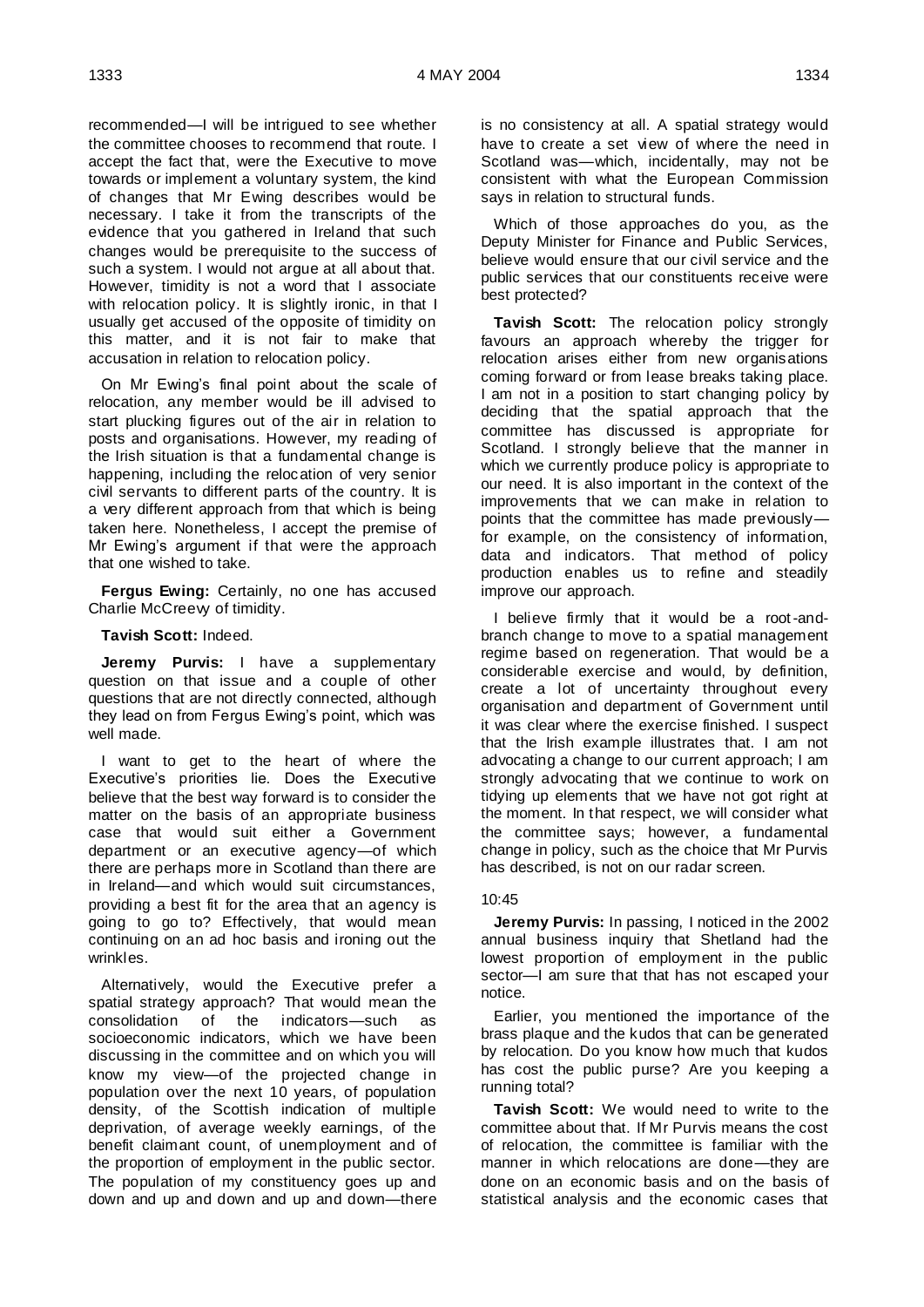recommended—I will be intrigued to see whether the committee chooses to recommend that route. I accept the fact that, were the Executive to move towards or implement a voluntary system, the kind of changes that Mr Ewing describes would be necessary. I take it from the transcripts of the evidence that you gathered in Ireland that such changes would be prerequisite to the success of such a system. I would not argue at all about that. However, timidity is not a word that I associate with relocation policy. It is slightly ironic, in that I usually get accused of the opposite of timidity on this matter, and it is not fair to make that accusation in relation to relocation policy.

On Mr Ewing's final point about the scale of relocation, any member would be ill advised to start plucking figures out of the air in relation to posts and organisations. However, my reading of the Irish situation is that a fundamental change is happening, including the relocation of very senior civil servants to different parts of the country. It is a very different approach from that which is being taken here. Nonetheless, I accept the premise of Mr Ewing's argument if that were the approach that one wished to take.

**Fergus Ewing:** Certainly, no one has accused Charlie McCreew of timidity.

### **Tavish Scott:** Indeed.

**Jeremy Purvis:** I have a supplementary question on that issue and a couple of other questions that are not directly connected, although they lead on from Fergus Ewing's point, which was well made.

I want to get to the heart of where the Executive's priorities lie. Does the Executive believe that the best way forward is to consider the matter on the basis of an appropriate business case that would suit either a Government department or an executive agency—of which there are perhaps more in Scotland than there are in Ireland—and which would suit circumstances, providing a best fit for the area that an agency is going to go to? Effectively, that would mean continuing on an ad hoc basis and ironing out the wrinkles.

Alternatively, would the Executive prefer a spatial strategy approach? That would mean the consolidation of the indicators—such as socioeconomic indicators, which we have been discussing in the committee and on which you will know my view—of the projected change in population over the next 10 years, of population density, of the Scottish indication of multiple deprivation, of average weekly earnings, of the benefit claimant count, of unemployment and of the proportion of employment in the public sector. The population of my constituency goes up and down and up and down and up and down—there is no consistency at all. A spatial strategy would have to create a set view of where the need in Scotland was—which, incidentally, may not be consistent with what the European Commission says in relation to structural funds.

Which of those approaches do you, as the Deputy Minister for Finance and Public Services, believe would ensure that our civil service and the public services that our constituents receive were best protected?

**Tavish Scott:** The relocation policy strongly favours an approach whereby the trigger for relocation arises either from new organisations coming forward or from lease breaks taking place. I am not in a position to start changing policy by deciding that the spatial approach that the committee has discussed is appropriate for Scotland. I strongly believe that the manner in which we currently produce policy is appropriate to our need. It is also important in the context of the improvements that we can make in relation to points that the committee has made previously for example, on the consistency of information, data and indicators. That method of policy production enables us to refine and steadily improve our approach.

I believe firmly that it would be a root-andbranch change to move to a spatial management regime based on regeneration. That would be a considerable exercise and would, by definition, create a lot of uncertainty throughout every organisation and department of Government until it was clear where the exercise finished. I suspect that the Irish example illustrates that. I am not advocating a change to our current approach; I am strongly advocating that we continue to work on tidying up elements that we have not got right at the moment. In that respect, we will consider what the committee says; however, a fundamental change in policy, such as the choice that Mr Purvis has described, is not on our radar screen.

### 10:45

**Jeremy Purvis:** In passing, I noticed in the 2002 annual business inquiry that Shetland had the lowest proportion of employment in the public sector—I am sure that that has not escaped your notice.

Earlier, you mentioned the importance of the brass plaque and the kudos that can be generated by relocation. Do you know how much that kudos has cost the public purse? Are you keeping a running total?

**Tavish Scott:** We would need to write to the committee about that. If Mr Purvis means the cost of relocation, the committee is familiar with the manner in which relocations are done—they are done on an economic basis and on the basis of statistical analysis and the economic cases that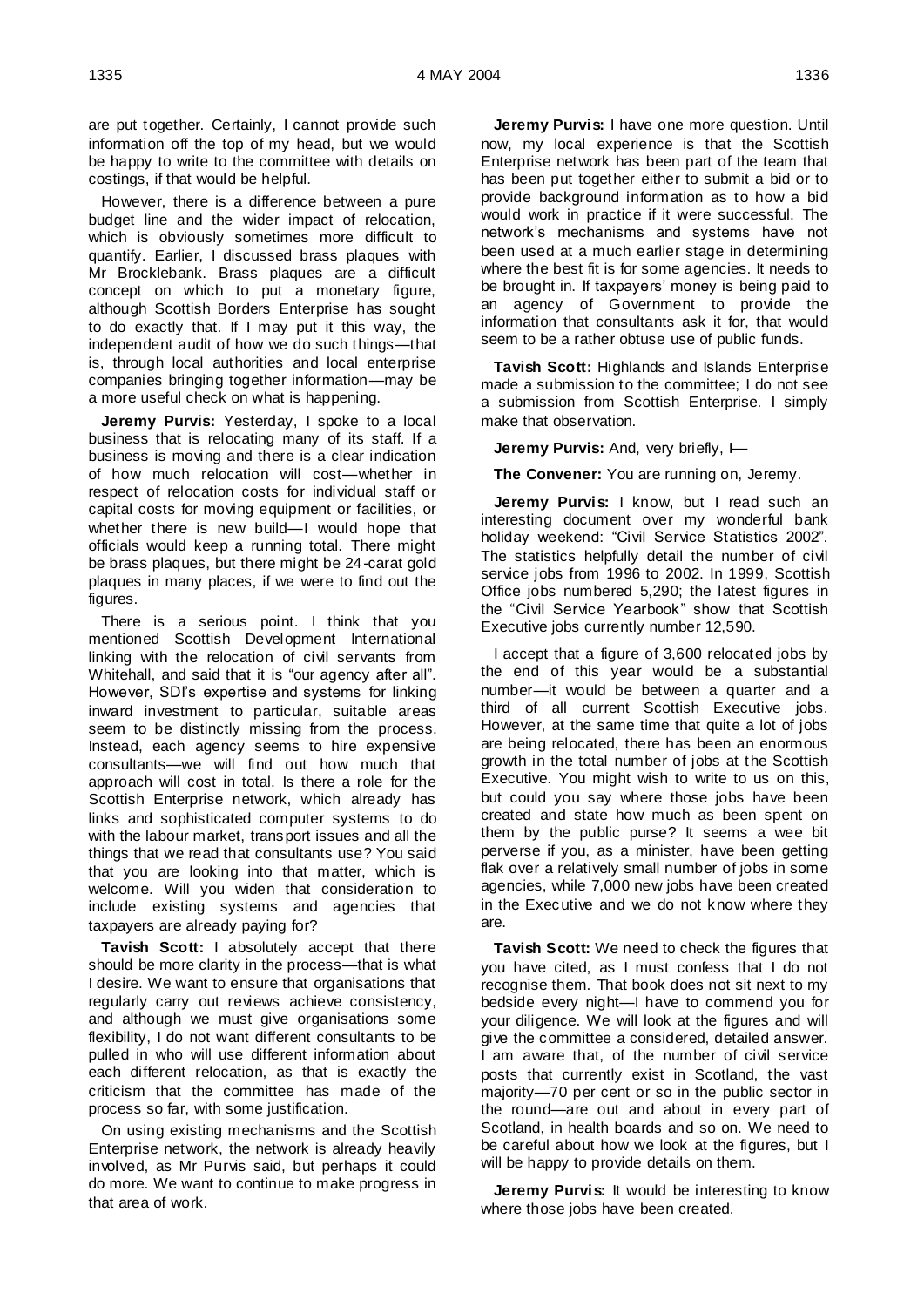are put together. Certainly, I cannot provide such information off the top of my head, but we would be happy to write to the committee with details on costings, if that would be helpful.

However, there is a difference between a pure budget line and the wider impact of relocation, which is obviously sometimes more difficult to quantify. Earlier, I discussed brass plaques with Mr Brocklebank. Brass plaques are a difficult concept on which to put a monetary figure, although Scottish Borders Enterprise has sought to do exactly that. If I may put it this way, the independent audit of how we do such things—that is, through local authorities and local enterprise companies bringing together information—may be a more useful check on what is happening.

**Jeremy Purvis:** Yesterday, I spoke to a local business that is relocating many of its staff. If a business is moving and there is a clear indication of how much relocation will cost—whether in respect of relocation costs for individual staff or capital costs for moving equipment or facilities, or whether there is new build—I would hope that officials would keep a running total. There might be brass plaques, but there might be 24-carat gold plaques in many places, if we were to find out the figures.

There is a serious point. I think that you mentioned Scottish Development International linking with the relocation of civil servants from Whitehall, and said that it is "our agency after all". However, SDI's expertise and systems for linking inward investment to particular, suitable areas seem to be distinctly missing from the process. Instead, each agency seems to hire expensive consultants—we will find out how much that approach will cost in total. Is there a role for the Scottish Enterprise network, which already has links and sophisticated computer systems to do with the labour market, transport issues and all the things that we read that consultants use? You said that you are looking into that matter, which is welcome. Will you widen that consideration to include existing systems and agencies that taxpayers are already paying for?

**Tavish Scott:** I absolutely accept that there should be more clarity in the process—that is what I desire. We want to ensure that organisations that regularly carry out reviews achieve consistency, and although we must give organisations some flexibility, I do not want different consultants to be pulled in who will use different information about each different relocation, as that is exactly the criticism that the committee has made of the process so far, with some justification.

On using existing mechanisms and the Scottish Enterprise network, the network is already heavily involved, as Mr Purvis said, but perhaps it could do more. We want to continue to make progress in that area of work.

**Jeremy Purvis:** I have one more question. Until now, my local experience is that the Scottish Enterprise network has been part of the team that has been put together either to submit a bid or to provide background information as to how a bid would work in practice if it were successful. The network's mechanisms and systems have not been used at a much earlier stage in determining where the best fit is for some agencies. It needs to be brought in. If taxpayers' money is being paid to an agency of Government to provide the information that consultants ask it for, that would seem to be a rather obtuse use of public funds.

**Tavish Scott:** Highlands and Islands Enterprise made a submission to the committee; I do not see a submission from Scottish Enterprise. I simply make that observation.

**Jeremy Purvis:** And, very briefly, I-

**The Convener:** You are running on, Jeremy.

**Jeremy Purvis:** I know, but I read such an interesting document over my wonderful bank holiday weekend: "Civil Service Statistics 2002". The statistics helpfully detail the number of civil service jobs from 1996 to 2002. In 1999, Scottish Office jobs numbered 5,290; the latest figures in the "Civil Service Yearbook" show that Scottish Executive jobs currently number 12,590.

I accept that a figure of 3,600 relocated jobs by the end of this year would be a substantial number—it would be between a quarter and a third of all current Scottish Executive jobs. However, at the same time that quite a lot of jobs are being relocated, there has been an enormous growth in the total number of jobs at the Scottish Executive. You might wish to write to us on this, but could you say where those jobs have been created and state how much as been spent on them by the public purse? It seems a wee bit perverse if you, as a minister, have been getting flak over a relatively small number of jobs in some agencies, while 7,000 new jobs have been created in the Executive and we do not know where they are.

**Tavish Scott:** We need to check the figures that you have cited, as I must confess that I do not recognise them. That book does not sit next to my bedside every night—I have to commend you for your diligence. We will look at the figures and will give the committee a considered, detailed answer. I am aware that, of the number of civil service posts that currently exist in Scotland, the vast majority—70 per cent or so in the public sector in the round—are out and about in every part of Scotland, in health boards and so on. We need to be careful about how we look at the figures, but I will be happy to provide details on them.

**Jeremy Purvis:** It would be interesting to know where those jobs have been created.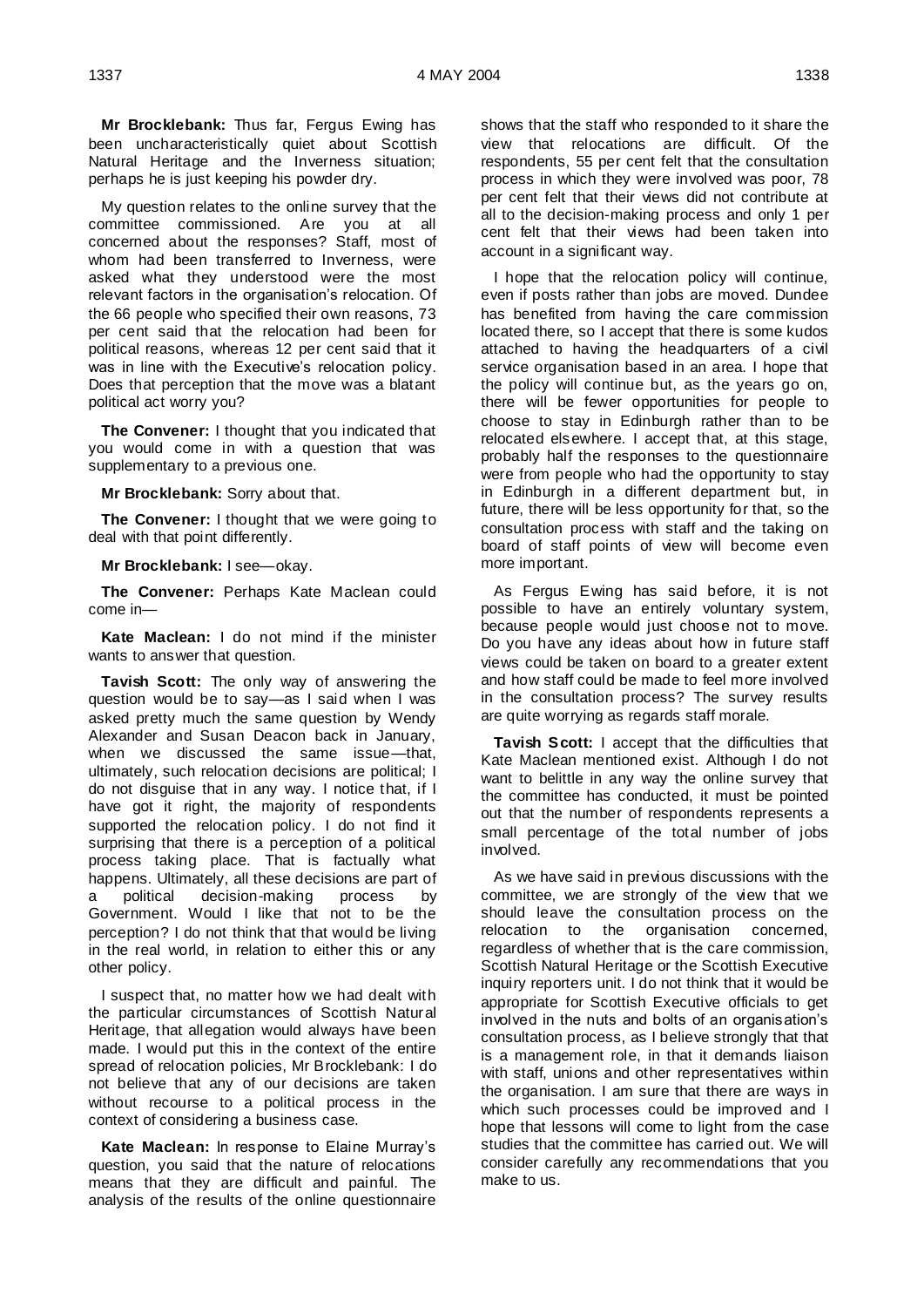**Mr Brocklebank:** Thus far, Fergus Ewing has been uncharacteristically quiet about Scottish Natural Heritage and the Inverness situation; perhaps he is just keeping his powder dry.

My question relates to the online survey that the committee commissioned. Are you at all concerned about the responses? Staff, most of whom had been transferred to Inverness, were asked what they understood were the most relevant factors in the organisation's relocation. Of the 66 people who specified their own reasons, 73 per cent said that the relocation had been for political reasons, whereas 12 per cent said that it was in line with the Executive's relocation policy. Does that perception that the move was a blatant political act worry you?

**The Convener:** I thought that you indicated that you would come in with a question that was supplementary to a previous one.

**Mr Brocklebank:** Sorry about that.

**The Convener:** I thought that we were going to deal with that point differently.

**Mr Brocklebank:** I see—okay.

**The Convener:** Perhaps Kate Maclean could come in—

**Kate Maclean:** I do not mind if the minister wants to answer that question.

**Tavish Scott:** The only way of answering the question would be to say—as I said when I was asked pretty much the same question by Wendy Alexander and Susan Deacon back in January, when we discussed the same issue—that, ultimately, such relocation decisions are political; I do not disguise that in any way. I notice that, if I have got it right, the majority of respondents supported the relocation policy. I do not find it surprising that there is a perception of a political process taking place. That is factually what happens. Ultimately, all these decisions are part of a political decision-making process by Government. Would I like that not to be the perception? I do not think that that would be living in the real world, in relation to either this or any other policy.

I suspect that, no matter how we had dealt with the particular circumstances of Scottish Natural Heritage, that allegation would always have been made. I would put this in the context of the entire spread of relocation policies, Mr Brocklebank: I do not believe that any of our decisions are taken without recourse to a political process in the context of considering a business case.

**Kate Maclean:** In response to Elaine Murray's question, you said that the nature of relocations means that they are difficult and painful. The analysis of the results of the online questionnaire shows that the staff who responded to it share the view that relocations are difficult. Of the respondents, 55 per cent felt that the consultation process in which they were involved was poor, 78 per cent felt that their views did not contribute at all to the decision-making process and only 1 per cent felt that their views had been taken into account in a significant way.

I hope that the relocation policy will continue, even if posts rather than jobs are moved. Dundee has benefited from having the care commission located there, so I accept that there is some kudos attached to having the headquarters of a civil service organisation based in an area. I hope that the policy will continue but, as the years go on, there will be fewer opportunities for people to choose to stay in Edinburgh rather than to be relocated elsewhere. I accept that, at this stage, probably half the responses to the questionnaire were from people who had the opportunity to stay in Edinburgh in a different department but, in future, there will be less opportunity for that, so the consultation process with staff and the taking on board of staff points of view will become even more important.

As Fergus Ewing has said before, it is not possible to have an entirely voluntary system, because people would just choose not to move. Do you have any ideas about how in future staff views could be taken on board to a greater extent and how staff could be made to feel more involved in the consultation process? The survey results are quite worrying as regards staff morale.

**Tavish Scott:** I accept that the difficulties that Kate Maclean mentioned exist. Although I do not want to belittle in any way the online survey that the committee has conducted, it must be pointed out that the number of respondents represents a small percentage of the total number of jobs involved.

As we have said in previous discussions with the committee, we are strongly of the view that we should leave the consultation process on the relocation to the organisation concerned, regardless of whether that is the care commission, Scottish Natural Heritage or the Scottish Executive inquiry reporters unit. I do not think that it would be appropriate for Scottish Executive officials to get involved in the nuts and bolts of an organisation's consultation process, as I believe strongly that that is a management role, in that it demands liaison with staff, unions and other representatives within the organisation. I am sure that there are ways in which such processes could be improved and I hope that lessons will come to light from the case studies that the committee has carried out. We will consider carefully any recommendations that you make to us.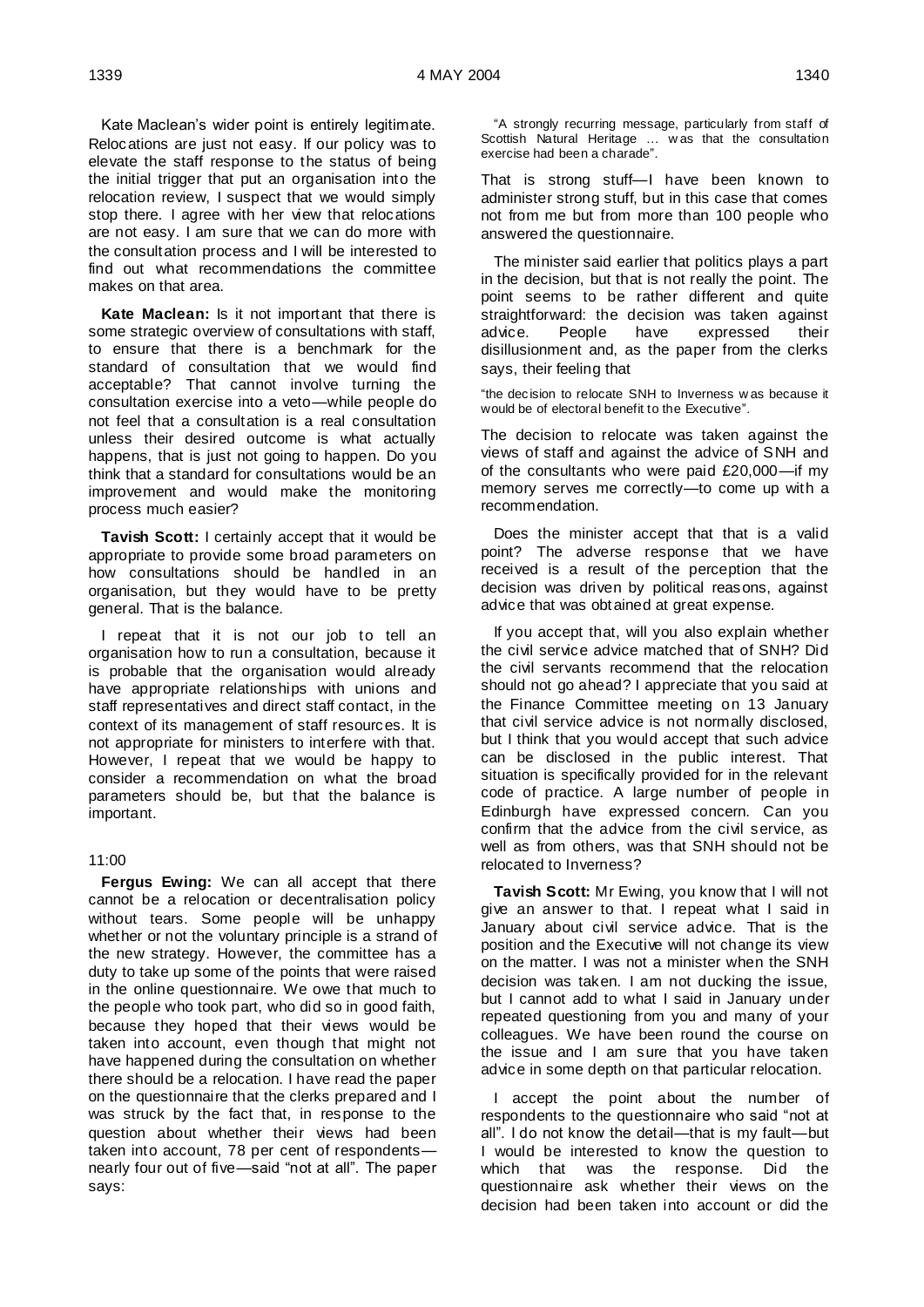Kate Maclean's wider point is entirely legitimate. Relocations are just not easy. If our policy was to elevate the staff response to the status of being the initial trigger that put an organisation into the relocation review, I suspect that we would simply stop there. I agree with her view that relocations are not easy. I am sure that we can do more with the consultation process and I will be interested to find out what recommendations the committee makes on that area.

**Kate Maclean:** Is it not important that there is some strategic overview of consultations with staff, to ensure that there is a benchmark for the standard of consultation that we would find acceptable? That cannot involve turning the consultation exercise into a veto—while people do not feel that a consultation is a real consultation unless their desired outcome is what actually happens, that is just not going to happen. Do you think that a standard for consultations would be an improvement and would make the monitoring process much easier?

**Tavish Scott:** I certainly accept that it would be appropriate to provide some broad parameters on how consultations should be handled in an organisation, but they would have to be pretty general. That is the balance.

I repeat that it is not our job to tell an organisation how to run a consultation, because it is probable that the organisation would already have appropriate relationships with unions and staff representatives and direct staff contact, in the context of its management of staff resources. It is not appropriate for ministers to interfere with that. However, I repeat that we would be happy to consider a recommendation on what the broad parameters should be, but that the balance is important.

### 11:00

**Fergus Ewing:** We can all accept that there cannot be a relocation or decentralisation policy without tears. Some people will be unhappy whether or not the voluntary principle is a strand of the new strategy. However, the committee has a duty to take up some of the points that were raised in the online questionnaire. We owe that much to the people who took part, who did so in good faith, because they hoped that their views would be taken into account, even though that might not have happened during the consultation on whether there should be a relocation. I have read the paper on the questionnaire that the clerks prepared and I was struck by the fact that, in response to the question about whether their views had been taken into account, 78 per cent of respondents nearly four out of five—said "not at all". The paper says:

"A strongly recurring message, particularly from staff of Scottish Natural Heritage … w as that the consultation exercise had been a charade".

That is strong stuff—I have been known to administer strong stuff, but in this case that comes not from me but from more than 100 people who answered the questionnaire.

The minister said earlier that politics plays a part in the decision, but that is not really the point. The point seems to be rather different and quite straightforward: the decision was taken against<br>advice. People have expressed their expressed their disillusionment and, as the paper from the clerks says, their feeling that

"the decision to relocate SNH to Inverness w as because it would be of electoral benefit to the Executive".

The decision to relocate was taken against the views of staff and against the advice of SNH and of the consultants who were paid £20,000—if my memory serves me correctly—to come up with a recommendation.

Does the minister accept that that is a valid point? The adverse response that we have received is a result of the perception that the decision was driven by political reasons, against advice that was obtained at great expense.

If you accept that, will you also explain whether the civil service advice matched that of SNH? Did the civil servants recommend that the relocation should not go ahead? I appreciate that you said at the Finance Committee meeting on 13 January that civil service advice is not normally disclosed, but I think that you would accept that such advice can be disclosed in the public interest. That situation is specifically provided for in the relevant code of practice. A large number of people in Edinburgh have expressed concern. Can you confirm that the advice from the civil service, as well as from others, was that SNH should not be relocated to Inverness?

**Tavish Scott:** Mr Ewing, you know that I will not give an answer to that. I repeat what I said in January about civil service advice. That is the position and the Executive will not change its view on the matter. I was not a minister when the SNH decision was taken. I am not ducking the issue, but I cannot add to what I said in January under repeated questioning from you and many of your colleagues. We have been round the course on the issue and I am sure that you have taken advice in some depth on that particular relocation.

I accept the point about the number of respondents to the questionnaire who said "not at all". I do not know the detail—that is my fault—but I would be interested to know the question to which that was the response. Did the questionnaire ask whether their views on the decision had been taken into account or did the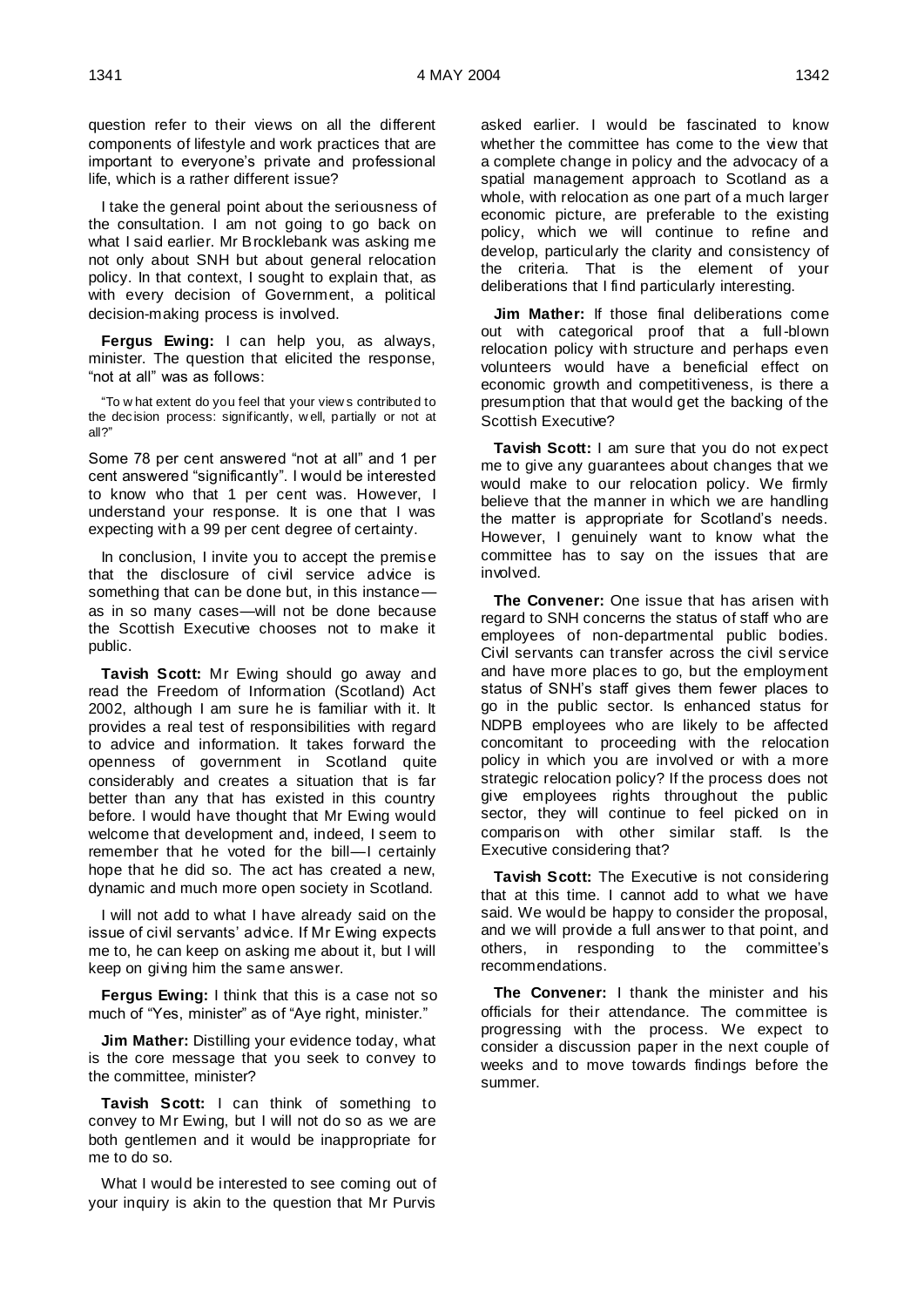question refer to their views on all the different components of lifestyle and work practices that are important to everyone's private and professional life, which is a rather different issue?

I take the general point about the seriousness of the consultation. I am not going to go back on what I said earlier. Mr Brocklebank was asking me not only about SNH but about general relocation policy. In that context, I sought to explain that, as with every decision of Government, a political decision-making process is involved.

**Fergus Ewing:** I can help you, as always, minister. The question that elicited the response, "not at all" was as follows:

"To w hat extent do you feel that your view s contributed to the decision process: significantly, w ell, partially or not at all?"

Some 78 per cent answered "not at all" and 1 per cent answered "significantly". I would be interested to know who that 1 per cent was. However, I understand your response. It is one that I was expecting with a 99 per cent degree of certainty.

In conclusion, I invite you to accept the premise that the disclosure of civil service advice is something that can be done but, in this instance as in so many cases—will not be done because the Scottish Executive chooses not to make it public.

**Tavish Scott:** Mr Ewing should go away and read the Freedom of Information (Scotland) Act 2002, although I am sure he is familiar with it. It provides a real test of responsibilities with regard to advice and information. It takes forward the openness of government in Scotland quite considerably and creates a situation that is far better than any that has existed in this country before. I would have thought that Mr Ewing would welcome that development and, indeed, I seem to remember that he voted for the bill—I certainly hope that he did so. The act has created a new, dynamic and much more open society in Scotland.

I will not add to what I have already said on the issue of civil servants' advice. If Mr Ewing expects me to, he can keep on asking me about it, but I will keep on giving him the same answer.

**Fergus Ewing:** I think that this is a case not so much of "Yes, minister" as of "Aye right, minister."

**Jim Mather:** Distilling your evidence today, what is the core message that you seek to convey to the committee, minister?

**Tavish Scott:** I can think of something to convey to Mr Ewing, but I will not do so as we are both gentlemen and it would be inappropriate for me to do so.

What I would be interested to see coming out of your inquiry is akin to the question that Mr Purvis

asked earlier. I would be fascinated to know whether the committee has come to the view that a complete change in policy and the advocacy of a spatial management approach to Scotland as a whole, with relocation as one part of a much larger economic picture, are preferable to the existing policy, which we will continue to refine and develop, particularly the clarity and consistency of the criteria. That is the element of your deliberations that I find particularly interesting.

**Jim Mather:** If those final deliberations come out with categorical proof that a full-blown relocation policy with structure and perhaps even volunteers would have a beneficial effect on economic growth and competitiveness, is there a presumption that that would get the backing of the Scottish Executive?

**Tavish Scott:** I am sure that you do not expect me to give any guarantees about changes that we would make to our relocation policy. We firmly believe that the manner in which we are handling the matter is appropriate for Scotland's needs. However, I genuinely want to know what the committee has to say on the issues that are involved.

**The Convener:** One issue that has arisen with regard to SNH concerns the status of staff who are employees of non-departmental public bodies. Civil servants can transfer across the civil service and have more places to go, but the employment status of SNH's staff gives them fewer places to go in the public sector. Is enhanced status for NDPB employees who are likely to be affected concomitant to proceeding with the relocation policy in which you are involved or with a more strategic relocation policy? If the process does not give employees rights throughout the public sector, they will continue to feel picked on in comparison with other similar staff. Is the Executive considering that?

**Tavish Scott:** The Executive is not considering that at this time. I cannot add to what we have said. We would be happy to consider the proposal, and we will provide a full answer to that point, and others, in responding to the committee's recommendations.

**The Convener:** I thank the minister and his officials for their attendance. The committee is progressing with the process. We expect to consider a discussion paper in the next couple of weeks and to move towards findings before the summer.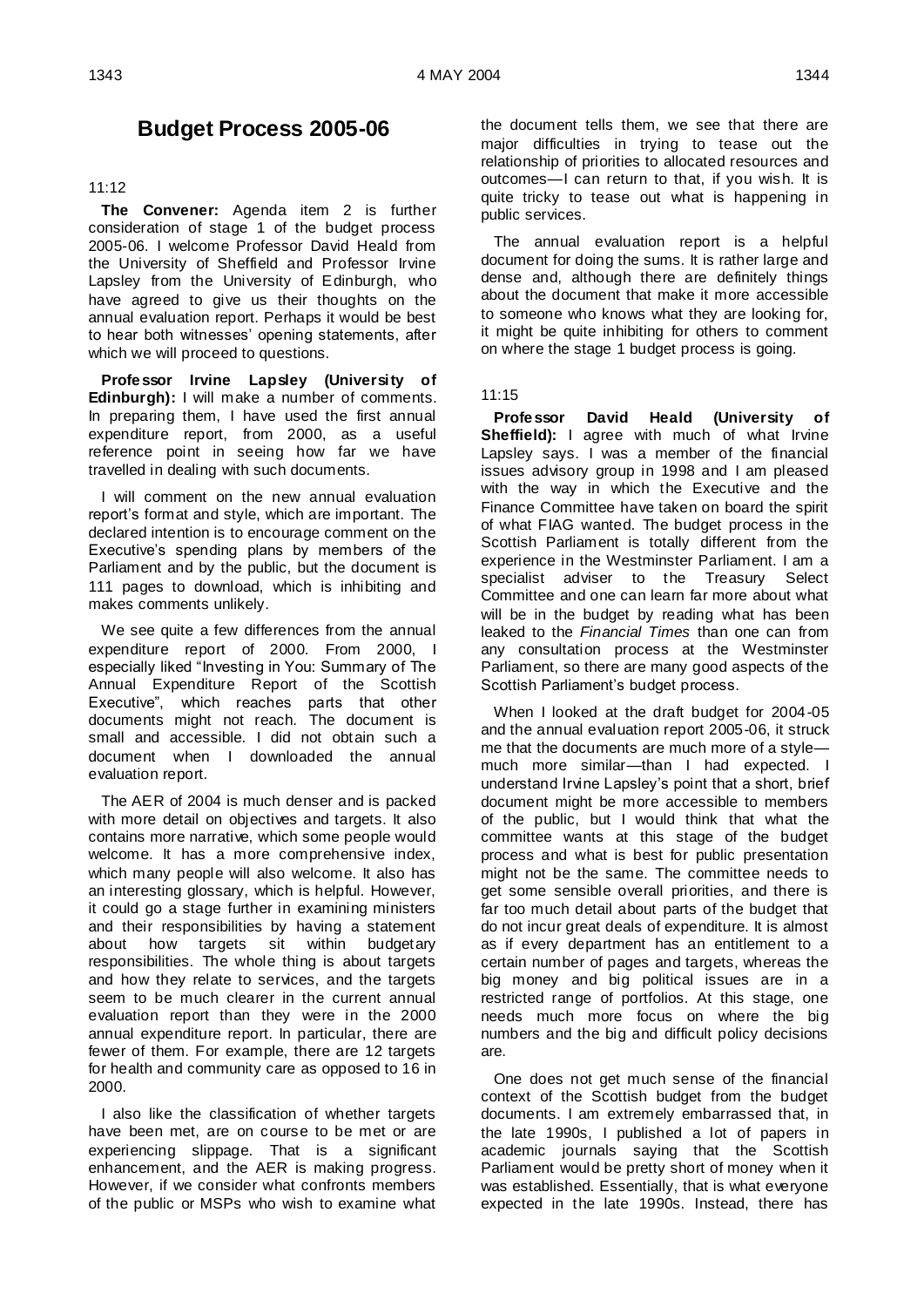# **Budget Process 2005-06**

### 11:12

**The Convener:** Agenda item 2 is further consideration of stage 1 of the budget process 2005-06. I welcome Professor David Heald from the University of Sheffield and Professor Irvine Lapsley from the University of Edinburgh, who have agreed to give us their thoughts on the annual evaluation report. Perhaps it would be best to hear both witnesses' opening statements, after which we will proceed to questions.

**Professor Irvine Lapsley (University of Edinburgh):** I will make a number of comments. In preparing them, I have used the first annual expenditure report, from 2000, as a useful reference point in seeing how far we have travelled in dealing with such documents.

I will comment on the new annual evaluation report's format and style, which are important. The declared intention is to encourage comment on the Executive's spending plans by members of the Parliament and by the public, but the document is 111 pages to download, which is inhibiting and makes comments unlikely.

We see quite a few differences from the annual expenditure report of 2000. From 2000, I especially liked "Investing in You: Summary of The Annual Expenditure Report of the Scottish Executive", which reaches parts that other documents might not reach. The document is small and accessible. I did not obtain such a document when I downloaded the annual evaluation report.

The AER of 2004 is much denser and is packed with more detail on objectives and targets. It also contains more narrative, which some people would welcome. It has a more comprehensive index, which many people will also welcome. It also has an interesting glossary, which is helpful. However, it could go a stage further in examining ministers and their responsibilities by having a statement about how targets sit within budgetary responsibilities. The whole thing is about targets and how they relate to services, and the targets seem to be much clearer in the current annual evaluation report than they were in the 2000 annual expenditure report. In particular, there are fewer of them. For example, there are 12 targets for health and community care as opposed to 16 in 2000.

I also like the classification of whether targets have been met, are on course to be met or are experiencing slippage. That is a significant enhancement, and the AER is making progress. However, if we consider what confronts members of the public or MSPs who wish to examine what the document tells them, we see that there are major difficulties in trying to tease out the relationship of priorities to allocated resources and outcomes—I can return to that, if you wish. It is quite tricky to tease out what is happening in public services.

The annual evaluation report is a helpful document for doing the sums. It is rather large and dense and, although there are definitely things about the document that make it more accessible to someone who knows what they are looking for, it might be quite inhibiting for others to comment on where the stage 1 budget process is going.

### 11:15

**Professor David Heald (University of Sheffield):** I agree with much of what Irvine Lapsley says. I was a member of the financial issues advisory group in 1998 and I am pleased with the way in which the Executive and the Finance Committee have taken on board the spirit of what FIAG wanted. The budget process in the Scottish Parliament is totally different from the experience in the Westminster Parliament. I am a specialist adviser to the Treasury Select Committee and one can learn far more about what will be in the budget by reading what has been leaked to the *Financial Times* than one can from any consultation process at the Westminster Parliament, so there are many good aspects of the Scottish Parliament's budget process.

When I looked at the draft budget for 2004-05 and the annual evaluation report 2005-06, it struck me that the documents are much more of a style much more similar—than I had expected. I understand Irvine Lapsley's point that a short, brief document might be more accessible to members of the public, but I would think that what the committee wants at this stage of the budget process and what is best for public presentation might not be the same. The committee needs to get some sensible overall priorities, and there is far too much detail about parts of the budget that do not incur great deals of expenditure. It is almost as if every department has an entitlement to a certain number of pages and targets, whereas the big money and big political issues are in a restricted range of portfolios. At this stage, one needs much more focus on where the big numbers and the big and difficult policy decisions are.

One does not get much sense of the financial context of the Scottish budget from the budget documents. I am extremely embarrassed that, in the late 1990s, I published a lot of papers in academic journals saying that the Scottish Parliament would be pretty short of money when it was established. Essentially, that is what everyone expected in the late 1990s. Instead, there has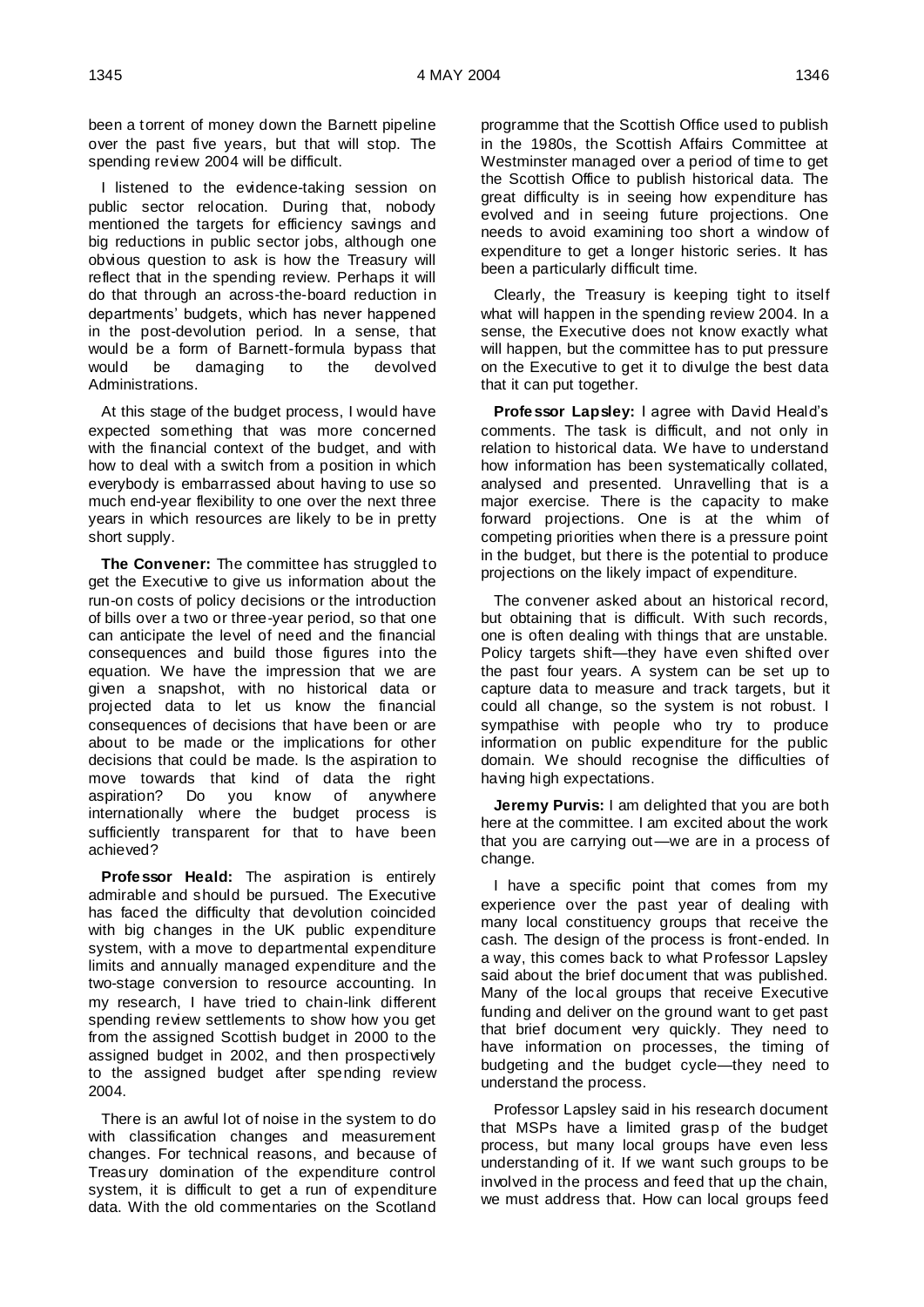been a torrent of money down the Barnett pipeline over the past five years, but that will stop. The spending review 2004 will be difficult.

I listened to the evidence-taking session on public sector relocation. During that, nobody mentioned the targets for efficiency savings and big reductions in public sector jobs, although one obvious question to ask is how the Treasury will reflect that in the spending review. Perhaps it will do that through an across-the-board reduction in departments' budgets, which has never happened in the post-devolution period. In a sense, that would be a form of Barnett-formula bypass that would be damaging to the devolved Administrations.

At this stage of the budget process, I would have expected something that was more concerned with the financial context of the budget, and with how to deal with a switch from a position in which everybody is embarrassed about having to use so much end-year flexibility to one over the next three years in which resources are likely to be in pretty short supply.

**The Convener:** The committee has struggled to get the Executive to give us information about the run-on costs of policy decisions or the introduction of bills over a two or three-year period, so that one can anticipate the level of need and the financial consequences and build those figures into the equation. We have the impression that we are given a snapshot, with no historical data or projected data to let us know the financial consequences of decisions that have been or are about to be made or the implications for other decisions that could be made. Is the aspiration to move towards that kind of data the right aspiration? Do you know of anywhere internationally where the budget process is sufficiently transparent for that to have been achieved?

**Professor Heald:** The aspiration is entirely admirable and should be pursued. The Executive has faced the difficulty that devolution coincided with big changes in the UK public expenditure system, with a move to departmental expenditure limits and annually managed expenditure and the two-stage conversion to resource accounting. In my research, I have tried to chain-link different spending review settlements to show how you get from the assigned Scottish budget in 2000 to the assigned budget in 2002, and then prospectively to the assigned budget after spending review 2004.

There is an awful lot of noise in the system to do with classification changes and measurement changes. For technical reasons, and because of Treasury domination of the expenditure control system, it is difficult to get a run of expenditure data. With the old commentaries on the Scotland

programme that the Scottish Office used to publish in the 1980s, the Scottish Affairs Committee at Westminster managed over a period of time to get the Scottish Office to publish historical data. The great difficulty is in seeing how expenditure has evolved and in seeing future projections. One needs to avoid examining too short a window of expenditure to get a longer historic series. It has been a particularly difficult time.

Clearly, the Treasury is keeping tight to itself what will happen in the spending review 2004. In a sense, the Executive does not know exactly what will happen, but the committee has to put pressure on the Executive to get it to divulge the best data that it can put together.

**Professor Lapsley:** I agree with David Heald's comments. The task is difficult, and not only in relation to historical data. We have to understand how information has been systematically collated, analysed and presented. Unravelling that is a major exercise. There is the capacity to make forward projections. One is at the whim of competing priorities when there is a pressure point in the budget, but there is the potential to produce projections on the likely impact of expenditure.

The convener asked about an historical record, but obtaining that is difficult. With such records, one is often dealing with things that are unstable. Policy targets shift—they have even shifted over the past four years. A system can be set up to capture data to measure and track targets, but it could all change, so the system is not robust. I sympathise with people who try to produce information on public expenditure for the public domain. We should recognise the difficulties of having high expectations.

**Jeremy Purvis:** I am delighted that you are both here at the committee. I am excited about the work that you are carrying out—we are in a process of change.

I have a specific point that comes from my experience over the past year of dealing with many local constituency groups that receive the cash. The design of the process is front-ended. In a way, this comes back to what Professor Lapsley said about the brief document that was published. Many of the local groups that receive Executive funding and deliver on the ground want to get past that brief document very quickly. They need to have information on processes, the timing of budgeting and the budget cycle—they need to understand the process.

Professor Lapsley said in his research document that MSPs have a limited grasp of the budget process, but many local groups have even less understanding of it. If we want such groups to be involved in the process and feed that up the chain, we must address that. How can local groups feed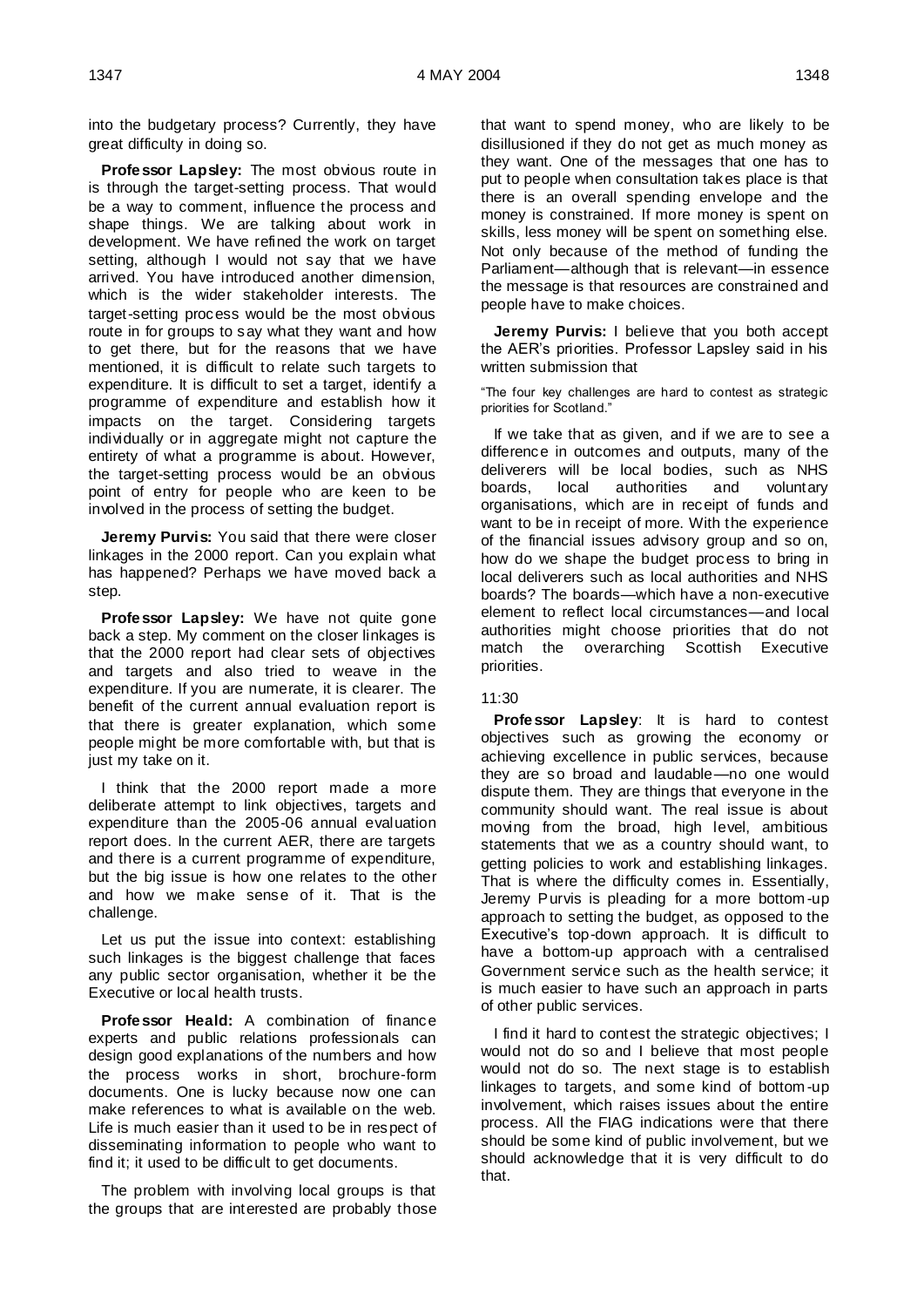into the budgetary process? Currently, they have great difficulty in doing so.

**Professor Lapsley:** The most obvious route in is through the target-setting process. That would be a way to comment, influence the process and shape things. We are talking about work in development. We have refined the work on target setting, although I would not say that we have arrived. You have introduced another dimension, which is the wider stakeholder interests. The target-setting process would be the most obvious route in for groups to say what they want and how to get there, but for the reasons that we have mentioned, it is difficult to relate such targets to expenditure. It is difficult to set a target, identify a programme of expenditure and establish how it impacts on the target. Considering targets individually or in aggregate might not capture the entirety of what a programme is about. However, the target-setting process would be an obvious point of entry for people who are keen to be involved in the process of setting the budget.

**Jeremy Purvis:** You said that there were closer linkages in the 2000 report. Can you explain what has happened? Perhaps we have moved back a step.

**Professor Lapsley:** We have not quite gone back a step. My comment on the closer linkages is that the 2000 report had clear sets of objectives and targets and also tried to weave in the expenditure. If you are numerate, it is clearer. The benefit of the current annual evaluation report is that there is greater explanation, which some people might be more comfortable with, but that is just my take on it.

I think that the 2000 report made a more deliberate attempt to link objectives, targets and expenditure than the 2005-06 annual evaluation report does. In the current AER, there are targets and there is a current programme of expenditure, but the big issue is how one relates to the other and how we make sense of it. That is the challenge.

Let us put the issue into context: establishing such linkages is the biggest challenge that faces any public sector organisation, whether it be the Executive or local health trusts.

**Profe ssor Heald:** A combination of finance experts and public relations professionals can design good explanations of the numbers and how the process works in short, brochure-form documents. One is lucky because now one can make references to what is available on the web. Life is much easier than it used to be in respect of disseminating information to people who want to find it; it used to be difficult to get documents.

The problem with involving local groups is that the groups that are interested are probably those

that want to spend money, who are likely to be disillusioned if they do not get as much money as they want. One of the messages that one has to put to people when consultation takes place is that there is an overall spending envelope and the money is constrained. If more money is spent on skills, less money will be spent on something else. Not only because of the method of funding the Parliament—although that is relevant—in essence the message is that resources are constrained and people have to make choices.

**Jeremy Purvis:** I believe that you both accept the AER's priorities. Professor Lapsley said in his written submission that

"The four key challenges are hard to contest as strategic priorities for Scotland."

If we take that as given, and if we are to see a difference in outcomes and outputs, many of the deliverers will be local bodies, such as NHS boards, local authorities and voluntary organisations, which are in receipt of funds and want to be in receipt of more. With the experience of the financial issues advisory group and so on, how do we shape the budget process to bring in local deliverers such as local authorities and NHS boards? The boards—which have a non-executive element to reflect local circumstances—and local authorities might choose priorities that do not match the overarching Scottish Executive priorities.

### 11:30

**Professor Lapsley**: It is hard to contest objectives such as growing the economy or achieving excellence in public services, because they are so broad and laudable—no one would dispute them. They are things that everyone in the community should want. The real issue is about moving from the broad, high level, ambitious statements that we as a country should want, to getting policies to work and establishing linkages. That is where the difficulty comes in. Essentially, Jeremy Purvis is pleading for a more bottom -up approach to setting the budget, as opposed to the Executive's top-down approach. It is difficult to have a bottom-up approach with a centralised Government service such as the health service; it is much easier to have such an approach in parts of other public services.

I find it hard to contest the strategic objectives; I would not do so and I believe that most people would not do so. The next stage is to establish linkages to targets, and some kind of bottom -up involvement, which raises issues about the entire process. All the FIAG indications were that there should be some kind of public involvement, but we should acknowledge that it is very difficult to do that.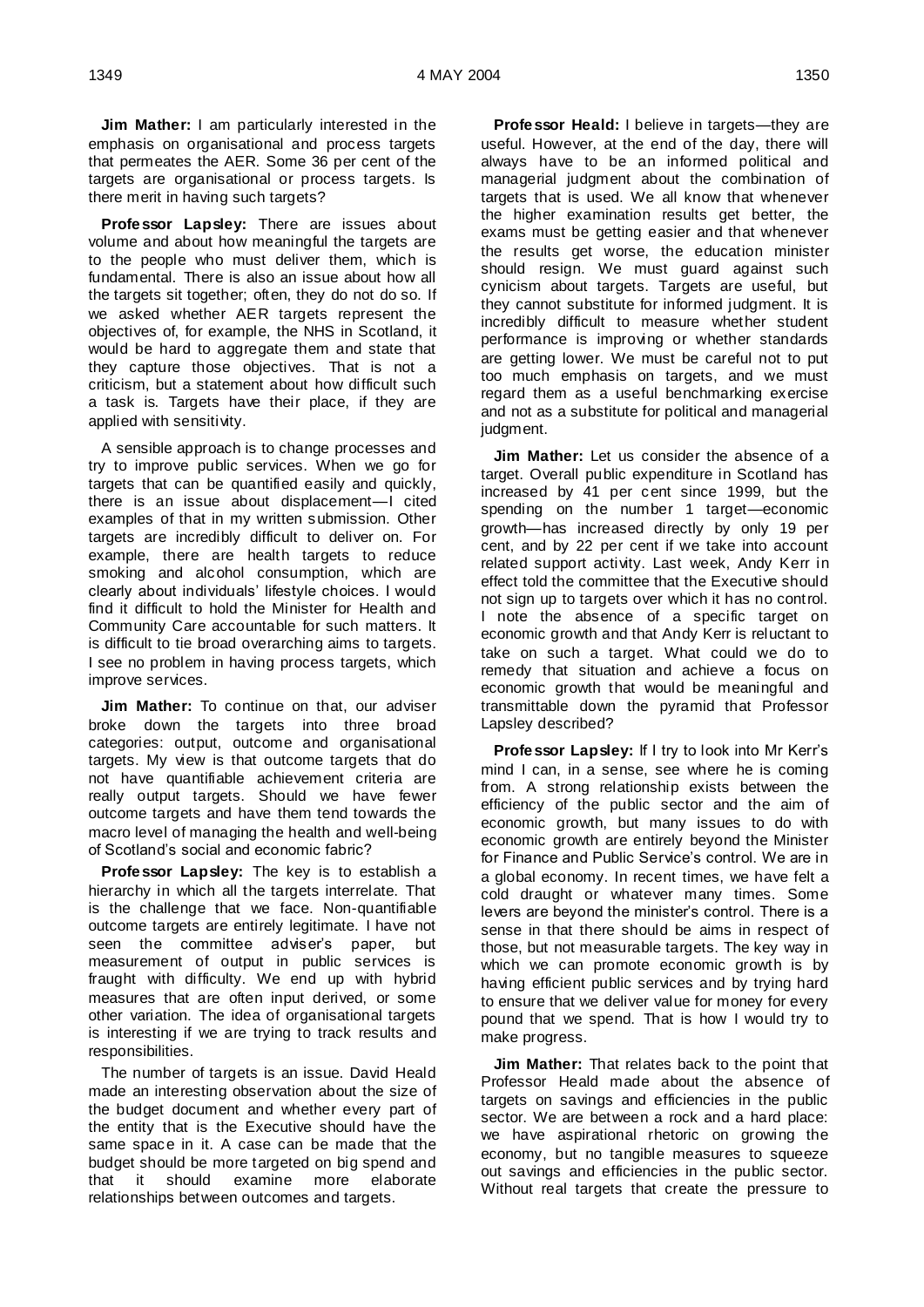**Jim Mather:** I am particularly interested in the emphasis on organisational and process targets that permeates the AER. Some 36 per cent of the targets are organisational or process targets. Is there merit in having such targets?

**Professor Lapsley:** There are issues about volume and about how meaningful the targets are to the people who must deliver them, which is fundamental. There is also an issue about how all the targets sit together; often, they do not do so. If we asked whether AER targets represent the objectives of, for example, the NHS in Scotland, it would be hard to aggregate them and state that they capture those objectives. That is not a criticism, but a statement about how difficult such a task is. Targets have their place, if they are applied with sensitivity.

A sensible approach is to change processes and try to improve public services. When we go for targets that can be quantified easily and quickly, there is an issue about displacement—I cited examples of that in my written submission. Other targets are incredibly difficult to deliver on. For example, there are health targets to reduce smoking and alcohol consumption, which are clearly about individuals' lifestyle choices. I would find it difficult to hold the Minister for Health and Community Care accountable for such matters. It is difficult to tie broad overarching aims to targets. I see no problem in having process targets, which improve services.

**Jim Mather:** To continue on that, our adviser broke down the targets into three broad categories: output, outcome and organisational targets. My view is that outcome targets that do not have quantifiable achievement criteria are really output targets. Should we have fewer outcome targets and have them tend towards the macro level of managing the health and well-being of Scotland's social and economic fabric?

**Professor Lapsley:** The key is to establish a hierarchy in which all the targets interrelate. That is the challenge that we face. Non-quantifiable outcome targets are entirely legitimate. I have not seen the committee adviser's paper, but measurement of output in public services is fraught with difficulty. We end up with hybrid measures that are often input derived, or some other variation. The idea of organisational targets is interesting if we are trying to track results and responsibilities.

The number of targets is an issue. David Heald made an interesting observation about the size of the budget document and whether every part of the entity that is the Executive should have the same space in it. A case can be made that the budget should be more targeted on big spend and that it should examine more elaborate relationships between outcomes and targets.

**Professor Heald:** I believe in targets—they are useful. However, at the end of the day, there will always have to be an informed political and managerial judgment about the combination of targets that is used. We all know that whenever the higher examination results get better, the exams must be getting easier and that whenever the results get worse, the education minister should resign. We must guard against such cynicism about targets. Targets are useful, but they cannot substitute for informed judgment. It is incredibly difficult to measure whether student performance is improving or whether standards are getting lower. We must be careful not to put too much emphasis on targets, and we must regard them as a useful benchmarking exercise and not as a substitute for political and managerial judgment.

**Jim Mather:** Let us consider the absence of a target. Overall public expenditure in Scotland has increased by 41 per cent since 1999, but the spending on the number 1 target—economic growth—has increased directly by only 19 per cent, and by 22 per cent if we take into account related support activity. Last week, Andy Kerr in effect told the committee that the Executive should not sign up to targets over which it has no control. I note the absence of a specific target on economic growth and that Andy Kerr is reluctant to take on such a target. What could we do to remedy that situation and achieve a focus on economic growth that would be meaningful and transmittable down the pyramid that Professor Lapsley described?

**Professor Lapsley:** If I try to look into Mr Kerr's mind I can, in a sense, see where he is coming from. A strong relationship exists between the efficiency of the public sector and the aim of economic growth, but many issues to do with economic growth are entirely beyond the Minister for Finance and Public Service's control. We are in a global economy. In recent times, we have felt a cold draught or whatever many times. Some levers are beyond the minister's control. There is a sense in that there should be aims in respect of those, but not measurable targets. The key way in which we can promote economic growth is by having efficient public services and by trying hard to ensure that we deliver value for money for every pound that we spend. That is how I would try to make progress.

**Jim Mather:** That relates back to the point that Professor Heald made about the absence of targets on savings and efficiencies in the public sector. We are between a rock and a hard place: we have aspirational rhetoric on growing the economy, but no tangible measures to squeeze out savings and efficiencies in the public sector. Without real targets that create the pressure to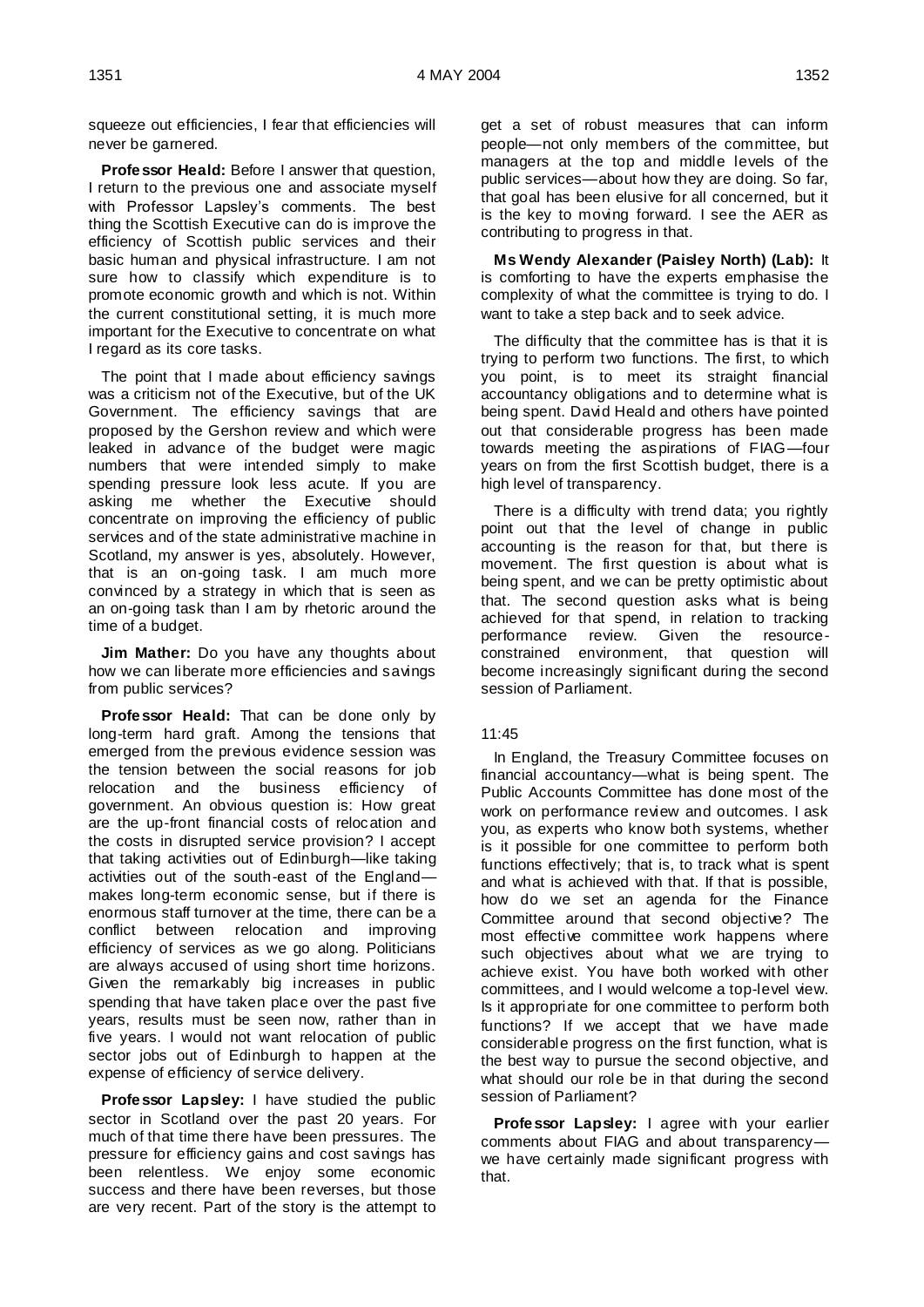squeeze out efficiencies, I fear that efficiencies will never be garnered.

**Professor Heald:** Before I answer that question, I return to the previous one and associate myself with Professor Lapsley's comments. The best thing the Scottish Executive can do is improve the efficiency of Scottish public services and their basic human and physical infrastructure. I am not sure how to classify which expenditure is to promote economic growth and which is not. Within the current constitutional setting, it is much more important for the Executive to concentrate on what I regard as its core tasks.

The point that I made about efficiency savings was a criticism not of the Executive, but of the UK Government. The efficiency savings that are proposed by the Gershon review and which were leaked in advance of the budget were magic numbers that were intended simply to make spending pressure look less acute. If you are asking me whether the Executive should concentrate on improving the efficiency of public services and of the state administrative machine in Scotland, my answer is yes, absolutely. However, that is an on-going task. I am much more convinced by a strategy in which that is seen as an on-going task than I am by rhetoric around the time of a budget.

**Jim Mather:** Do you have any thoughts about how we can liberate more efficiencies and savings from public services?

**Professor Heald:** That can be done only by long-term hard graft. Among the tensions that emerged from the previous evidence session was the tension between the social reasons for job relocation and the business efficiency of government. An obvious question is: How great are the up-front financial costs of relocation and the costs in disrupted service provision? I accept that taking activities out of Edinburgh—like taking activities out of the south-east of the England makes long-term economic sense, but if there is enormous staff turnover at the time, there can be a conflict between relocation and improving efficiency of services as we go along. Politicians are always accused of using short time horizons. Given the remarkably big increases in public spending that have taken place over the past five years, results must be seen now, rather than in five years. I would not want relocation of public sector jobs out of Edinburgh to happen at the expense of efficiency of service delivery.

**Professor Lapsley:** I have studied the public sector in Scotland over the past 20 years. For much of that time there have been pressures. The pressure for efficiency gains and cost savings has been relentless. We enjoy some economic success and there have been reverses, but those are very recent. Part of the story is the attempt to get a set of robust measures that can inform people—not only members of the committee, but managers at the top and middle levels of the public services—about how they are doing. So far, that goal has been elusive for all concerned, but it is the key to moving forward. I see the AER as contributing to progress in that.

**Ms Wendy Alexander (Paisley North) (Lab):** It is comforting to have the experts emphasise the complexity of what the committee is trying to do. I want to take a step back and to seek advice.

The difficulty that the committee has is that it is trying to perform two functions. The first, to which you point, is to meet its straight financial accountancy obligations and to determine what is being spent. David Heald and others have pointed out that considerable progress has been made towards meeting the aspirations of FIAG—four years on from the first Scottish budget, there is a high level of transparency.

There is a difficulty with trend data; you rightly point out that the level of change in public accounting is the reason for that, but there is movement. The first question is about what is being spent, and we can be pretty optimistic about that. The second question asks what is being achieved for that spend, in relation to tracking performance review. Given the resourceconstrained environment, that question will become increasingly significant during the second session of Parliament.

### 11:45

In England, the Treasury Committee focuses on financial accountancy—what is being spent. The Public Accounts Committee has done most of the work on performance review and outcomes. I ask you, as experts who know both systems, whether is it possible for one committee to perform both functions effectively; that is, to track what is spent and what is achieved with that. If that is possible, how do we set an agenda for the Finance Committee around that second objective? The most effective committee work happens where such objectives about what we are trying to achieve exist. You have both worked with other committees, and I would welcome a top-level view. Is it appropriate for one committee to perform both functions? If we accept that we have made considerable progress on the first function, what is the best way to pursue the second objective, and what should our role be in that during the second session of Parliament?

**Professor Lapsley:** I agree with your earlier comments about FIAG and about transparency we have certainly made significant progress with that.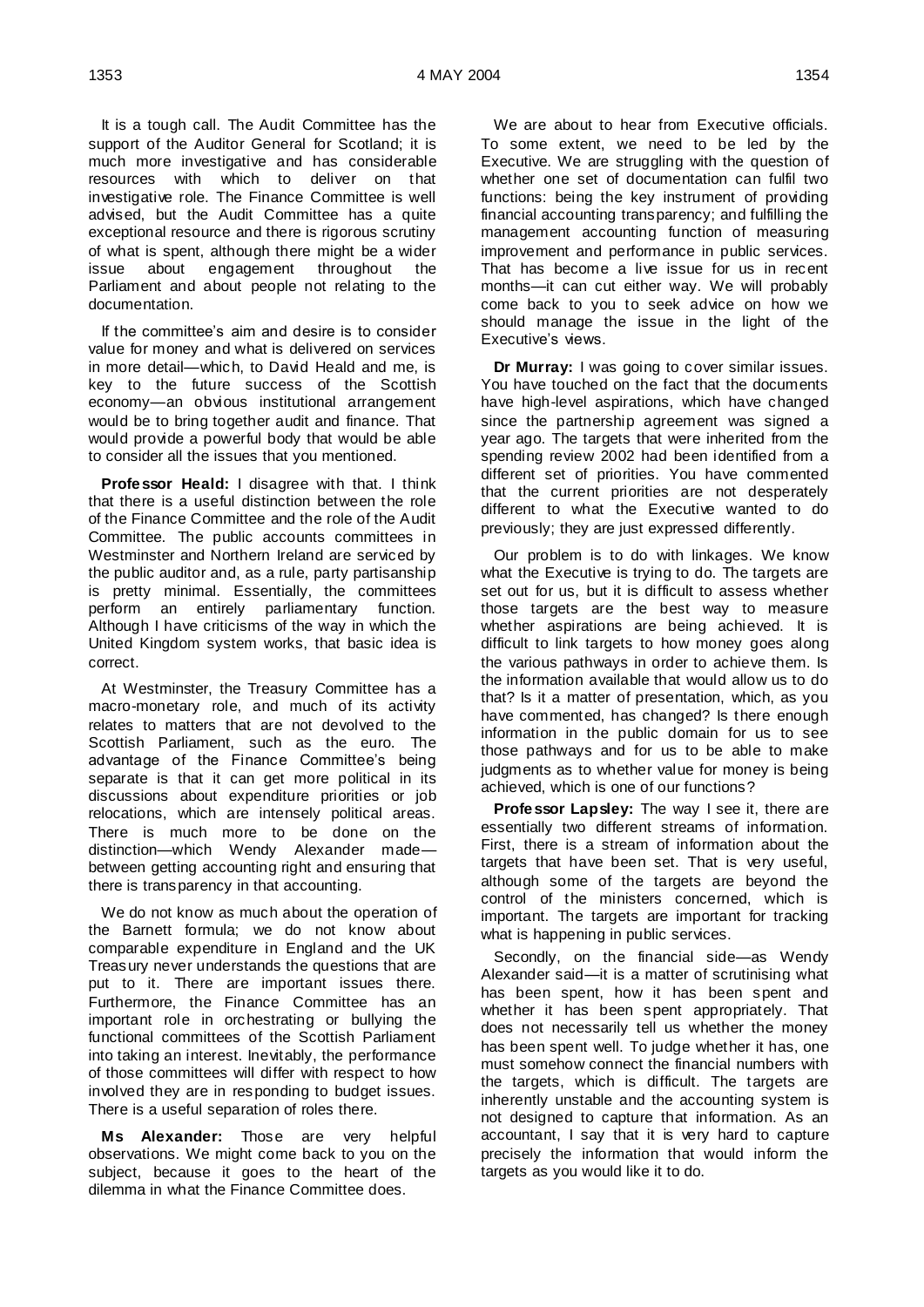It is a tough call. The Audit Committee has the support of the Auditor General for Scotland; it is much more investigative and has considerable resources with which to deliver on that investigative role. The Finance Committee is well advised, but the Audit Committee has a quite exceptional resource and there is rigorous scrutiny of what is spent, although there might be a wider issue about engagement throughout the Parliament and about people not relating to the documentation.

If the committee's aim and desire is to consider value for money and what is delivered on services in more detail—which, to David Heald and me, is key to the future success of the Scottish economy—an obvious institutional arrangement would be to bring together audit and finance. That would provide a powerful body that would be able to consider all the issues that you mentioned.

**Professor Heald:** I disagree with that. I think that there is a useful distinction between the role of the Finance Committee and the role of the Audit Committee. The public accounts committees in Westminster and Northern Ireland are serviced by the public auditor and, as a rule, party partisanship is pretty minimal. Essentially, the committees perform an entirely parliamentary function. Although I have criticisms of the way in which the United Kingdom system works, that basic idea is correct.

At Westminster, the Treasury Committee has a macro-monetary role, and much of its activity relates to matters that are not devolved to the Scottish Parliament, such as the euro. The advantage of the Finance Committee's being separate is that it can get more political in its discussions about expenditure priorities or job relocations, which are intensely political areas. There is much more to be done on the distinction—which Wendy Alexander made between getting accounting right and ensuring that there is transparency in that accounting.

We do not know as much about the operation of the Barnett formula; we do not know about comparable expenditure in England and the UK Treasury never understands the questions that are put to it. There are important issues there. Furthermore, the Finance Committee has an important role in orchestrating or bullying the functional committees of the Scottish Parliament into taking an interest. Inevitably, the performance of those committees will differ with respect to how involved they are in responding to budget issues. There is a useful separation of roles there.

**Ms Alexander:** Those are very helpful observations. We might come back to you on the subject, because it goes to the heart of the dilemma in what the Finance Committee does.

We are about to hear from Executive officials. To some extent, we need to be led by the Executive. We are struggling with the question of whether one set of documentation can fulfil two functions: being the key instrument of providing financial accounting transparency; and fulfilling the management accounting function of measuring improvement and performance in public services. That has become a live issue for us in recent months—it can cut either way. We will probably come back to you to seek advice on how we should manage the issue in the light of the Executive's views.

**Dr Murray:** I was going to cover similar issues. You have touched on the fact that the documents have high-level aspirations, which have changed since the partnership agreement was signed a year ago. The targets that were inherited from the spending review 2002 had been identified from a different set of priorities. You have commented that the current priorities are not desperately different to what the Executive wanted to do previously; they are just expressed differently.

Our problem is to do with linkages. We know what the Executive is trying to do. The targets are set out for us, but it is difficult to assess whether those targets are the best way to measure whether aspirations are being achieved. It is difficult to link targets to how money goes along the various pathways in order to achieve them. Is the information available that would allow us to do that? Is it a matter of presentation, which, as you have commented, has changed? Is there enough information in the public domain for us to see those pathways and for us to be able to make judgments as to whether value for money is being achieved, which is one of our functions?

**Professor Lapsley:** The way I see it, there are essentially two different streams of information. First, there is a stream of information about the targets that have been set. That is very useful, although some of the targets are beyond the control of the ministers concerned, which is important. The targets are important for tracking what is happening in public services.

Secondly, on the financial side—as Wendy Alexander said—it is a matter of scrutinising what has been spent, how it has been spent and whether it has been spent appropriately. That does not necessarily tell us whether the money has been spent well. To judge whether it has, one must somehow connect the financial numbers with the targets, which is difficult. The targets are inherently unstable and the accounting system is not designed to capture that information. As an accountant, I say that it is very hard to capture precisely the information that would inform the targets as you would like it to do.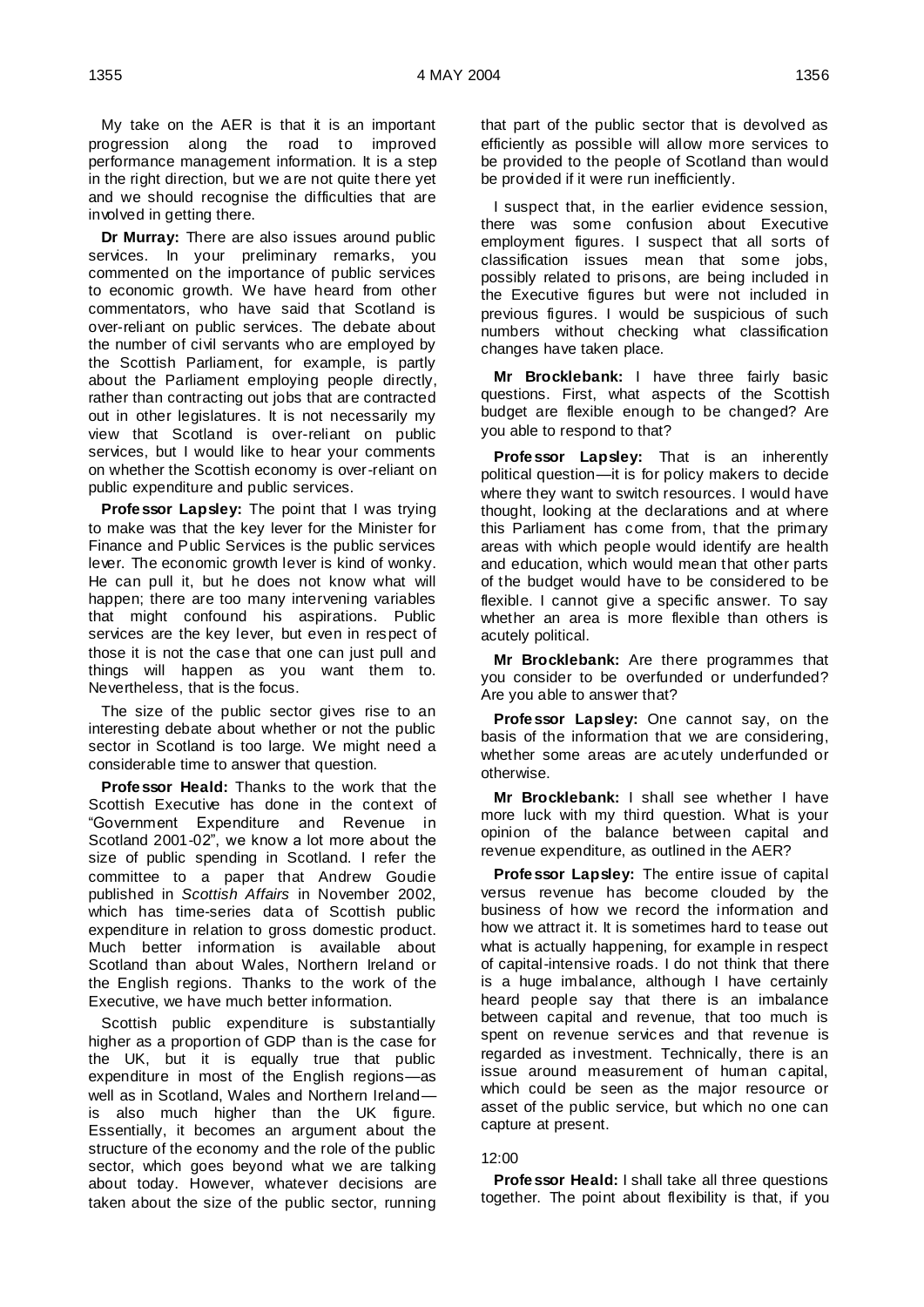My take on the AER is that it is an important progression along the road to improved performance management information. It is a step in the right direction, but we are not quite there yet and we should recognise the difficulties that are involved in getting there.

**Dr Murray:** There are also issues around public services. In your preliminary remarks, you commented on the importance of public services to economic growth. We have heard from other commentators, who have said that Scotland is over-reliant on public services. The debate about the number of civil servants who are employed by the Scottish Parliament, for example, is partly about the Parliament employing people directly, rather than contracting out jobs that are contracted out in other legislatures. It is not necessarily my view that Scotland is over-reliant on public services, but I would like to hear your comments on whether the Scottish economy is over-reliant on public expenditure and public services.

**Professor Lapsley:** The point that I was trying to make was that the key lever for the Minister for Finance and Public Services is the public services lever. The economic growth lever is kind of wonky. He can pull it, but he does not know what will happen; there are too many intervening variables that might confound his aspirations. Public services are the key lever, but even in respect of those it is not the case that one can just pull and things will happen as you want them to. Nevertheless, that is the focus.

The size of the public sector gives rise to an interesting debate about whether or not the public sector in Scotland is too large. We might need a considerable time to answer that question.

**Professor Heald:** Thanks to the work that the Scottish Executive has done in the context of "Government Expenditure and Revenue in Scotland 2001-02", we know a lot more about the size of public spending in Scotland. I refer the committee to a paper that Andrew Goudie published in *Scottish Affairs* in November 2002, which has time-series data of Scottish public expenditure in relation to gross domestic product. Much better information is available about Scotland than about Wales, Northern Ireland or the English regions. Thanks to the work of the Executive, we have much better information.

Scottish public expenditure is substantially higher as a proportion of GDP than is the case for the UK, but it is equally true that public expenditure in most of the English regions—as well as in Scotland, Wales and Northern Ireland is also much higher than the UK figure. Essentially, it becomes an argument about the structure of the economy and the role of the public sector, which goes beyond what we are talking about today. However, whatever decisions are taken about the size of the public sector, running that part of the public sector that is devolved as efficiently as possible will allow more services to be provided to the people of Scotland than would be provided if it were run inefficiently.

I suspect that, in the earlier evidence session, there was some confusion about Executive employment figures. I suspect that all sorts of classification issues mean that some jobs, possibly related to prisons, are being included in the Executive figures but were not included in previous figures. I would be suspicious of such numbers without checking what classification changes have taken place.

**Mr Brocklebank:** I have three fairly basic questions. First, what aspects of the Scottish budget are flexible enough to be changed? Are you able to respond to that?

**Professor Lapsley:** That is an inherently political question—it is for policy makers to decide where they want to switch resources. I would have thought, looking at the declarations and at where this Parliament has come from, that the primary areas with which people would identify are health and education, which would mean that other parts of the budget would have to be considered to be flexible. I cannot give a specific answer. To say whether an area is more flexible than others is acutely political.

**Mr Brocklebank:** Are there programmes that you consider to be overfunded or underfunded? Are you able to answer that?

**Professor Lapsley:** One cannot say, on the basis of the information that we are considering, whether some areas are acutely underfunded or otherwise.

**Mr Brocklebank:** I shall see whether I have more luck with my third question. What is your opinion of the balance between capital and revenue expenditure, as outlined in the AER?

**Professor Lapsley:** The entire issue of capital versus revenue has become clouded by the business of how we record the information and how we attract it. It is sometimes hard to tease out what is actually happening, for example in respect of capital-intensive roads. I do not think that there is a huge imbalance, although I have certainly heard people say that there is an imbalance between capital and revenue, that too much is spent on revenue services and that revenue is regarded as investment. Technically, there is an issue around measurement of human capital, which could be seen as the major resource or asset of the public service, but which no one can capture at present.

### 12:00

**Professor Heald:** I shall take all three questions together. The point about flexibility is that, if you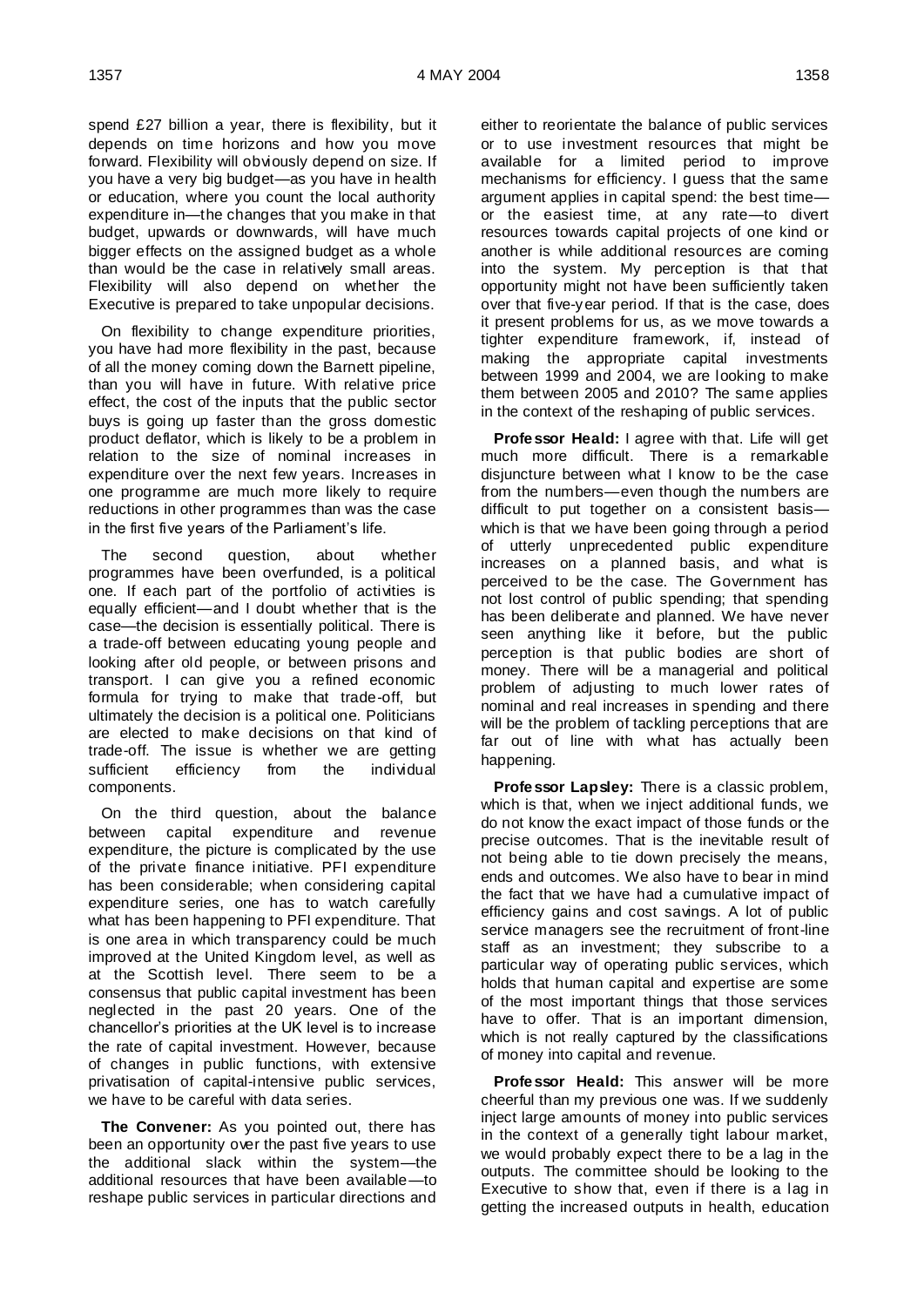spend £27 billion a year, there is flexibility, but it depends on time horizons and how you move forward. Flexibility will obviously depend on size. If you have a very big budget—as you have in health or education, where you count the local authority expenditure in—the changes that you make in that budget, upwards or downwards, will have much bigger effects on the assigned budget as a whole than would be the case in relatively small areas. Flexibility will also depend on whether the Executive is prepared to take unpopular decisions.

On flexibility to change expenditure priorities, you have had more flexibility in the past, because of all the money coming down the Barnett pipeline, than you will have in future. With relative price effect, the cost of the inputs that the public sector buys is going up faster than the gross domestic product deflator, which is likely to be a problem in relation to the size of nominal increases in expenditure over the next few years. Increases in one programme are much more likely to require reductions in other programmes than was the case in the first five years of the Parliament's life.

The second question, about whether programmes have been overfunded, is a political one. If each part of the portfolio of activities is equally efficient—and I doubt whether that is the case—the decision is essentially political. There is a trade-off between educating young people and looking after old people, or between prisons and transport. I can give you a refined economic formula for trying to make that trade-off, but ultimately the decision is a political one. Politicians are elected to make decisions on that kind of trade-off. The issue is whether we are getting sufficient efficiency from the individual components.

On the third question, about the balance between capital expenditure and revenue expenditure, the picture is complicated by the use of the private finance initiative. PFI expenditure has been considerable; when considering capital expenditure series, one has to watch carefully what has been happening to PFI expenditure. That is one area in which transparency could be much improved at the United Kingdom level, as well as at the Scottish level. There seem to be a consensus that public capital investment has been neglected in the past 20 years. One of the chancellor's priorities at the UK level is to increase the rate of capital investment. However, because of changes in public functions, with extensive privatisation of capital-intensive public services, we have to be careful with data series.

**The Convener:** As you pointed out, there has been an opportunity over the past five years to use the additional slack within the system—the additional resources that have been available—to reshape public services in particular directions and

either to reorientate the balance of public services or to use investment resources that might be available for a limited period to improve mechanisms for efficiency. I guess that the same argument applies in capital spend: the best time or the easiest time, at any rate—to divert resources towards capital projects of one kind or another is while additional resources are coming into the system. My perception is that that opportunity might not have been sufficiently taken over that five-year period. If that is the case, does it present problems for us, as we move towards a tighter expenditure framework, if, instead of making the appropriate capital investments between 1999 and 2004, we are looking to make them between 2005 and 2010? The same applies in the context of the reshaping of public services.

**Professor Heald:** I agree with that. Life will get much more difficult. There is a remarkable disjuncture between what I know to be the case from the numbers—even though the numbers are difficult to put together on a consistent basis which is that we have been going through a period of utterly unprecedented public expenditure increases on a planned basis, and what is perceived to be the case. The Government has not lost control of public spending; that spending has been deliberate and planned. We have never seen anything like it before, but the public perception is that public bodies are short of money. There will be a managerial and political problem of adjusting to much lower rates of nominal and real increases in spending and there will be the problem of tackling perceptions that are far out of line with what has actually been happening.

**Professor Lapsley:** There is a classic problem, which is that, when we inject additional funds, we do not know the exact impact of those funds or the precise outcomes. That is the inevitable result of not being able to tie down precisely the means, ends and outcomes. We also have to bear in mind the fact that we have had a cumulative impact of efficiency gains and cost savings. A lot of public service managers see the recruitment of front-line staff as an investment; they subscribe to a particular way of operating public services, which holds that human capital and expertise are some of the most important things that those services have to offer. That is an important dimension, which is not really captured by the classifications of money into capital and revenue.

**Professor Heald:** This answer will be more cheerful than my previous one was. If we suddenly inject large amounts of money into public services in the context of a generally tight labour market, we would probably expect there to be a lag in the outputs. The committee should be looking to the Executive to show that, even if there is a lag in getting the increased outputs in health, education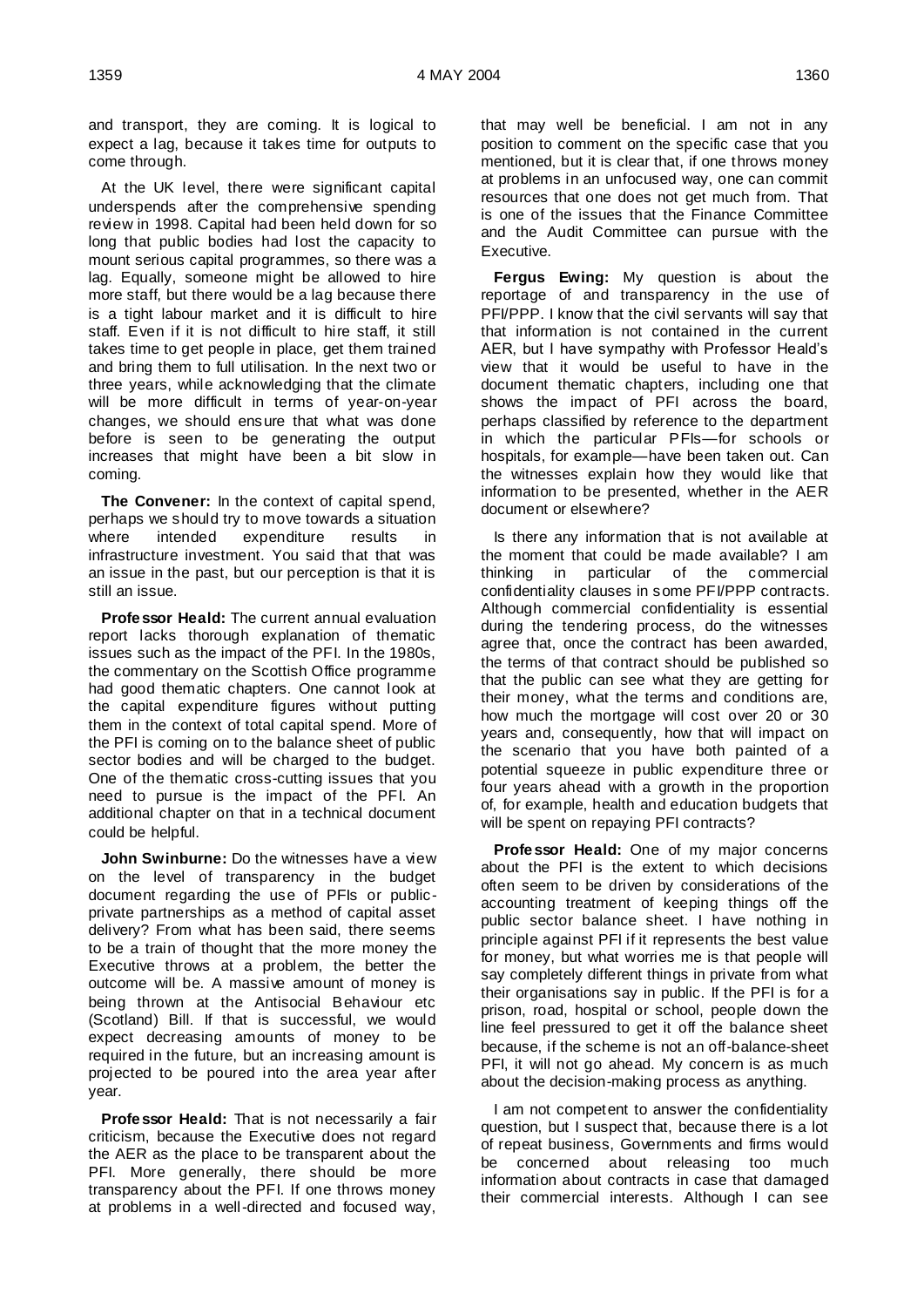and transport, they are coming. It is logical to expect a lag, because it takes time for outputs to come through.

At the UK level, there were significant capital underspends after the comprehensive spending review in 1998. Capital had been held down for so long that public bodies had lost the capacity to mount serious capital programmes, so there was a lag. Equally, someone might be allowed to hire more staff, but there would be a lag because there is a tight labour market and it is difficult to hire staff. Even if it is not difficult to hire staff, it still takes time to get people in place, get them trained and bring them to full utilisation. In the next two or three years, while acknowledging that the climate will be more difficult in terms of year-on-year changes, we should ensure that what was done before is seen to be generating the output increases that might have been a bit slow in coming.

**The Convener:** In the context of capital spend, perhaps we should try to move towards a situation where intended expenditure results in infrastructure investment. You said that that was an issue in the past, but our perception is that it is still an issue.

**Professor Heald:** The current annual evaluation report lacks thorough explanation of thematic issues such as the impact of the PFI. In the 1980s, the commentary on the Scottish Office programme had good thematic chapters. One cannot look at the capital expenditure figures without putting them in the context of total capital spend. More of the PFI is coming on to the balance sheet of public sector bodies and will be charged to the budget. One of the thematic cross-cutting issues that you need to pursue is the impact of the PFI. An additional chapter on that in a technical document could be helpful.

**John Swinburne:** Do the witnesses have a view on the level of transparency in the budget document regarding the use of PFIs or publicprivate partnerships as a method of capital asset delivery? From what has been said, there seems to be a train of thought that the more money the Executive throws at a problem, the better the outcome will be. A massive amount of money is being thrown at the Antisocial Behaviour etc (Scotland) Bill. If that is successful, we would expect decreasing amounts of money to be required in the future, but an increasing amount is projected to be poured into the area year after year.

**Professor Heald:** That is not necessarily a fair criticism, because the Executive does not regard the AER as the place to be transparent about the PFI. More generally, there should be more transparency about the PFI. If one throws money at problems in a well-directed and focused way,

that may well be beneficial. I am not in any position to comment on the specific case that you mentioned, but it is clear that, if one throws money at problems in an unfocused way, one can commit resources that one does not get much from. That is one of the issues that the Finance Committee and the Audit Committee can pursue with the Executive.

**Fergus Ewing:** My question is about the reportage of and transparency in the use of PFI/PPP. I know that the civil servants will say that that information is not contained in the current AER, but I have sympathy with Professor Heald's view that it would be useful to have in the document thematic chapters, including one that shows the impact of PFI across the board, perhaps classified by reference to the department in which the particular PFIs—for schools or hospitals, for example—have been taken out. Can the witnesses explain how they would like that information to be presented, whether in the AER document or elsewhere?

Is there any information that is not available at the moment that could be made available? I am thinking in particular of the commercial confidentiality clauses in some PFI/PPP contracts. Although commercial confidentiality is essential during the tendering process, do the witnesses agree that, once the contract has been awarded, the terms of that contract should be published so that the public can see what they are getting for their money, what the terms and conditions are, how much the mortgage will cost over 20 or 30 years and, consequently, how that will impact on the scenario that you have both painted of a potential squeeze in public expenditure three or four years ahead with a growth in the proportion of, for example, health and education budgets that will be spent on repaying PFI contracts?

**Professor Heald:** One of my major concerns about the PFI is the extent to which decisions often seem to be driven by considerations of the accounting treatment of keeping things off the public sector balance sheet. I have nothing in principle against PFI if it represents the best value for money, but what worries me is that people will say completely different things in private from what their organisations say in public. If the PFI is for a prison, road, hospital or school, people down the line feel pressured to get it off the balance sheet because, if the scheme is not an off-balance-sheet PFI, it will not go ahead. My concern is as much about the decision-making process as anything.

I am not competent to answer the confidentiality question, but I suspect that, because there is a lot of repeat business, Governments and firms would be concerned about releasing too much information about contracts in case that damaged their commercial interests. Although I can see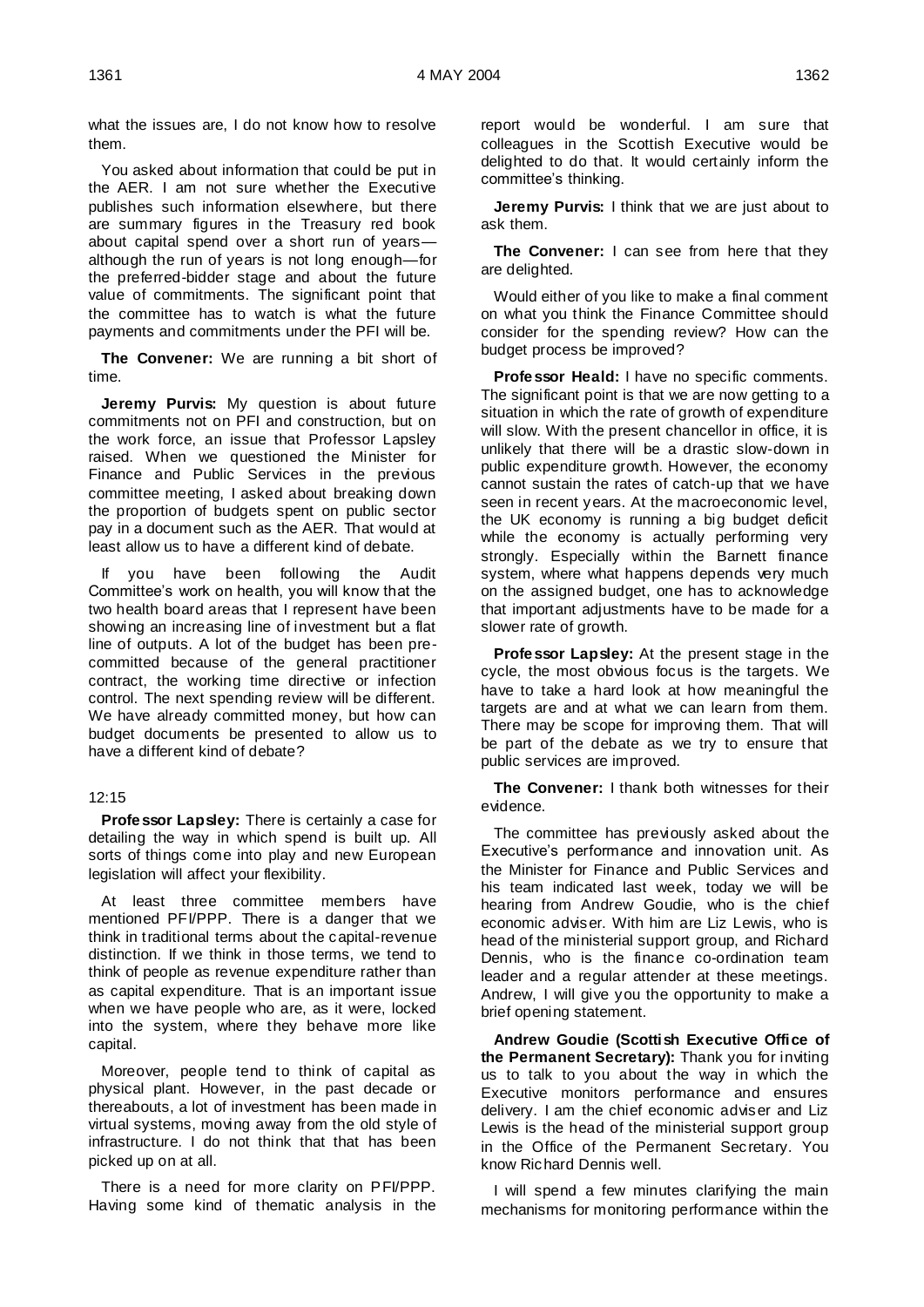what the issues are, I do not know how to resolve them.

You asked about information that could be put in the AER. I am not sure whether the Executive publishes such information elsewhere, but there are summary figures in the Treasury red book about capital spend over a short run of years although the run of years is not long enough—for the preferred-bidder stage and about the future value of commitments. The significant point that the committee has to watch is what the future payments and commitments under the PFI will be.

**The Convener:** We are running a bit short of time.

**Jeremy Purvis:** My question is about future commitments not on PFI and construction, but on the work force, an issue that Professor Lapsley raised. When we questioned the Minister for Finance and Public Services in the previous committee meeting, I asked about breaking down the proportion of budgets spent on public sector pay in a document such as the AER. That would at least allow us to have a different kind of debate.

If you have been following the Audit Committee's work on health, you will know that the two health board areas that I represent have been showing an increasing line of investment but a flat line of outputs. A lot of the budget has been precommitted because of the general practitioner contract, the working time directive or infection control. The next spending review will be different. We have already committed money, but how can budget documents be presented to allow us to have a different kind of debate?

### 12:15

**Professor Lapsley:** There is certainly a case for detailing the way in which spend is built up. All sorts of things come into play and new European legislation will affect your flexibility.

At least three committee members have mentioned PFI/PPP. There is a danger that we think in traditional terms about the capital-revenue distinction. If we think in those terms, we tend to think of people as revenue expenditure rather than as capital expenditure. That is an important issue when we have people who are, as it were, locked into the system, where they behave more like capital.

Moreover, people tend to think of capital as physical plant. However, in the past decade or thereabouts, a lot of investment has been made in virtual systems, moving away from the old style of infrastructure. I do not think that that has been picked up on at all.

There is a need for more clarity on PFI/PPP. Having some kind of thematic analysis in the report would be wonderful. I am sure that colleagues in the Scottish Executive would be delighted to do that. It would certainly inform the committee's thinking.

**Jeremy Purvis:** I think that we are just about to ask them.

**The Convener:** I can see from here that they are delighted.

Would either of you like to make a final comment on what you think the Finance Committee should consider for the spending review? How can the budget process be improved?

**Professor Heald:** I have no specific comments. The significant point is that we are now getting to a situation in which the rate of growth of expenditure will slow. With the present chancellor in office, it is unlikely that there will be a drastic slow-down in public expenditure growth. However, the economy cannot sustain the rates of catch-up that we have seen in recent years. At the macroeconomic level, the UK economy is running a big budget deficit while the economy is actually performing very strongly. Especially within the Barnett finance system, where what happens depends very much on the assigned budget, one has to acknowledge that important adjustments have to be made for a slower rate of growth.

**Professor Lapsley:** At the present stage in the cycle, the most obvious focus is the targets. We have to take a hard look at how meaningful the targets are and at what we can learn from them. There may be scope for improving them. That will be part of the debate as we try to ensure that public services are improved.

**The Convener:** I thank both witnesses for their evidence.

The committee has previously asked about the Executive's performance and innovation unit. As the Minister for Finance and Public Services and his team indicated last week, today we will be hearing from Andrew Goudie, who is the chief economic adviser. With him are Liz Lewis, who is head of the ministerial support group, and Richard Dennis, who is the finance co-ordination team leader and a regular attender at these meetings. Andrew, I will give you the opportunity to make a brief opening statement.

**Andrew Goudie (Scottish Executive Office of the Permanent Secretary):** Thank you for inviting us to talk to you about the way in which the Executive monitors performance and ensures delivery. I am the chief economic adviser and Liz Lewis is the head of the ministerial support group in the Office of the Permanent Secretary. You know Richard Dennis well.

I will spend a few minutes clarifying the main mechanisms for monitoring performance within the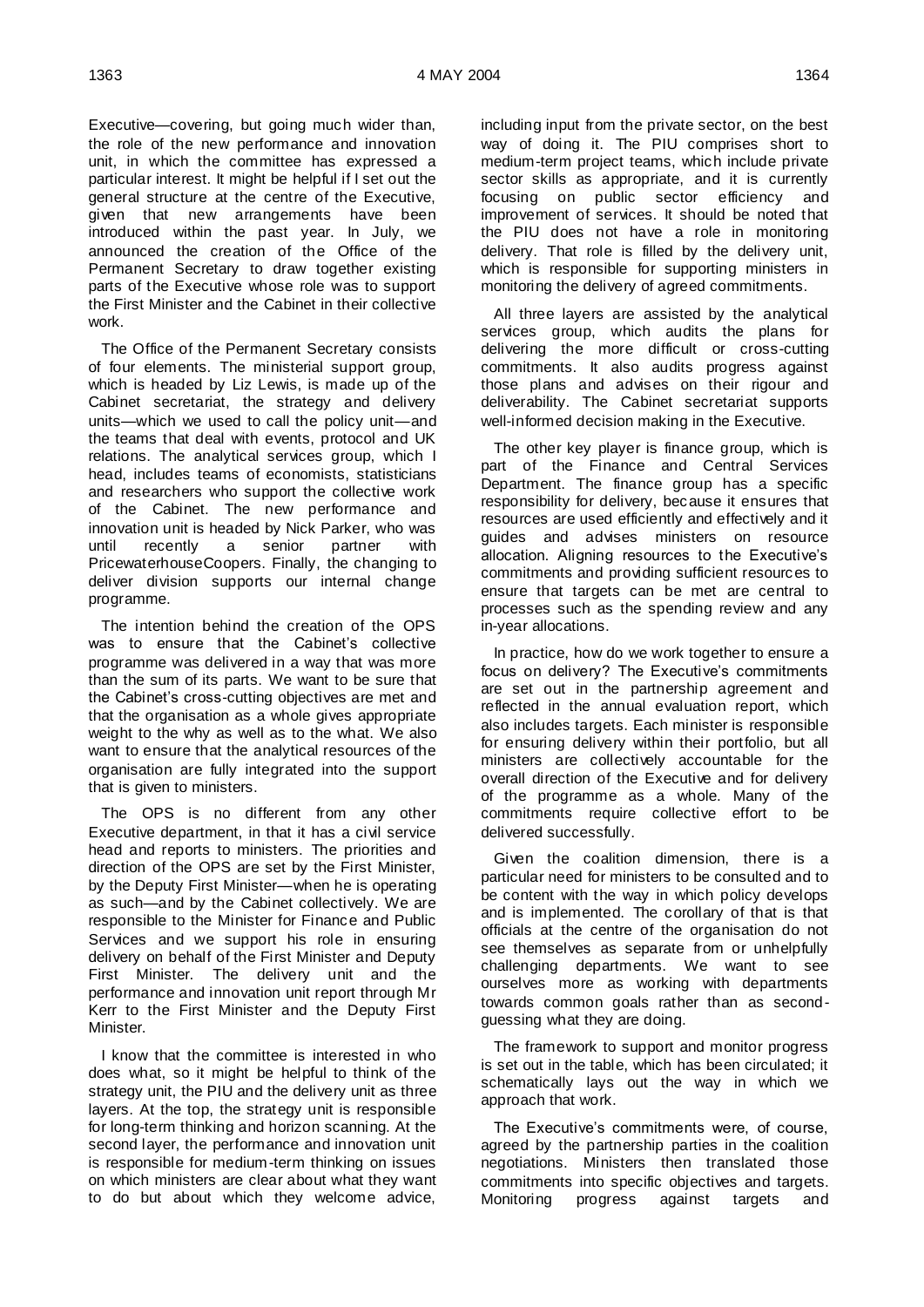Executive—covering, but going much wider than, the role of the new performance and innovation unit, in which the committee has expressed a particular interest. It might be helpful if I set out the general structure at the centre of the Executive, given that new arrangements have been introduced within the past year. In July, we announced the creation of the Office of the Permanent Secretary to draw together existing parts of the Executive whose role was to support the First Minister and the Cabinet in their collective work.

The Office of the Permanent Secretary consists of four elements. The ministerial support group, which is headed by Liz Lewis, is made up of the Cabinet secretariat, the strategy and delivery units—which we used to call the policy unit—and the teams that deal with events, protocol and UK relations. The analytical services group, which I head, includes teams of economists, statisticians and researchers who support the collective work of the Cabinet. The new performance and innovation unit is headed by Nick Parker, who was until recently a senior partner with PricewaterhouseCoopers. Finally, the changing to deliver division supports our internal change programme.

The intention behind the creation of the OPS was to ensure that the Cabinet's collective programme was delivered in a way that was more than the sum of its parts. We want to be sure that the Cabinet's cross-cutting objectives are met and that the organisation as a whole gives appropriate weight to the why as well as to the what. We also want to ensure that the analytical resources of the organisation are fully integrated into the support that is given to ministers.

The OPS is no different from any other Executive department, in that it has a civil service head and reports to ministers. The priorities and direction of the OPS are set by the First Minister, by the Deputy First Minister—when he is operating as such—and by the Cabinet collectively. We are responsible to the Minister for Finance and Public Services and we support his role in ensuring delivery on behalf of the First Minister and Deputy First Minister. The delivery unit and the performance and innovation unit report through Mr Kerr to the First Minister and the Deputy First **Minister** 

I know that the committee is interested in who does what, so it might be helpful to think of the strategy unit, the PIU and the delivery unit as three layers. At the top, the strategy unit is responsible for long-term thinking and horizon scanning. At the second layer, the performance and innovation unit is responsible for medium-term thinking on issues on which ministers are clear about what they want to do but about which they welcome advice,

including input from the private sector, on the best way of doing it. The PIU comprises short to medium-term project teams, which include private sector skills as appropriate, and it is currently focusing on public sector efficiency and improvement of services. It should be noted that the PIU does not have a role in monitoring delivery. That role is filled by the delivery unit, which is responsible for supporting ministers in monitoring the delivery of agreed commitments.

All three layers are assisted by the analytical services group, which audits the plans for delivering the more difficult or cross-cutting commitments. It also audits progress against those plans and advises on their rigour and deliverability. The Cabinet secretariat supports well-informed decision making in the Executive.

The other key player is finance group, which is part of the Finance and Central Services Department. The finance group has a specific responsibility for delivery, because it ensures that resources are used efficiently and effectively and it guides and advises ministers on resource allocation. Aligning resources to the Executive's commitments and providing sufficient resources to ensure that targets can be met are central to processes such as the spending review and any in-year allocations.

In practice, how do we work together to ensure a focus on delivery? The Executive's commitments are set out in the partnership agreement and reflected in the annual evaluation report, which also includes targets. Each minister is responsible for ensuring delivery within their portfolio, but all ministers are collectively accountable for the overall direction of the Executive and for delivery of the programme as a whole. Many of the commitments require collective effort to be delivered successfully.

Given the coalition dimension, there is a particular need for ministers to be consulted and to be content with the way in which policy develops and is implemented. The corollary of that is that officials at the centre of the organisation do not see themselves as separate from or unhelpfully challenging departments. We want to see ourselves more as working with departments towards common goals rather than as secondguessing what they are doing.

The framework to support and monitor progress is set out in the table, which has been circulated; it schematically lays out the way in which we approach that work.

The Executive's commitments were, of course, agreed by the partnership parties in the coalition negotiations. Ministers then translated those commitments into specific objectives and targets. Monitoring progress against targets and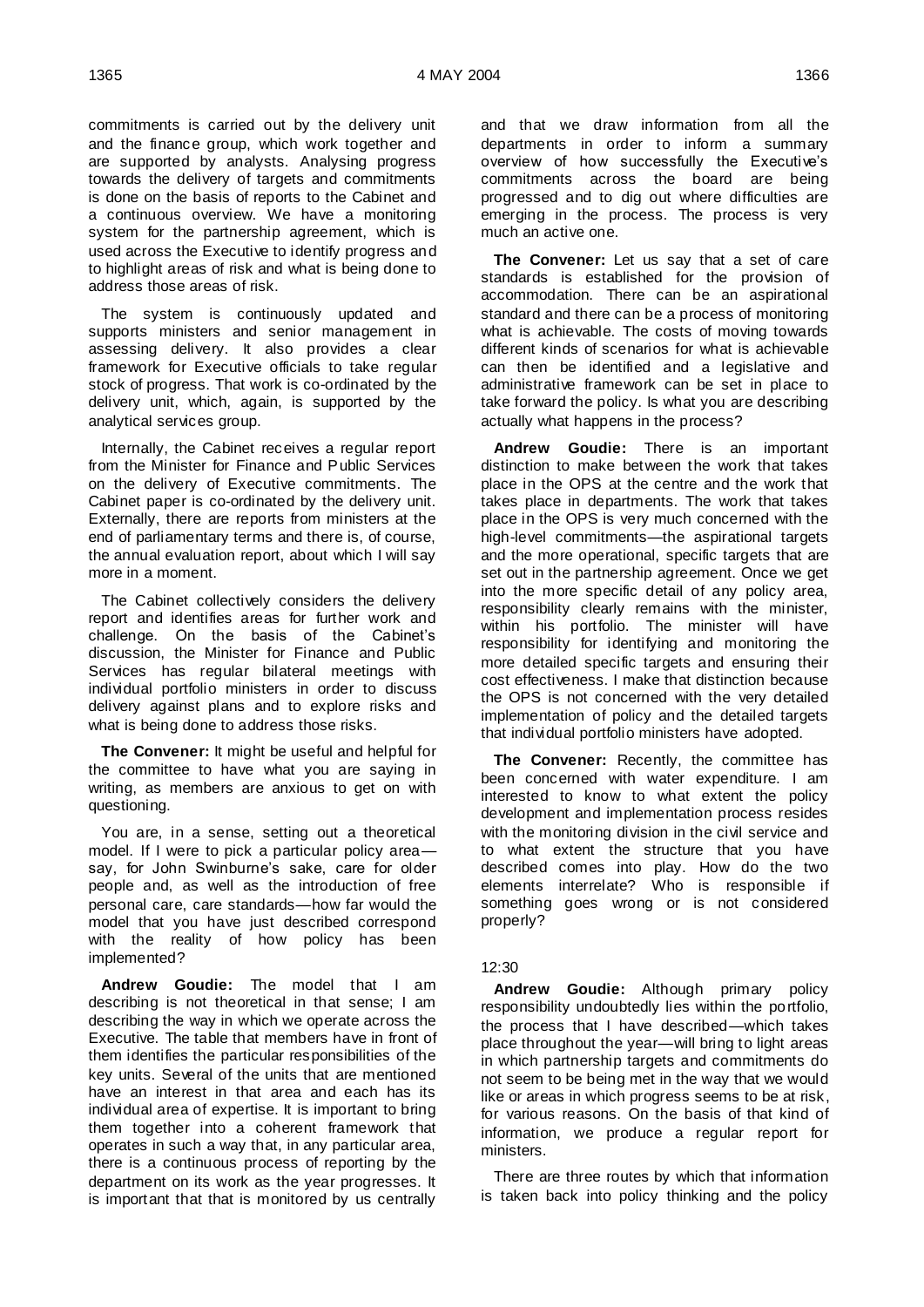commitments is carried out by the delivery unit and the finance group, which work together and are supported by analysts. Analysing progress towards the delivery of targets and commitments is done on the basis of reports to the Cabinet and a continuous overview. We have a monitoring system for the partnership agreement, which is used across the Executive to identify progress and to highlight areas of risk and what is being done to address those areas of risk.

The system is continuously updated and supports ministers and senior management in assessing delivery. It also provides a clear framework for Executive officials to take regular stock of progress. That work is co-ordinated by the delivery unit, which, again, is supported by the analytical services group.

Internally, the Cabinet receives a regular report from the Minister for Finance and Public Services on the delivery of Executive commitments. The Cabinet paper is co-ordinated by the delivery unit. Externally, there are reports from ministers at the end of parliamentary terms and there is, of course, the annual evaluation report, about which I will say more in a moment.

The Cabinet collectively considers the delivery report and identifies areas for further work and challenge. On the basis of the Cabinet's discussion, the Minister for Finance and Public Services has regular bilateral meetings with individual portfolio ministers in order to discuss delivery against plans and to explore risks and what is being done to address those risks.

**The Convener:** It might be useful and helpful for the committee to have what you are saying in writing, as members are anxious to get on with questioning.

You are, in a sense, setting out a theoretical model. If I were to pick a particular policy area say, for John Swinburne's sake, care for older people and, as well as the introduction of free personal care, care standards—how far would the model that you have just described correspond with the reality of how policy has been implemented?

**Andrew Goudie:** The model that I am describing is not theoretical in that sense; I am describing the way in which we operate across the Executive. The table that members have in front of them identifies the particular responsibilities of the key units. Several of the units that are mentioned have an interest in that area and each has its individual area of expertise. It is important to bring them together into a coherent framework that operates in such a way that, in any particular area, there is a continuous process of reporting by the department on its work as the year progresses. It is important that that is monitored by us centrally

and that we draw information from all the departments in order to inform a summary overview of how successfully the Executive's commitments across the board are being progressed and to dig out where difficulties are emerging in the process. The process is very much an active one.

**The Convener:** Let us say that a set of care standards is established for the provision of accommodation. There can be an aspirational standard and there can be a process of monitoring what is achievable. The costs of moving towards different kinds of scenarios for what is achievable can then be identified and a legislative and administrative framework can be set in place to take forward the policy. Is what you are describing actually what happens in the process?

**Andrew Goudie:** There is an important distinction to make between the work that takes place in the OPS at the centre and the work that takes place in departments. The work that takes place in the OPS is very much concerned with the high-level commitments—the aspirational targets and the more operational, specific targets that are set out in the partnership agreement. Once we get into the more specific detail of any policy area, responsibility clearly remains with the minister, within his portfolio. The minister will have responsibility for identifying and monitoring the more detailed specific targets and ensuring their cost effectiveness. I make that distinction because the OPS is not concerned with the very detailed implementation of policy and the detailed targets that individual portfolio ministers have adopted.

**The Convener:** Recently, the committee has been concerned with water expenditure. I am interested to know to what extent the policy development and implementation process resides with the monitoring division in the civil service and to what extent the structure that you have described comes into play. How do the two elements interrelate? Who is responsible if something goes wrong or is not considered properly?

### 12:30

**Andrew Goudie:** Although primary policy responsibility undoubtedly lies within the portfolio, the process that I have described—which takes place throughout the year—will bring to light areas in which partnership targets and commitments do not seem to be being met in the way that we would like or areas in which progress seems to be at risk, for various reasons. On the basis of that kind of information, we produce a regular report for ministers.

There are three routes by which that information is taken back into policy thinking and the policy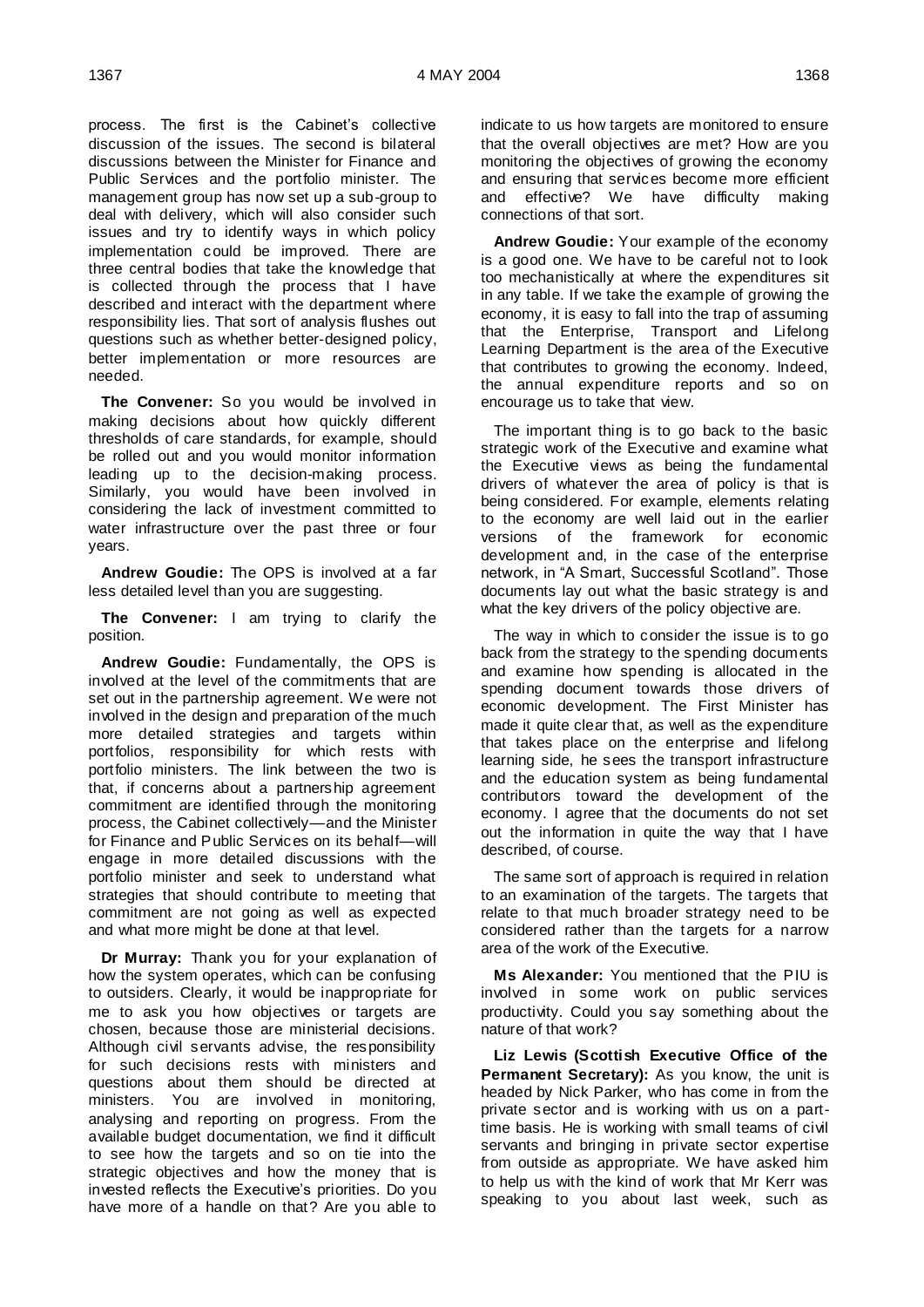process. The first is the Cabinet's collective discussion of the issues. The second is bilateral discussions between the Minister for Finance and Public Services and the portfolio minister. The management group has now set up a sub-group to deal with delivery, which will also consider such issues and try to identify ways in which policy implementation could be improved. There are three central bodies that take the knowledge that is collected through the process that I have described and interact with the department where responsibility lies. That sort of analysis flushes out questions such as whether better-designed policy, better implementation or more resources are needed.

**The Convener:** So you would be involved in making decisions about how quickly different thresholds of care standards, for example, should be rolled out and you would monitor information leading up to the decision-making process. Similarly, you would have been involved in considering the lack of investment committed to water infrastructure over the past three or four years.

**Andrew Goudie:** The OPS is involved at a far less detailed level than you are suggesting.

**The Convener:** I am trying to clarify the position.

**Andrew Goudie:** Fundamentally, the OPS is involved at the level of the commitments that are set out in the partnership agreement. We were not involved in the design and preparation of the much more detailed strategies and targets within portfolios, responsibility for which rests with portfolio ministers. The link between the two is that, if concerns about a partnership agreement commitment are identified through the monitoring process, the Cabinet collectively—and the Minister for Finance and Public Services on its behalf—will engage in more detailed discussions with the portfolio minister and seek to understand what strategies that should contribute to meeting that commitment are not going as well as expected and what more might be done at that level.

**Dr Murray:** Thank you for your explanation of how the system operates, which can be confusing to outsiders. Clearly, it would be inappropriate for me to ask you how objectives or targets are chosen, because those are ministerial decisions. Although civil servants advise, the responsibility for such decisions rests with ministers and questions about them should be directed at ministers. You are involved in monitoring, analysing and reporting on progress. From the available budget documentation, we find it difficult to see how the targets and so on tie into the strategic objectives and how the money that is invested reflects the Executive's priorities. Do you have more of a handle on that? Are you able to

indicate to us how targets are monitored to ensure that the overall objectives are met? How are you monitoring the objectives of growing the economy and ensuring that services become more efficient and effective? We have difficulty making connections of that sort.

**Andrew Goudie:** Your example of the economy is a good one. We have to be careful not to look too mechanistically at where the expenditures sit in any table. If we take the example of growing the economy, it is easy to fall into the trap of assuming that the Enterprise, Transport and Lifelong Learning Department is the area of the Executive that contributes to growing the economy. Indeed, the annual expenditure reports and so on encourage us to take that view.

The important thing is to go back to the basic strategic work of the Executive and examine what the Executive views as being the fundamental drivers of whatever the area of policy is that is being considered. For example, elements relating to the economy are well laid out in the earlier versions of the framework for economic development and, in the case of the enterprise network, in "A Smart, Successful Scotland". Those documents lay out what the basic strategy is and what the key drivers of the policy objective are.

The way in which to consider the issue is to go back from the strategy to the spending documents and examine how spending is allocated in the spending document towards those drivers of economic development. The First Minister has made it quite clear that, as well as the expenditure that takes place on the enterprise and lifelong learning side, he sees the transport infrastructure and the education system as being fundamental contributors toward the development of the economy. I agree that the documents do not set out the information in quite the way that I have described, of course.

The same sort of approach is required in relation to an examination of the targets. The targets that relate to that much broader strategy need to be considered rather than the targets for a narrow area of the work of the Executive.

**Ms Alexander:** You mentioned that the PIU is involved in some work on public services productivity. Could you say something about the nature of that work?

**Liz Lewis (Scottish Executive Office of the Permanent Secretary):** As you know, the unit is headed by Nick Parker, who has come in from the private sector and is working with us on a parttime basis. He is working with small teams of civil servants and bringing in private sector expertise from outside as appropriate. We have asked him to help us with the kind of work that Mr Kerr was speaking to you about last week, such as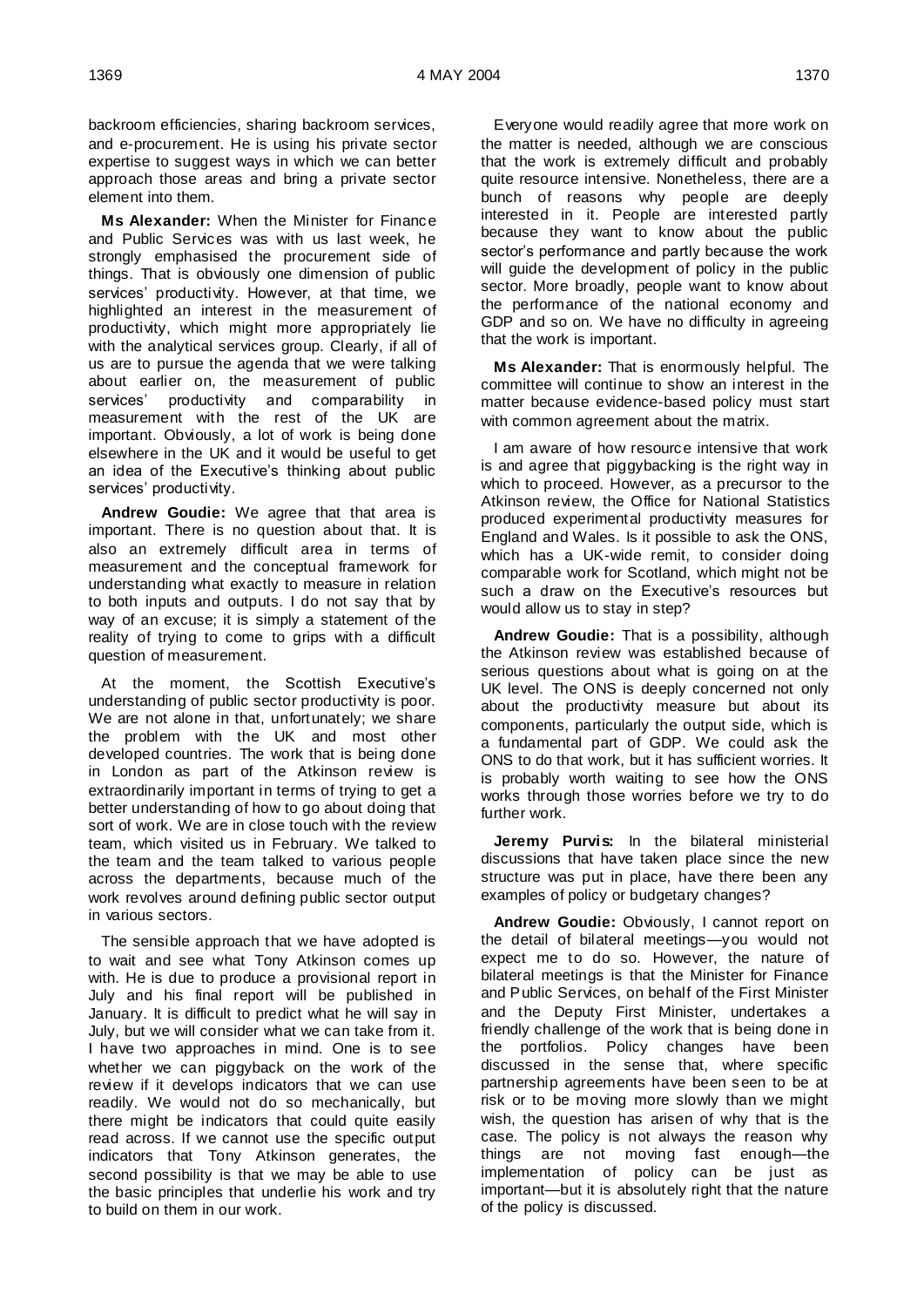backroom efficiencies, sharing backroom services, and e-procurement. He is using his private sector expertise to suggest ways in which we can better approach those areas and bring a private sector element into them.

**Ms Alexander:** When the Minister for Finance and Public Services was with us last week, he strongly emphasised the procurement side of things. That is obviously one dimension of public services' productivity. However, at that time, we highlighted an interest in the measurement of productivity, which might more appropriately lie with the analytical services group. Clearly, if all of us are to pursue the agenda that we were talking about earlier on, the measurement of public services' productivity and comparability in measurement with the rest of the UK are important. Obviously, a lot of work is being done elsewhere in the UK and it would be useful to get an idea of the Executive's thinking about public services' productivity.

**Andrew Goudie:** We agree that that area is important. There is no question about that. It is also an extremely difficult area in terms of measurement and the conceptual framework for understanding what exactly to measure in relation to both inputs and outputs. I do not say that by way of an excuse; it is simply a statement of the reality of trying to come to grips with a difficult question of measurement.

At the moment, the Scottish Executive's understanding of public sector productivity is poor. We are not alone in that, unfortunately; we share the problem with the UK and most other developed countries. The work that is being done in London as part of the Atkinson review is extraordinarily important in terms of trying to get a better understanding of how to go about doing that sort of work. We are in close touch with the review team, which visited us in February. We talked to the team and the team talked to various people across the departments, because much of the work revolves around defining public sector output in various sectors.

The sensible approach that we have adopted is to wait and see what Tony Atkinson comes up with. He is due to produce a provisional report in July and his final report will be published in January. It is difficult to predict what he will say in July, but we will consider what we can take from it. I have two approaches in mind. One is to see whether we can piggyback on the work of the review if it develops indicators that we can use readily. We would not do so mechanically, but there might be indicators that could quite easily read across. If we cannot use the specific output indicators that Tony Atkinson generates, the second possibility is that we may be able to use the basic principles that underlie his work and try to build on them in our work.

Everyone would readily agree that more work on the matter is needed, although we are conscious that the work is extremely difficult and probably quite resource intensive. Nonetheless, there are a bunch of reasons why people are deeply interested in it. People are interested partly because they want to know about the public sector's performance and partly because the work will guide the development of policy in the public sector. More broadly, people want to know about the performance of the national economy and GDP and so on. We have no difficulty in agreeing that the work is important.

**Ms Alexander:** That is enormously helpful. The committee will continue to show an interest in the matter because evidence-based policy must start with common agreement about the matrix.

I am aware of how resource intensive that work is and agree that piggybacking is the right way in which to proceed. However, as a precursor to the Atkinson review, the Office for National Statistics produced experimental productivity measures for England and Wales. Is it possible to ask the ONS, which has a UK-wide remit, to consider doing comparable work for Scotland, which might not be such a draw on the Executive's resources but would allow us to stay in step?

**Andrew Goudie:** That is a possibility, although the Atkinson review was established because of serious questions about what is going on at the UK level. The ONS is deeply concerned not only about the productivity measure but about its components, particularly the output side, which is a fundamental part of GDP. We could ask the ONS to do that work, but it has sufficient worries. It is probably worth waiting to see how the ONS works through those worries before we try to do further work.

**Jeremy Purvis:** In the bilateral ministerial discussions that have taken place since the new structure was put in place, have there been any examples of policy or budgetary changes?

**Andrew Goudie:** Obviously, I cannot report on the detail of bilateral meetings—you would not expect me to do so. However, the nature of bilateral meetings is that the Minister for Finance and Public Services, on behalf of the First Minister and the Deputy First Minister, undertakes a friendly challenge of the work that is being done in the portfolios. Policy changes have been discussed in the sense that, where specific partnership agreements have been seen to be at risk or to be moving more slowly than we might wish, the question has arisen of why that is the case. The policy is not always the reason why things are not moving fast enough—the implementation of policy can be just as important—but it is absolutely right that the nature of the policy is discussed.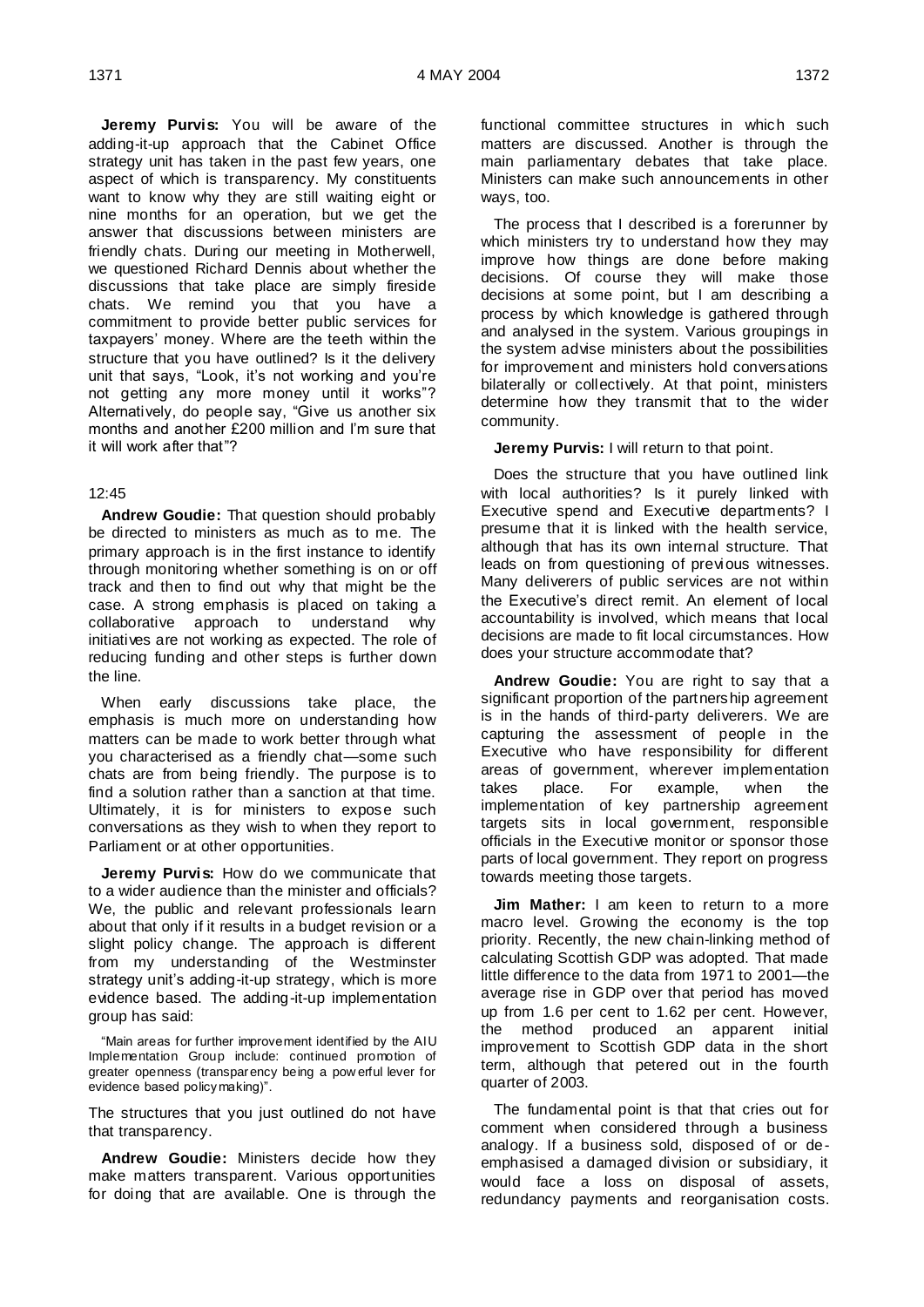**Jeremy Purvis:** You will be aware of the adding-it-up approach that the Cabinet Office strategy unit has taken in the past few years, one aspect of which is transparency. My constituents want to know why they are still waiting eight or nine months for an operation, but we get the answer that discussions between ministers are friendly chats. During our meeting in Motherwell, we questioned Richard Dennis about whether the discussions that take place are simply fireside chats. We remind you that you have a commitment to provide better public services for taxpayers' money. Where are the teeth within the structure that you have outlined? Is it the delivery unit that says, "Look, it's not working and you're not getting any more money until it works"? Alternatively, do people say, "Give us another six months and another £200 million and I'm sure that it will work after that"?

### 12:45

**Andrew Goudie:** That question should probably be directed to ministers as much as to me. The primary approach is in the first instance to identify through monitoring whether something is on or off track and then to find out why that might be the case. A strong emphasis is placed on taking a collaborative approach to understand why initiatives are not working as expected. The role of reducing funding and other steps is further down the line.

When early discussions take place, the emphasis is much more on understanding how matters can be made to work better through what you characterised as a friendly chat—some such chats are from being friendly. The purpose is to find a solution rather than a sanction at that time. Ultimately, it is for ministers to expose such conversations as they wish to when they report to Parliament or at other opportunities.

**Jeremy Purvis:** How do we communicate that to a wider audience than the minister and officials? We, the public and relevant professionals learn about that only if it results in a budget revision or a slight policy change. The approach is different from my understanding of the Westminster strategy unit's adding-it-up strategy, which is more evidence based. The adding-it-up implementation group has said:

"Main areas for further improvement identified by the AIU Implementation Group include: continued promotion of greater openness (transparency being a pow erful lever for evidence based policymaking)".

The structures that you just outlined do not have that transparency.

**Andrew Goudie:** Ministers decide how they make matters transparent. Various opportunities for doing that are available. One is through the functional committee structures in which such matters are discussed. Another is through the main parliamentary debates that take place. Ministers can make such announcements in other ways, too.

The process that I described is a forerunner by which ministers try to understand how they may improve how things are done before making decisions. Of course they will make those decisions at some point, but I am describing a process by which knowledge is gathered through and analysed in the system. Various groupings in the system advise ministers about the possibilities for improvement and ministers hold conversations bilaterally or collectively. At that point, ministers determine how they transmit that to the wider community.

**Jeremy Purvis:** I will return to that point.

Does the structure that you have outlined link with local authorities? Is it purely linked with Executive spend and Executive departments? I presume that it is linked with the health service, although that has its own internal structure. That leads on from questioning of previous witnesses. Many deliverers of public services are not within the Executive's direct remit. An element of local accountability is involved, which means that local decisions are made to fit local circumstances. How does your structure accommodate that?

**Andrew Goudie:** You are right to say that a significant proportion of the partnership agreement is in the hands of third-party deliverers. We are capturing the assessment of people in the Executive who have responsibility for different areas of government, wherever implementation takes place. For example, when the implementation of key partnership agreement targets sits in local government, responsible officials in the Executive monitor or sponsor those parts of local government. They report on progress towards meeting those targets.

**Jim Mather:** I am keen to return to a more macro level. Growing the economy is the top priority. Recently, the new chain-linking method of calculating Scottish GDP was adopted. That made little difference to the data from 1971 to 2001—the average rise in GDP over that period has moved up from 1.6 per cent to 1.62 per cent. However, the method produced an apparent initial improvement to Scottish GDP data in the short term, although that petered out in the fourth quarter of 2003.

The fundamental point is that that cries out for comment when considered through a business analogy. If a business sold, disposed of or deemphasised a damaged division or subsidiary, it would face a loss on disposal of assets, redundancy payments and reorganisation costs.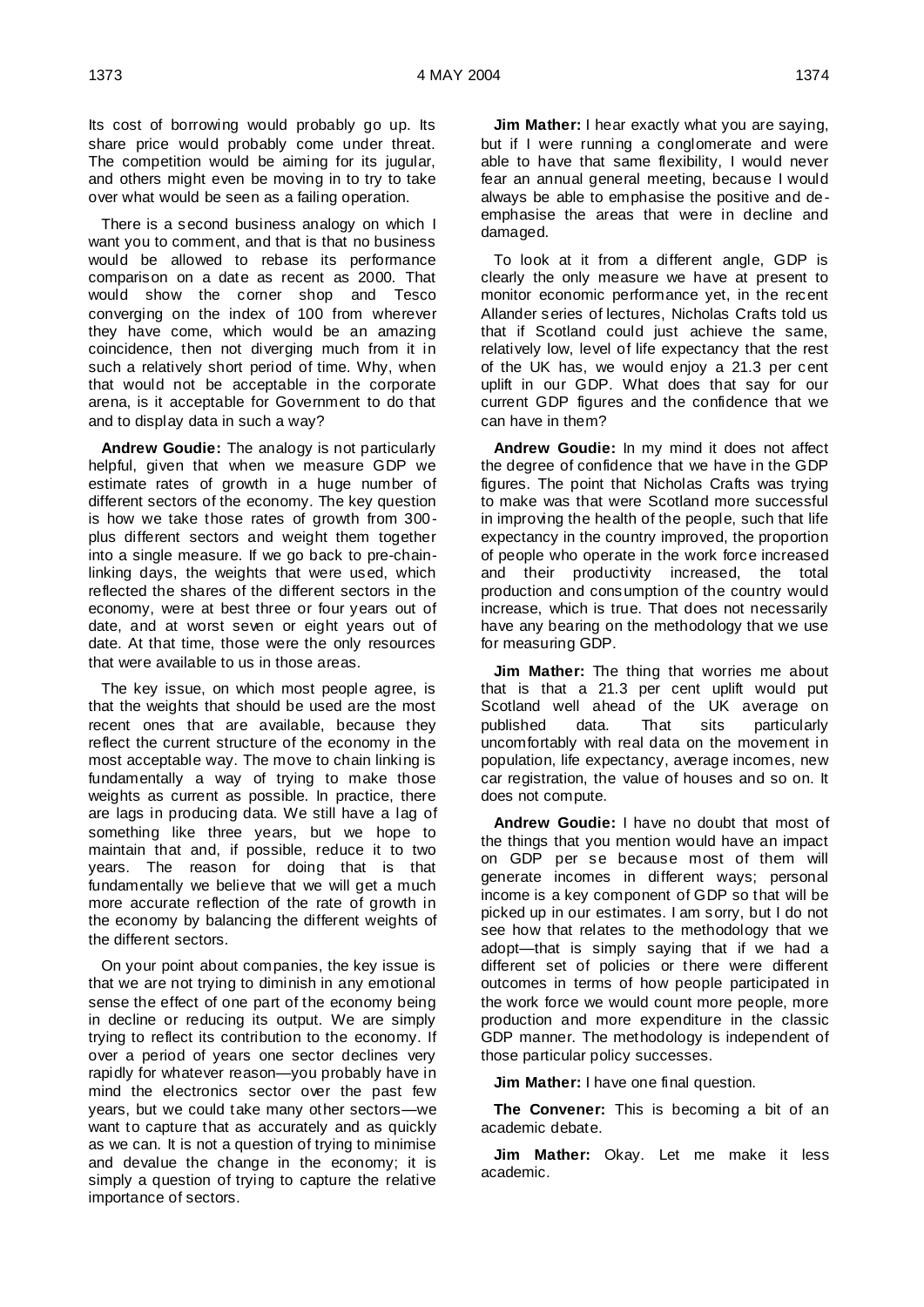Its cost of borrowing would probably go up. Its share price would probably come under threat. The competition would be aiming for its jugular, and others might even be moving in to try to take over what would be seen as a failing operation.

There is a second business analogy on which I want you to comment, and that is that no business would be allowed to rebase its performance comparison on a date as recent as 2000. That would show the corner shop and Tesco converging on the index of 100 from wherever they have come, which would be an amazing coincidence, then not diverging much from it in such a relatively short period of time. Why, when that would not be acceptable in the corporate arena, is it acceptable for Government to do that and to display data in such a way?

**Andrew Goudie:** The analogy is not particularly helpful, given that when we measure GDP we estimate rates of growth in a huge number of different sectors of the economy. The key question is how we take those rates of growth from 300 plus different sectors and weight them together into a single measure. If we go back to pre-chainlinking days, the weights that were used, which reflected the shares of the different sectors in the economy, were at best three or four years out of date, and at worst seven or eight years out of date. At that time, those were the only resources that were available to us in those areas.

The key issue, on which most people agree, is that the weights that should be used are the most recent ones that are available, because they reflect the current structure of the economy in the most acceptable way. The move to chain linking is fundamentally a way of trying to make those weights as current as possible. In practice, there are lags in producing data. We still have a lag of something like three years, but we hope to maintain that and, if possible, reduce it to two years. The reason for doing that is that fundamentally we believe that we will get a much more accurate reflection of the rate of growth in the economy by balancing the different weights of the different sectors.

On your point about companies, the key issue is that we are not trying to diminish in any emotional sense the effect of one part of the economy being in decline or reducing its output. We are simply trying to reflect its contribution to the economy. If over a period of years one sector declines very rapidly for whatever reason—you probably have in mind the electronics sector over the past few years, but we could take many other sectors—we want to capture that as accurately and as quickly as we can. It is not a question of trying to minimise and devalue the change in the economy; it is simply a question of trying to capture the relative importance of sectors.

**Jim Mather:** I hear exactly what you are saying, but if I were running a conglomerate and were able to have that same flexibility, I would never fear an annual general meeting, because I would always be able to emphasise the positive and deemphasise the areas that were in decline and damaged.

To look at it from a different angle, GDP is clearly the only measure we have at present to monitor economic performance yet, in the recent Allander series of lectures, Nicholas Crafts told us that if Scotland could just achieve the same, relatively low, level of life expectancy that the rest of the UK has, we would enjoy a 21.3 per cent uplift in our GDP. What does that say for our current GDP figures and the confidence that we can have in them?

**Andrew Goudie:** In my mind it does not affect the degree of confidence that we have in the GDP figures. The point that Nicholas Crafts was trying to make was that were Scotland more successful in improving the health of the people, such that life expectancy in the country improved, the proportion of people who operate in the work force increased and their productivity increased, the total production and consumption of the country would increase, which is true. That does not necessarily have any bearing on the methodology that we use for measuring GDP.

**Jim Mather:** The thing that worries me about that is that a 21.3 per cent uplift would put Scotland well ahead of the UK average on published data. That sits particularly uncomfortably with real data on the movement in population, life expectancy, average incomes, new car registration, the value of houses and so on. It does not compute.

**Andrew Goudie:** I have no doubt that most of the things that you mention would have an impact on GDP per se because most of them will generate incomes in different ways; personal income is a key component of GDP so that will be picked up in our estimates. I am sorry, but I do not see how that relates to the methodology that we adopt—that is simply saying that if we had a different set of policies or there were different outcomes in terms of how people participated in the work force we would count more people, more production and more expenditure in the classic GDP manner. The methodology is independent of those particular policy successes.

**Jim Mather:** I have one final question.

**The Convener:** This is becoming a bit of an academic debate.

**Jim Mather:** Okay. Let me make it less academic.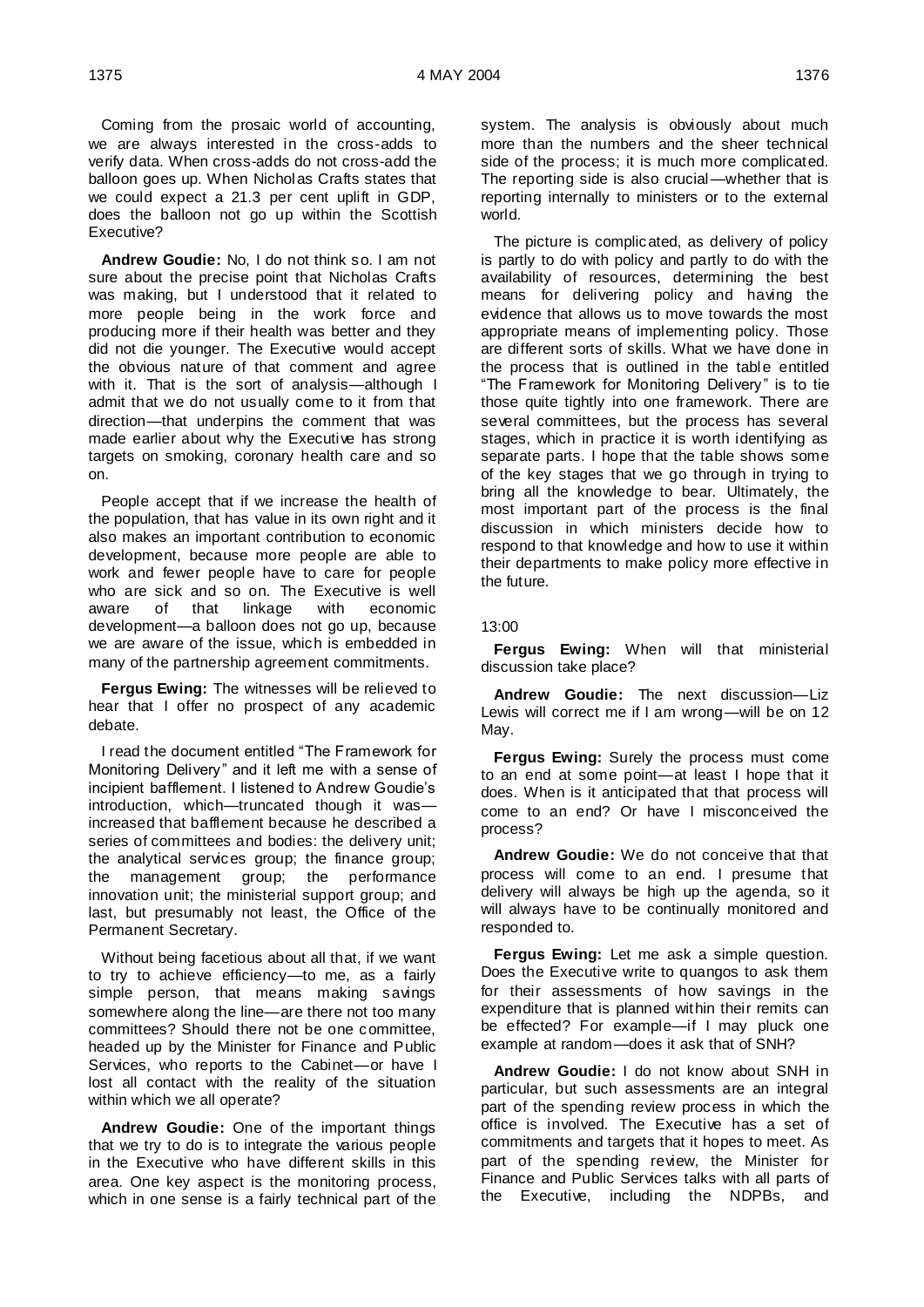Coming from the prosaic world of accounting, we are always interested in the cross-adds to verify data. When cross-adds do not cross-add the balloon goes up. When Nicholas Crafts states that we could expect a 21.3 per cent uplift in GDP, does the balloon not go up within the Scottish Executive?

**Andrew Goudie:** No, I do not think so. I am not sure about the precise point that Nicholas Crafts was making, but I understood that it related to more people being in the work force and producing more if their health was better and they did not die younger. The Executive would accept the obvious nature of that comment and agree with it. That is the sort of analysis—although I admit that we do not usually come to it from that direction—that underpins the comment that was made earlier about why the Executive has strong targets on smoking, coronary health care and so on.

People accept that if we increase the health of the population, that has value in its own right and it also makes an important contribution to economic development, because more people are able to work and fewer people have to care for people who are sick and so on. The Executive is well<br>aware of that linkage with economic aware of that linkage with development—a balloon does not go up, because we are aware of the issue, which is embedded in many of the partnership agreement commitments.

**Fergus Ewing:** The witnesses will be relieved to hear that I offer no prospect of any academic debate.

I read the document entitled "The Framework for Monitoring Delivery" and it left me with a sense of incipient bafflement. I listened to Andrew Goudie's introduction, which—truncated though it was increased that bafflement because he described a series of committees and bodies: the delivery unit; the analytical services group; the finance group; the management group; the performance innovation unit; the ministerial support group; and last, but presumably not least, the Office of the Permanent Secretary.

Without being facetious about all that, if we want to try to achieve efficiency—to me, as a fairly simple person, that means making savings somewhere along the line—are there not too many committees? Should there not be one committee, headed up by the Minister for Finance and Public Services, who reports to the Cabinet—or have I lost all contact with the reality of the situation within which we all operate?

**Andrew Goudie:** One of the important things that we try to do is to integrate the various people in the Executive who have different skills in this area. One key aspect is the monitoring process, which in one sense is a fairly technical part of the system. The analysis is obviously about much more than the numbers and the sheer technical side of the process; it is much more complicated. The reporting side is also crucial—whether that is reporting internally to ministers or to the external world.

The picture is complicated, as delivery of policy is partly to do with policy and partly to do with the availability of resources, determining the best means for delivering policy and having the evidence that allows us to move towards the most appropriate means of implementing policy. Those are different sorts of skills. What we have done in the process that is outlined in the table entitled "The Framework for Monitoring Delivery" is to tie those quite tightly into one framework. There are several committees, but the process has several stages, which in practice it is worth identifying as separate parts. I hope that the table shows some of the key stages that we go through in trying to bring all the knowledge to bear. Ultimately, the most important part of the process is the final discussion in which ministers decide how to respond to that knowledge and how to use it within their departments to make policy more effective in the future.

### 13:00

**Fergus Ewing:** When will that ministerial discussion take place?

**Andrew Goudie:** The next discussion—Liz Lewis will correct me if I am wrong—will be on 12 May.

**Fergus Ewing:** Surely the process must come to an end at some point—at least I hope that it does. When is it anticipated that that process will come to an end? Or have I misconceived the process?

**Andrew Goudie:** We do not conceive that that process will come to an end. I presume that delivery will always be high up the agenda, so it will always have to be continually monitored and responded to.

**Fergus Ewing:** Let me ask a simple question. Does the Executive write to quangos to ask them for their assessments of how savings in the expenditure that is planned within their remits can be effected? For example—if I may pluck one example at random—does it ask that of SNH?

**Andrew Goudie:** I do not know about SNH in particular, but such assessments are an integral part of the spending review process in which the office is involved. The Executive has a set of commitments and targets that it hopes to meet. As part of the spending review, the Minister for Finance and Public Services talks with all parts of the Executive, including the NDPBs, and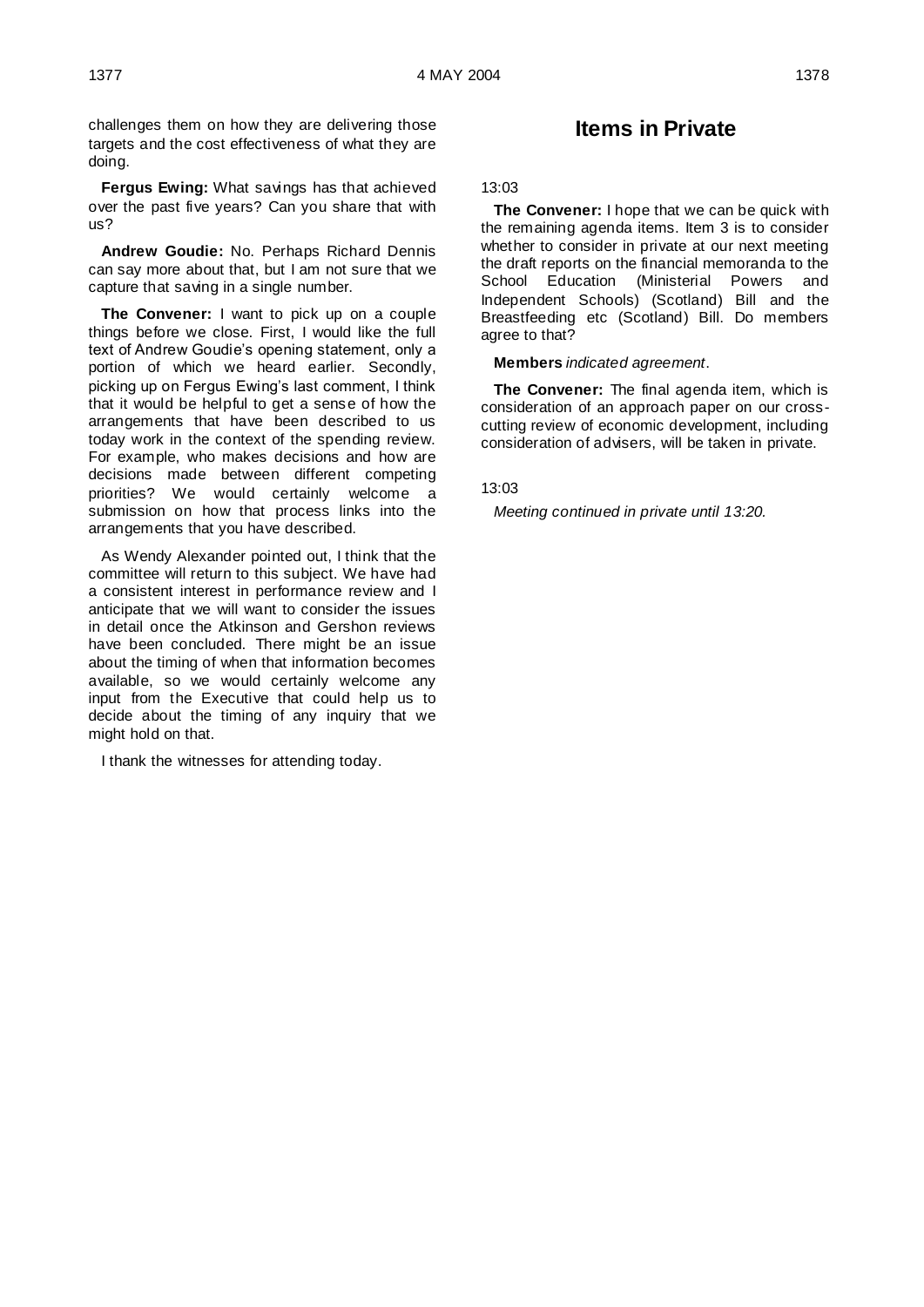challenges them on how they are delivering those targets and the cost effectiveness of what they are doing.

**Fergus Ewing:** What savings has that achieved over the past five years? Can you share that with us?

**Andrew Goudie:** No. Perhaps Richard Dennis can say more about that, but I am not sure that we capture that saving in a single number.

**The Convener:** I want to pick up on a couple things before we close. First, I would like the full text of Andrew Goudie's opening statement, only a portion of which we heard earlier. Secondly, picking up on Fergus Ewing's last comment, I think that it would be helpful to get a sense of how the arrangements that have been described to us today work in the context of the spending review. For example, who makes decisions and how are decisions made between different competing priorities? We would certainly welcome a submission on how that process links into the arrangements that you have described.

As Wendy Alexander pointed out, I think that the committee will return to this subject. We have had a consistent interest in performance review and I anticipate that we will want to consider the issues in detail once the Atkinson and Gershon reviews have been concluded. There might be an issue about the timing of when that information becomes available, so we would certainly welcome any input from the Executive that could help us to decide about the timing of any inquiry that we might hold on that.

I thank the witnesses for attending today.

# **Items in Private**

### 13:03

**The Convener:** I hope that we can be quick with the remaining agenda items. Item 3 is to consider whether to consider in private at our next meeting the draft reports on the financial memoranda to the<br>School Education (Ministerial Powers and (Ministerial Powers and Independent Schools) (Scotland) Bill and the Breastfeeding etc (Scotland) Bill. Do members agree to that?

### **Members** *indicated agreement*.

**The Convener:** The final agenda item, which is consideration of an approach paper on our crosscutting review of economic development, including consideration of advisers, will be taken in private.

### 13:03

*Meeting continued in private until 13:20.*